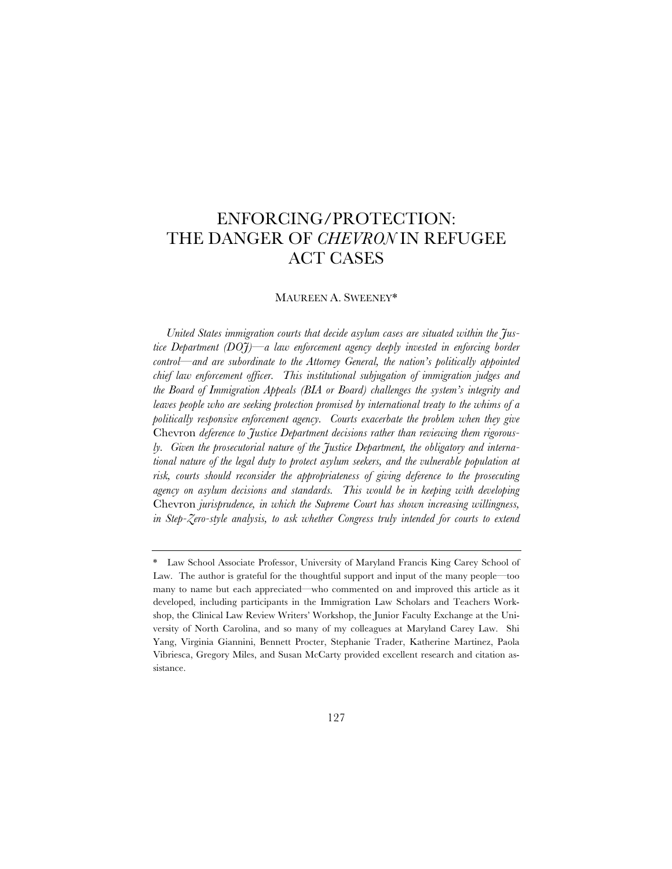# ENFORCING/PROTECTION: THE DANGER OF *CHEVRON* IN REFUGEE ACT CASES

#### MAUREEN A. SWEENEY\*

*United States immigration courts that decide asylum cases are situated within the Justice Department (DOJ)—a law enforcement agency deeply invested in enforcing border control—and are subordinate to the Attorney General, the nation's politically appointed chief law enforcement officer. This institutional subjugation of immigration judges and the Board of Immigration Appeals (BIA or Board) challenges the system's integrity and leaves people who are seeking protection promised by international treaty to the whims of a politically responsive enforcement agency. Courts exacerbate the problem when they give*  Chevron *deference to Justice Department decisions rather than reviewing them rigorously. Given the prosecutorial nature of the Justice Department, the obligatory and international nature of the legal duty to protect asylum seekers, and the vulnerable population at*  risk, courts should reconsider the appropriateness of giving deference to the prosecuting *agency on asylum decisions and standards. This would be in keeping with developing*  Chevron *jurisprudence, in which the Supreme Court has shown increasing willingness, in Step-Zero-style analysis, to ask whether Congress truly intended for courts to extend* 

<sup>\*</sup> Law School Associate Professor, University of Maryland Francis King Carey School of Law. The author is grateful for the thoughtful support and input of the many people—too many to name but each appreciated—who commented on and improved this article as it developed, including participants in the Immigration Law Scholars and Teachers Workshop, the Clinical Law Review Writers' Workshop, the Junior Faculty Exchange at the University of North Carolina, and so many of my colleagues at Maryland Carey Law. Shi Yang, Virginia Giannini, Bennett Procter, Stephanie Trader, Katherine Martinez, Paola Vibriesca, Gregory Miles, and Susan McCarty provided excellent research and citation assistance.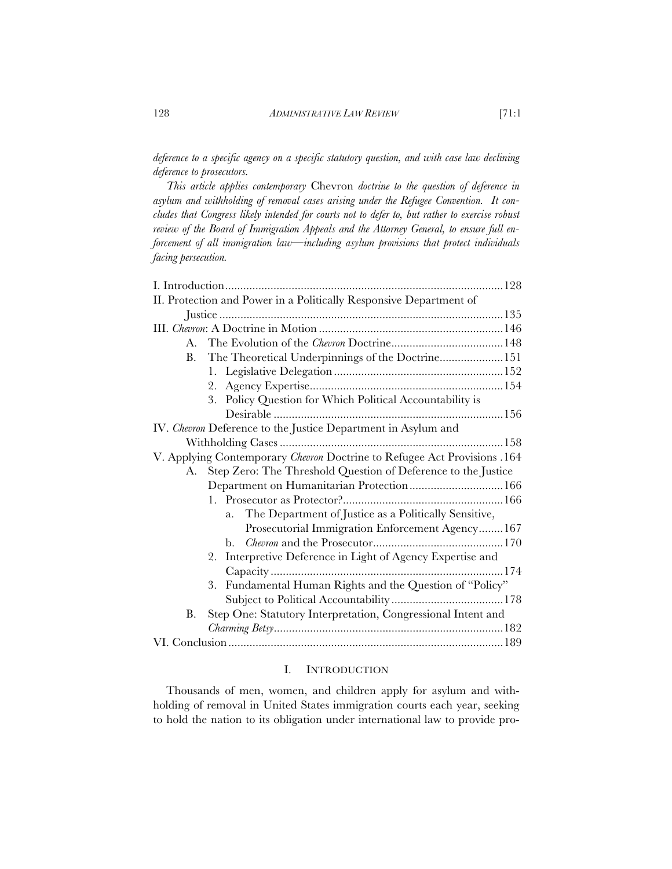*deference to a specific agency on a specific statutory question, and with case law declining deference to prosecutors.* 

*This article applies contemporary* Chevron *doctrine to the question of deference in asylum and withholding of removal cases arising under the Refugee Convention. It concludes that Congress likely intended for courts not to defer to, but rather to exercise robust review of the Board of Immigration Appeals and the Attorney General, to ensure full enforcement of all immigration law—including asylum provisions that protect individuals facing persecution.* 

|    | II. Protection and Power in a Politically Responsive Department of       |  |
|----|--------------------------------------------------------------------------|--|
|    |                                                                          |  |
|    |                                                                          |  |
| A. |                                                                          |  |
| B. | The Theoretical Underpinnings of the Doctrine151                         |  |
|    |                                                                          |  |
|    |                                                                          |  |
|    | 3. Policy Question for Which Political Accountability is                 |  |
|    |                                                                          |  |
|    | IV. Chevron Deference to the Justice Department in Asylum and            |  |
|    |                                                                          |  |
|    | V. Applying Contemporary Chevron Doctrine to Refugee Act Provisions .164 |  |
| A. | Step Zero: The Threshold Question of Deference to the Justice            |  |
|    | Department on Humanitarian Protection 166                                |  |
|    |                                                                          |  |
|    | The Department of Justice as a Politically Sensitive,<br>a.              |  |
|    | Prosecutorial Immigration Enforcement Agency 167                         |  |
|    | b.                                                                       |  |
|    | 2. Interpretive Deference in Light of Agency Expertise and               |  |
|    |                                                                          |  |
|    | 3. Fundamental Human Rights and the Question of "Policy"                 |  |
|    |                                                                          |  |
| В. | Step One: Statutory Interpretation, Congressional Intent and             |  |
|    |                                                                          |  |
|    |                                                                          |  |

# I. INTRODUCTION

Thousands of men, women, and children apply for asylum and withholding of removal in United States immigration courts each year, seeking to hold the nation to its obligation under international law to provide pro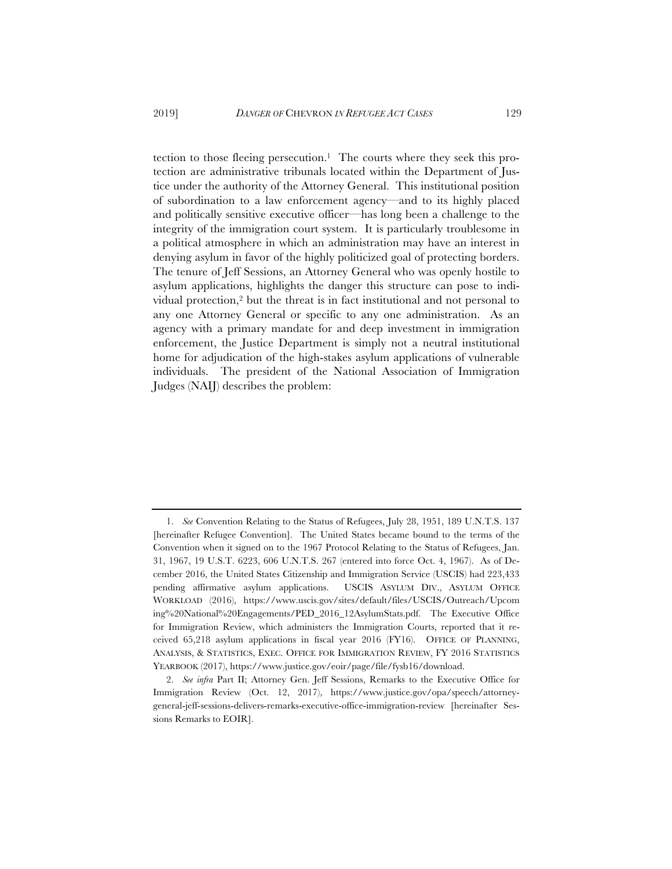tection to those fleeing persecution.<sup>1</sup> The courts where they seek this protection are administrative tribunals located within the Department of Justice under the authority of the Attorney General. This institutional position of subordination to a law enforcement agency—and to its highly placed and politically sensitive executive officer—has long been a challenge to the integrity of the immigration court system. It is particularly troublesome in a political atmosphere in which an administration may have an interest in denying asylum in favor of the highly politicized goal of protecting borders. The tenure of Jeff Sessions, an Attorney General who was openly hostile to asylum applications, highlights the danger this structure can pose to individual protection,2 but the threat is in fact institutional and not personal to any one Attorney General or specific to any one administration. As an agency with a primary mandate for and deep investment in immigration enforcement, the Justice Department is simply not a neutral institutional home for adjudication of the high-stakes asylum applications of vulnerable individuals. The president of the National Association of Immigration Judges (NAIJ) describes the problem:

<sup>1.</sup> *See* Convention Relating to the Status of Refugees, July 28, 1951, 189 U.N.T.S. 137 [hereinafter Refugee Convention]. The United States became bound to the terms of the Convention when it signed on to the 1967 Protocol Relating to the Status of Refugees, Jan. 31, 1967, 19 U.S.T. 6223, 606 U.N.T.S. 267 (entered into force Oct. 4, 1967). As of December 2016, the United States Citizenship and Immigration Service (USCIS) had 223,433 pending affirmative asylum applications. USCIS ASYLUM DIV., ASYLUM OFFICE WORKLOAD (2016), https://www.uscis.gov/sites/default/files/USCIS/Outreach/Upcom ing%20National%20Engagements/PED\_2016\_12AsylumStats.pdf. The Executive Office for Immigration Review, which administers the Immigration Courts, reported that it received 65,218 asylum applications in fiscal year 2016 (FY16). OFFICE OF PLANNING, ANALYSIS,&STATISTICS, EXEC. OFFICE FOR IMMIGRATION REVIEW, FY 2016 STATISTICS YEARBOOK (2017), https://www.justice.gov/eoir/page/file/fysb16/download.

<sup>2.</sup> *See infra* Part II; Attorney Gen. Jeff Sessions, Remarks to the Executive Office for Immigration Review (Oct. 12, 2017), https://www.justice.gov/opa/speech/attorneygeneral-jeff-sessions-delivers-remarks-executive-office-immigration-review [hereinafter Sessions Remarks to EOIR].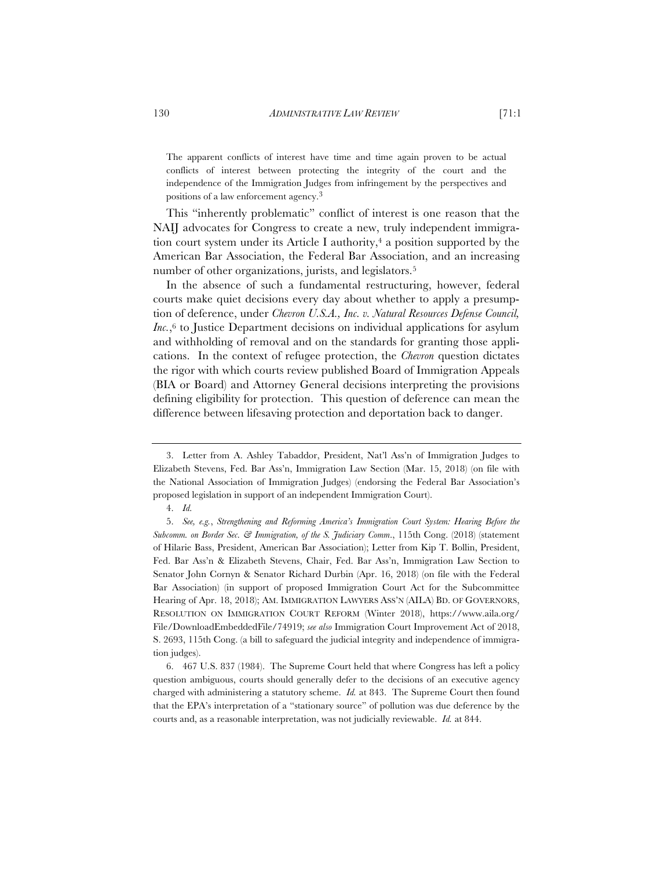The apparent conflicts of interest have time and time again proven to be actual conflicts of interest between protecting the integrity of the court and the independence of the Immigration Judges from infringement by the perspectives and positions of a law enforcement agency.3

This "inherently problematic" conflict of interest is one reason that the NAIJ advocates for Congress to create a new, truly independent immigration court system under its Article I authority, $4$  a position supported by the American Bar Association, the Federal Bar Association, and an increasing number of other organizations, jurists, and legislators.5

In the absence of such a fundamental restructuring, however, federal courts make quiet decisions every day about whether to apply a presumption of deference, under *Chevron U.S.A., Inc. v. Natural Resources Defense Council, Inc.*,<sup>6</sup> to Justice Department decisions on individual applications for asylum and withholding of removal and on the standards for granting those applications. In the context of refugee protection, the *Chevron* question dictates the rigor with which courts review published Board of Immigration Appeals (BIA or Board) and Attorney General decisions interpreting the provisions defining eligibility for protection. This question of deference can mean the difference between lifesaving protection and deportation back to danger.

<sup>3.</sup> Letter from A. Ashley Tabaddor, President, Nat'l Ass'n of Immigration Judges to Elizabeth Stevens, Fed. Bar Ass'n, Immigration Law Section (Mar. 15, 2018) (on file with the National Association of Immigration Judges) (endorsing the Federal Bar Association's proposed legislation in support of an independent Immigration Court).

<sup>4.</sup> *Id.*

<sup>5.</sup> *See, e.g.*, *Strengthening and Reforming America's Immigration Court System: Hearing Before the Subcomm. on Border Sec. & Immigration, of the S. Judiciary Comm*., 115th Cong. (2018) (statement of Hilarie Bass, President, American Bar Association); Letter from Kip T. Bollin, President, Fed. Bar Ass'n & Elizabeth Stevens, Chair, Fed. Bar Ass'n, Immigration Law Section to Senator John Cornyn & Senator Richard Durbin (Apr. 16, 2018) (on file with the Federal Bar Association) (in support of proposed Immigration Court Act for the Subcommittee Hearing of Apr. 18, 2018); AM. IMMIGRATION LAWYERS ASS'N (AILA) BD. OF GOVERNORS, RESOLUTION ON IMMIGRATION COURT REFORM (Winter 2018), https://www.aila.org/ File/DownloadEmbeddedFile/74919; *see also* Immigration Court Improvement Act of 2018, S. 2693, 115th Cong. (a bill to safeguard the judicial integrity and independence of immigration judges).

<sup>6. 467</sup> U.S. 837 (1984). The Supreme Court held that where Congress has left a policy question ambiguous, courts should generally defer to the decisions of an executive agency charged with administering a statutory scheme. *Id.* at 843. The Supreme Court then found that the EPA's interpretation of a "stationary source" of pollution was due deference by the courts and, as a reasonable interpretation, was not judicially reviewable. *Id.* at 844.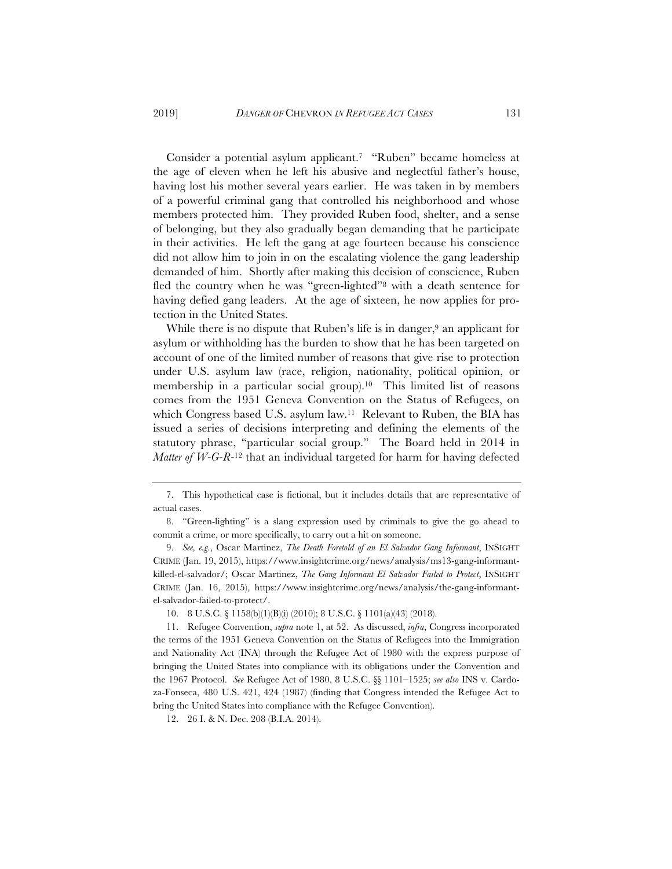Consider a potential asylum applicant.7 "Ruben" became homeless at the age of eleven when he left his abusive and neglectful father's house, having lost his mother several years earlier. He was taken in by members of a powerful criminal gang that controlled his neighborhood and whose members protected him. They provided Ruben food, shelter, and a sense of belonging, but they also gradually began demanding that he participate in their activities. He left the gang at age fourteen because his conscience did not allow him to join in on the escalating violence the gang leadership demanded of him. Shortly after making this decision of conscience, Ruben fled the country when he was "green-lighted"8 with a death sentence for having defied gang leaders. At the age of sixteen, he now applies for protection in the United States.

While there is no dispute that Ruben's life is in danger,<sup>9</sup> an applicant for asylum or withholding has the burden to show that he has been targeted on account of one of the limited number of reasons that give rise to protection under U.S. asylum law (race, religion, nationality, political opinion, or membership in a particular social group).10 This limited list of reasons comes from the 1951 Geneva Convention on the Status of Refugees, on which Congress based U.S. asylum law.11 Relevant to Ruben, the BIA has issued a series of decisions interpreting and defining the elements of the statutory phrase, "particular social group." The Board held in 2014 in *Matter of W-G-R-*<sup>12</sup> that an individual targeted for harm for having defected

<sup>7.</sup> This hypothetical case is fictional, but it includes details that are representative of actual cases.

<sup>8. &</sup>quot;Green-lighting" is a slang expression used by criminals to give the go ahead to commit a crime, or more specifically, to carry out a hit on someone.

<sup>9.</sup> *See, e.g.*, Oscar Martinez, *The Death Foretold of an El Salvador Gang Informant*, INSIGHT CRIME (Jan. 19, 2015), https://www.insightcrime.org/news/analysis/ms13-gang-informantkilled-el-salvador/; Oscar Martinez, *The Gang Informant El Salvador Failed to Protect*, INSIGHT CRIME (Jan. 16, 2015), https://www.insightcrime.org/news/analysis/the-gang-informantel-salvador-failed-to-protect/.

<sup>10. 8</sup> U.S.C. § 1158(b)(1)(B)(i) (2010); 8 U.S.C. § 1101(a)(43) (2018).

<sup>11.</sup> Refugee Convention, *supra* note 1, at 52. As discussed, *infra*, Congress incorporated the terms of the 1951 Geneva Convention on the Status of Refugees into the Immigration and Nationality Act (INA) through the Refugee Act of 1980 with the express purpose of bringing the United States into compliance with its obligations under the Convention and the 1967 Protocol. *See* Refugee Act of 1980, 8 U.S.C. §§ 1101–1525; *see also* INS v. Cardoza-Fonseca, 480 U.S. 421, 424 (1987) (finding that Congress intended the Refugee Act to bring the United States into compliance with the Refugee Convention).

<sup>12. 26</sup> I. & N. Dec. 208 (B.I.A. 2014).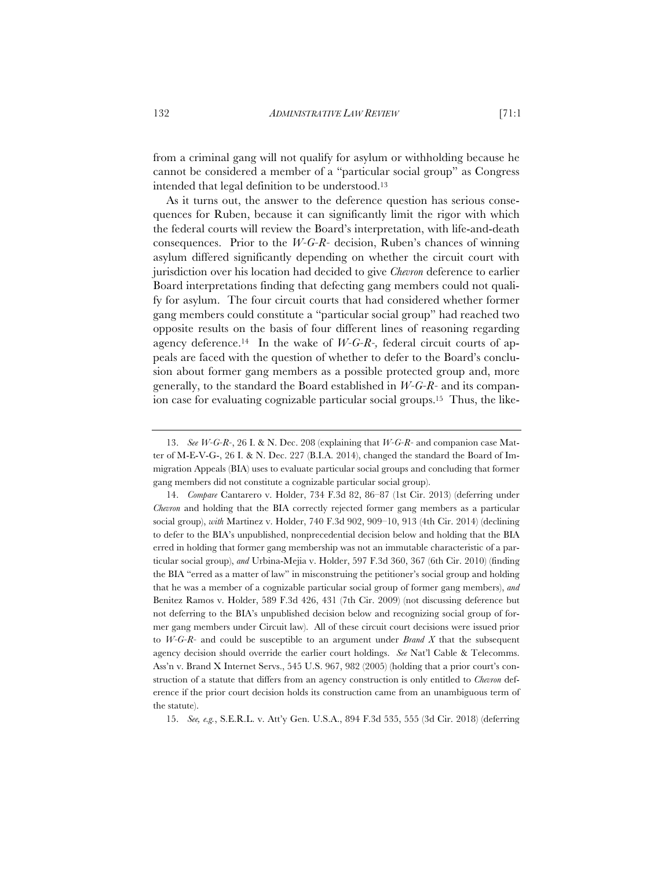from a criminal gang will not qualify for asylum or withholding because he cannot be considered a member of a "particular social group" as Congress intended that legal definition to be understood.13

As it turns out, the answer to the deference question has serious consequences for Ruben, because it can significantly limit the rigor with which the federal courts will review the Board's interpretation, with life-and-death consequences. Prior to the *W-G-R-* decision, Ruben's chances of winning asylum differed significantly depending on whether the circuit court with jurisdiction over his location had decided to give *Chevron* deference to earlier Board interpretations finding that defecting gang members could not qualify for asylum. The four circuit courts that had considered whether former gang members could constitute a "particular social group" had reached two opposite results on the basis of four different lines of reasoning regarding agency deference.14 In the wake of *W-G-R-,* federal circuit courts of appeals are faced with the question of whether to defer to the Board's conclusion about former gang members as a possible protected group and, more generally, to the standard the Board established in *W-G-R-* and its companion case for evaluating cognizable particular social groups.15 Thus, the like-

15. *See, e.g.*, S.E.R.L. v. Att'y Gen. U.S.A., 894 F.3d 535, 555 (3d Cir. 2018) (deferring

<sup>13.</sup> *See W-G-R-*, 26 I. & N. Dec. 208 (explaining that *W-G-R-* and companion case Matter of M-E-V-G-, 26 I. & N. Dec. 227 (B.I.A. 2014), changed the standard the Board of Immigration Appeals (BIA) uses to evaluate particular social groups and concluding that former gang members did not constitute a cognizable particular social group).

<sup>14.</sup> *Compare* Cantarero v. Holder, 734 F.3d 82, 86–87 (1st Cir. 2013) (deferring under *Chevron* and holding that the BIA correctly rejected former gang members as a particular social group), *with* Martinez v. Holder, 740 F.3d 902, 909–10, 913 (4th Cir. 2014) (declining to defer to the BIA's unpublished, nonprecedential decision below and holding that the BIA erred in holding that former gang membership was not an immutable characteristic of a particular social group), *and* Urbina-Mejia v. Holder, 597 F.3d 360, 367 (6th Cir. 2010) (finding the BIA "erred as a matter of law" in misconstruing the petitioner's social group and holding that he was a member of a cognizable particular social group of former gang members), *and* Benitez Ramos v. Holder, 589 F.3d 426, 431 (7th Cir. 2009) (not discussing deference but not deferring to the BIA's unpublished decision below and recognizing social group of former gang members under Circuit law). All of these circuit court decisions were issued prior to *W-G-R-* and could be susceptible to an argument under *Brand X* that the subsequent agency decision should override the earlier court holdings. *See* Nat'l Cable & Telecomms. Ass'n v. Brand X Internet Servs., 545 U.S. 967, 982 (2005) (holding that a prior court's construction of a statute that differs from an agency construction is only entitled to *Chevron* deference if the prior court decision holds its construction came from an unambiguous term of the statute).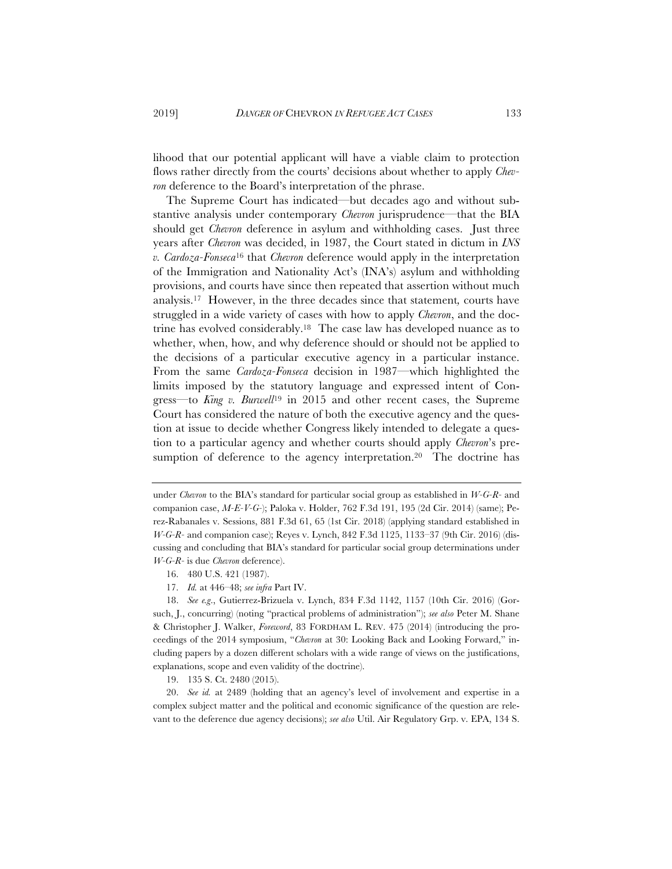lihood that our potential applicant will have a viable claim to protection flows rather directly from the courts' decisions about whether to apply *Chevron* deference to the Board's interpretation of the phrase.

The Supreme Court has indicated—but decades ago and without substantive analysis under contemporary *Chevron* jurisprudence—that the BIA should get *Chevron* deference in asylum and withholding cases. Just three years after *Chevron* was decided, in 1987, the Court stated in dictum in *INS v. Cardoza-Fonseca*<sup>16</sup> that *Chevron* deference would apply in the interpretation of the Immigration and Nationality Act's (INA's) asylum and withholding provisions, and courts have since then repeated that assertion without much analysis.17 However, in the three decades since that statement*,* courts have struggled in a wide variety of cases with how to apply *Chevron*, and the doctrine has evolved considerably.18 The case law has developed nuance as to whether, when, how, and why deference should or should not be applied to the decisions of a particular executive agency in a particular instance. From the same *Cardoza-Fonseca* decision in 1987—which highlighted the limits imposed by the statutory language and expressed intent of Congress—to *King v. Burwell*<sup>19</sup> in 2015 and other recent cases, the Supreme Court has considered the nature of both the executive agency and the question at issue to decide whether Congress likely intended to delegate a question to a particular agency and whether courts should apply *Chevron*'s presumption of deference to the agency interpretation.<sup>20</sup> The doctrine has

under *Chevron* to the BIA's standard for particular social group as established in *W-G-R-* and companion case, *M-E-V-G-*); Paloka v. Holder, 762 F.3d 191, 195 (2d Cir. 2014) (same); Perez-Rabanales v. Sessions, 881 F.3d 61, 65 (1st Cir. 2018) (applying standard established in *W-G-R-* and companion case); Reyes v. Lynch, 842 F.3d 1125, 1133–37 (9th Cir. 2016) (discussing and concluding that BIA's standard for particular social group determinations under *W-G-R-* is due *Chevron* deference).

<sup>16. 480</sup> U.S. 421 (1987).

<sup>17.</sup> *Id.* at 446–48; *see infra* Part IV.

<sup>18.</sup> *See e.g*., Gutierrez-Brizuela v. Lynch, 834 F.3d 1142, 1157 (10th Cir. 2016) (Gorsuch, J., concurring) (noting "practical problems of administration"); *see also* Peter M. Shane & Christopher J. Walker, *Foreword*, 83 FORDHAM L. REV. 475 (2014) (introducing the proceedings of the 2014 symposium, "*Chevron* at 30: Looking Back and Looking Forward," including papers by a dozen different scholars with a wide range of views on the justifications, explanations, scope and even validity of the doctrine).

<sup>19. 135</sup> S. Ct. 2480 (2015).

<sup>20.</sup> *See id.* at 2489 (holding that an agency's level of involvement and expertise in a complex subject matter and the political and economic significance of the question are relevant to the deference due agency decisions); *see also* Util. Air Regulatory Grp. v. EPA, 134 S.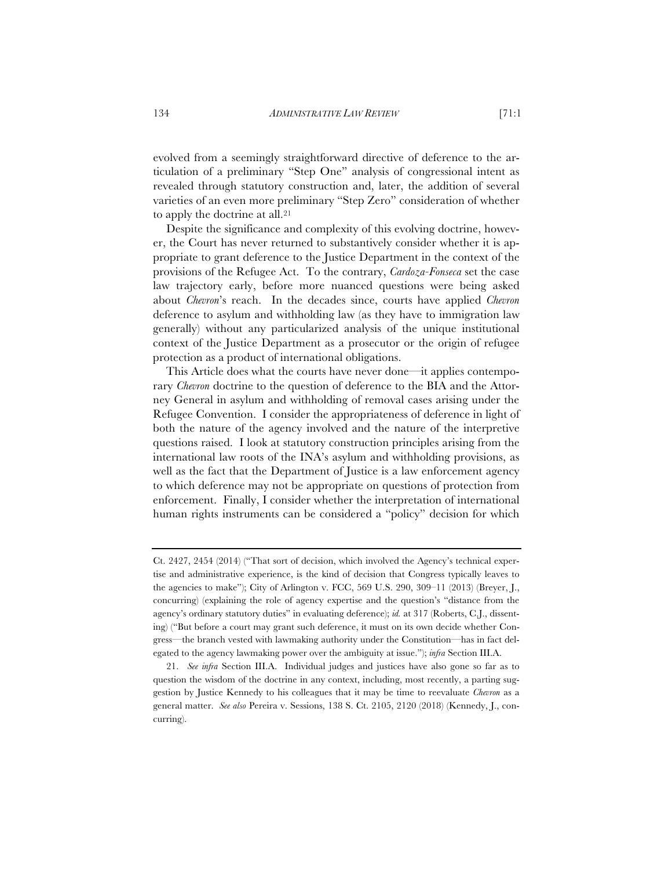evolved from a seemingly straightforward directive of deference to the articulation of a preliminary "Step One" analysis of congressional intent as revealed through statutory construction and, later, the addition of several varieties of an even more preliminary "Step Zero" consideration of whether to apply the doctrine at all.<sup>21</sup>

Despite the significance and complexity of this evolving doctrine, however, the Court has never returned to substantively consider whether it is appropriate to grant deference to the Justice Department in the context of the provisions of the Refugee Act. To the contrary, *Cardoza-Fonseca* set the case law trajectory early, before more nuanced questions were being asked about *Chevron*'s reach. In the decades since, courts have applied *Chevron* deference to asylum and withholding law (as they have to immigration law generally) without any particularized analysis of the unique institutional context of the Justice Department as a prosecutor or the origin of refugee protection as a product of international obligations.

This Article does what the courts have never done—it applies contemporary *Chevron* doctrine to the question of deference to the BIA and the Attorney General in asylum and withholding of removal cases arising under the Refugee Convention. I consider the appropriateness of deference in light of both the nature of the agency involved and the nature of the interpretive questions raised. I look at statutory construction principles arising from the international law roots of the INA's asylum and withholding provisions, as well as the fact that the Department of Justice is a law enforcement agency to which deference may not be appropriate on questions of protection from enforcement. Finally, I consider whether the interpretation of international human rights instruments can be considered a "policy" decision for which

Ct. 2427, 2454 (2014) ("That sort of decision, which involved the Agency's technical expertise and administrative experience, is the kind of decision that Congress typically leaves to the agencies to make"); City of Arlington v. FCC, 569 U.S. 290, 309–11 (2013) (Breyer, J., concurring) (explaining the role of agency expertise and the question's "distance from the agency's ordinary statutory duties" in evaluating deference); *id.* at 317 (Roberts, C.J., dissenting) ("But before a court may grant such deference, it must on its own decide whether Congress—the branch vested with lawmaking authority under the Constitution—has in fact delegated to the agency lawmaking power over the ambiguity at issue."); *infra* Section III.A.

<sup>21.</sup> *See infra* Section III.A. Individual judges and justices have also gone so far as to question the wisdom of the doctrine in any context, including, most recently, a parting suggestion by Justice Kennedy to his colleagues that it may be time to reevaluate *Chevron* as a general matter. *See also* Pereira v. Sessions, 138 S. Ct. 2105, 2120 (2018) (Kennedy, J., concurring).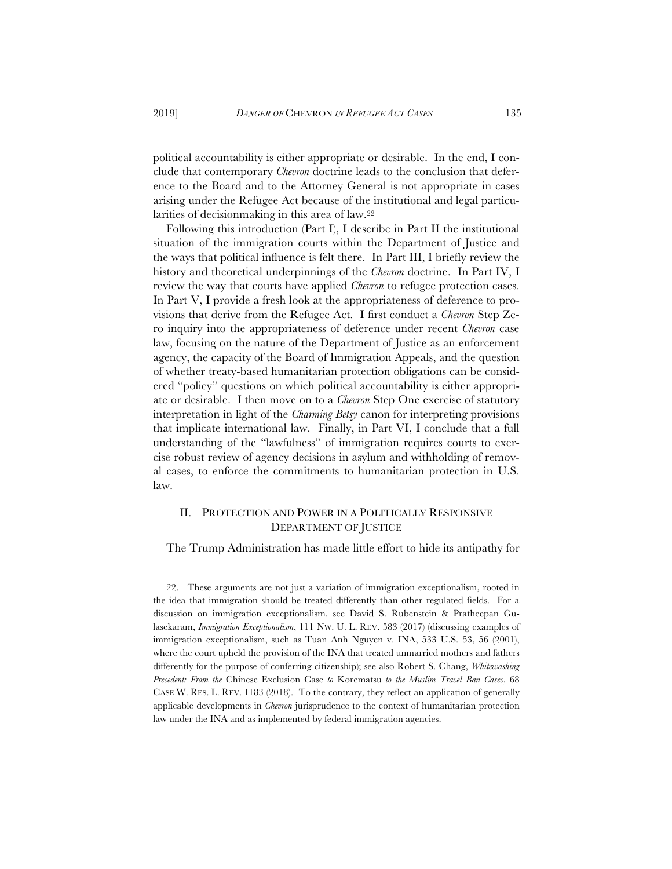political accountability is either appropriate or desirable. In the end, I conclude that contemporary *Chevron* doctrine leads to the conclusion that deference to the Board and to the Attorney General is not appropriate in cases arising under the Refugee Act because of the institutional and legal particularities of decisionmaking in this area of law.22

Following this introduction (Part I), I describe in Part II the institutional situation of the immigration courts within the Department of Justice and the ways that political influence is felt there. In Part III, I briefly review the history and theoretical underpinnings of the *Chevron* doctrine. In Part IV, I review the way that courts have applied *Chevron* to refugee protection cases. In Part V, I provide a fresh look at the appropriateness of deference to provisions that derive from the Refugee Act. I first conduct a *Chevron* Step Zero inquiry into the appropriateness of deference under recent *Chevron* case law, focusing on the nature of the Department of Justice as an enforcement agency, the capacity of the Board of Immigration Appeals, and the question of whether treaty-based humanitarian protection obligations can be considered "policy" questions on which political accountability is either appropriate or desirable. I then move on to a *Chevron* Step One exercise of statutory interpretation in light of the *Charming Betsy* canon for interpreting provisions that implicate international law. Finally, in Part VI, I conclude that a full understanding of the "lawfulness" of immigration requires courts to exercise robust review of agency decisions in asylum and withholding of removal cases, to enforce the commitments to humanitarian protection in U.S. law.

# II. PROTECTION AND POWER IN A POLITICALLY RESPONSIVE DEPARTMENT OF JUSTICE

The Trump Administration has made little effort to hide its antipathy for

<sup>22.</sup> These arguments are not just a variation of immigration exceptionalism, rooted in the idea that immigration should be treated differently than other regulated fields. For a discussion on immigration exceptionalism, see David S. Rubenstein & Pratheepan Gulasekaram, *Immigration Exceptionalism*, 111 NW. U. L. REV. 583 (2017) (discussing examples of immigration exceptionalism, such as Tuan Anh Nguyen v. INA, 533 U.S. 53, 56 (2001), where the court upheld the provision of the INA that treated unmarried mothers and fathers differently for the purpose of conferring citizenship); see also Robert S. Chang, *Whitewashing Precedent: From the* Chinese Exclusion Case *to* Korematsu *to the Muslim Travel Ban Cases*, 68 CASE W. RES. L. REV. 1183 (2018). To the contrary, they reflect an application of generally applicable developments in *Chevron* jurisprudence to the context of humanitarian protection law under the INA and as implemented by federal immigration agencies.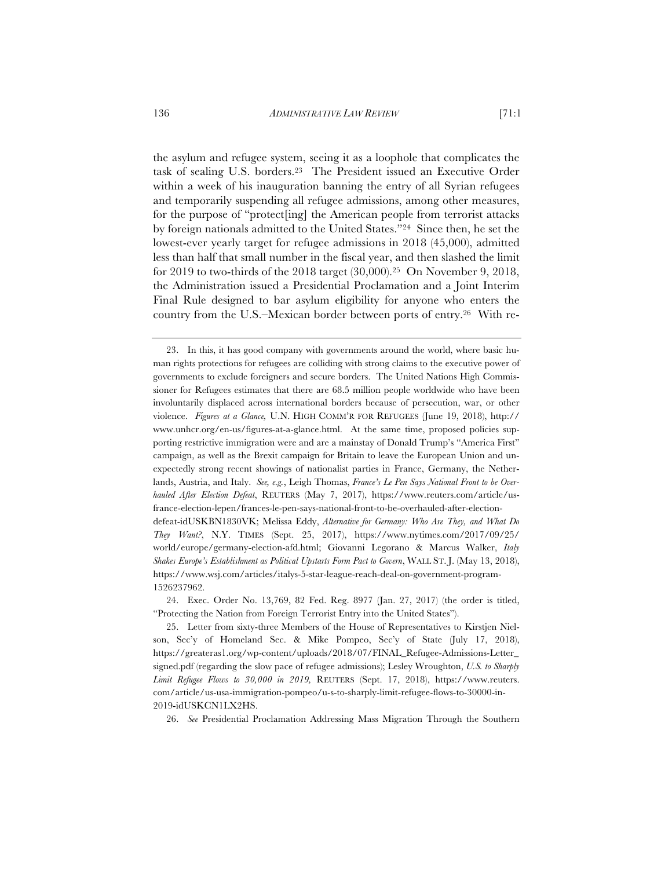the asylum and refugee system, seeing it as a loophole that complicates the task of sealing U.S. borders.23 The President issued an Executive Order within a week of his inauguration banning the entry of all Syrian refugees and temporarily suspending all refugee admissions, among other measures, for the purpose of "protect[ing] the American people from terrorist attacks by foreign nationals admitted to the United States."24 Since then, he set the lowest-ever yearly target for refugee admissions in 2018 (45,000), admitted less than half that small number in the fiscal year, and then slashed the limit for 2019 to two-thirds of the 2018 target (30,000).25 On November 9, 2018, the Administration issued a Presidential Proclamation and a Joint Interim

Final Rule designed to bar asylum eligibility for anyone who enters the country from the U.S.–Mexican border between ports of entry.26 With re-

26. *See* Presidential Proclamation Addressing Mass Migration Through the Southern

<sup>23.</sup> In this, it has good company with governments around the world, where basic human rights protections for refugees are colliding with strong claims to the executive power of governments to exclude foreigners and secure borders. The United Nations High Commissioner for Refugees estimates that there are 68.5 million people worldwide who have been involuntarily displaced across international borders because of persecution, war, or other violence. *Figures at a Glance,* U.N. HIGH COMM'R FOR REFUGEES (June 19, 2018), http:// www.unhcr.org/en-us/figures-at-a-glance.html. At the same time, proposed policies supporting restrictive immigration were and are a mainstay of Donald Trump's "America First" campaign, as well as the Brexit campaign for Britain to leave the European Union and unexpectedly strong recent showings of nationalist parties in France, Germany, the Netherlands, Austria, and Italy. *See, e.g.*, Leigh Thomas, *France's Le Pen Says National Front to be Overhauled After Election Defeat*, REUTERS (May 7, 2017), https://www.reuters.com/article/usfrance-election-lepen/frances-le-pen-says-national-front-to-be-overhauled-after-electiondefeat-idUSKBN1830VK; Melissa Eddy, *Alternative for Germany: Who Are They, and What Do They Want?*, N.Y. TIMES (Sept. 25, 2017), https://www.nytimes.com/2017/09/25/ world/europe/germany-election-afd.html; Giovanni Legorano & Marcus Walker, *Italy Shakes Europe's Establishment as Political Upstarts Form Pact to Govern*, WALL ST. J. (May 13, 2018), https://www.wsj.com/articles/italys-5-star-league-reach-deal-on-government-program-1526237962.

<sup>24.</sup> Exec. Order No. 13,769, 82 Fed. Reg. 8977 (Jan. 27, 2017) (the order is titled, "Protecting the Nation from Foreign Terrorist Entry into the United States").

<sup>25.</sup> Letter from sixty-three Members of the House of Representatives to Kirstjen Nielson, Sec'y of Homeland Sec. & Mike Pompeo, Sec'y of State (July 17, 2018), https://greateras1.org/wp-content/uploads/2018/07/FINAL\_Refugee-Admissions-Letter\_ signed.pdf (regarding the slow pace of refugee admissions); Lesley Wroughton, *U.S. to Sharply Limit Refugee Flows to 30,000 in 2019,* REUTERS (Sept. 17, 2018), https://www.reuters. com/article/us-usa-immigration-pompeo/u-s-to-sharply-limit-refugee-flows-to-30000-in-2019-idUSKCN1LX2HS.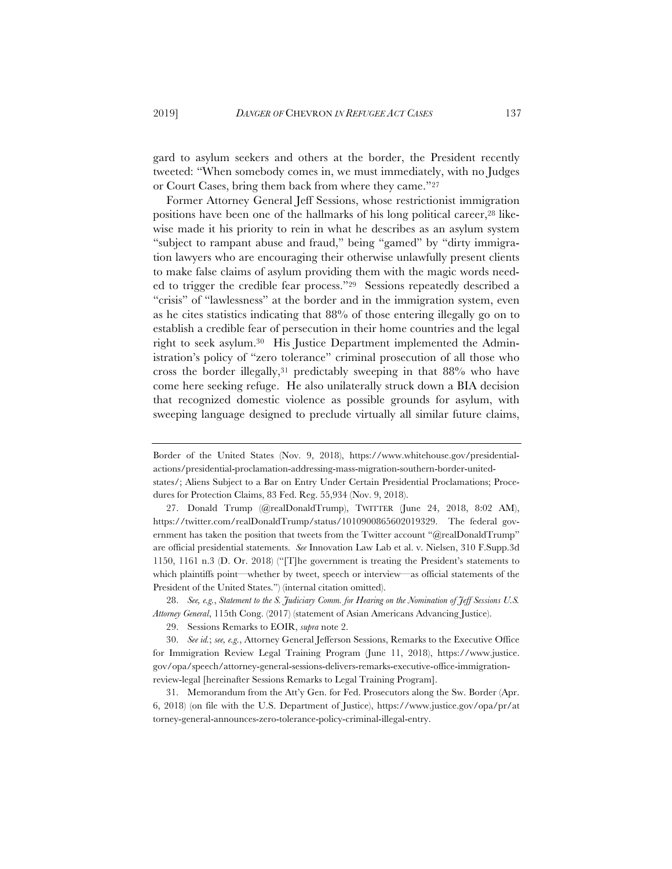gard to asylum seekers and others at the border, the President recently tweeted: "When somebody comes in, we must immediately, with no Judges or Court Cases, bring them back from where they came."27

Former Attorney General Jeff Sessions, whose restrictionist immigration positions have been one of the hallmarks of his long political career,28 likewise made it his priority to rein in what he describes as an asylum system "subject to rampant abuse and fraud," being "gamed" by "dirty immigration lawyers who are encouraging their otherwise unlawfully present clients to make false claims of asylum providing them with the magic words needed to trigger the credible fear process."29 Sessions repeatedly described a "crisis" of "lawlessness" at the border and in the immigration system, even as he cites statistics indicating that 88% of those entering illegally go on to establish a credible fear of persecution in their home countries and the legal right to seek asylum.30 His Justice Department implemented the Administration's policy of "zero tolerance" criminal prosecution of all those who cross the border illegally,31 predictably sweeping in that 88% who have come here seeking refuge. He also unilaterally struck down a BIA decision that recognized domestic violence as possible grounds for asylum, with sweeping language designed to preclude virtually all similar future claims,

Border of the United States (Nov. 9, 2018), https://www.whitehouse.gov/presidentialactions/presidential-proclamation-addressing-mass-migration-southern-border-united-

states/; Aliens Subject to a Bar on Entry Under Certain Presidential Proclamations; Procedures for Protection Claims, 83 Fed. Reg. 55,934 (Nov. 9, 2018).

<sup>27.</sup> Donald Trump (@realDonaldTrump), TWITTER (June 24, 2018, 8:02 AM), https://twitter.com/realDonaldTrump/status/1010900865602019329. The federal government has taken the position that tweets from the Twitter account "@realDonaldTrump" are official presidential statements. *See* Innovation Law Lab et al. v. Nielsen, 310 F.Supp.3d 1150, 1161 n.3 (D. Or. 2018) ("[T]he government is treating the President's statements to which plaintiffs point—whether by tweet, speech or interview—as official statements of the President of the United States.") (internal citation omitted).

<sup>28.</sup> *See, e.g.*, *Statement to the S. Judiciary Comm. for Hearing on the Nomination of Jeff Sessions U.S. Attorney General*, 115th Cong. (2017) (statement of Asian Americans Advancing Justice).

<sup>29.</sup> Sessions Remarks to EOIR, *supra* note 2.

<sup>30.</sup> *See id.*; *see, e.g.*, Attorney General Jefferson Sessions, Remarks to the Executive Office for Immigration Review Legal Training Program (June 11, 2018), https://www.justice. gov/opa/speech/attorney-general-sessions-delivers-remarks-executive-office-immigrationreview-legal [hereinafter Sessions Remarks to Legal Training Program].

<sup>31.</sup> Memorandum from the Att'y Gen. for Fed. Prosecutors along the Sw. Border (Apr. 6, 2018) (on file with the U.S. Department of Justice), https://www.justice.gov/opa/pr/at torney-general-announces-zero-tolerance-policy-criminal-illegal-entry.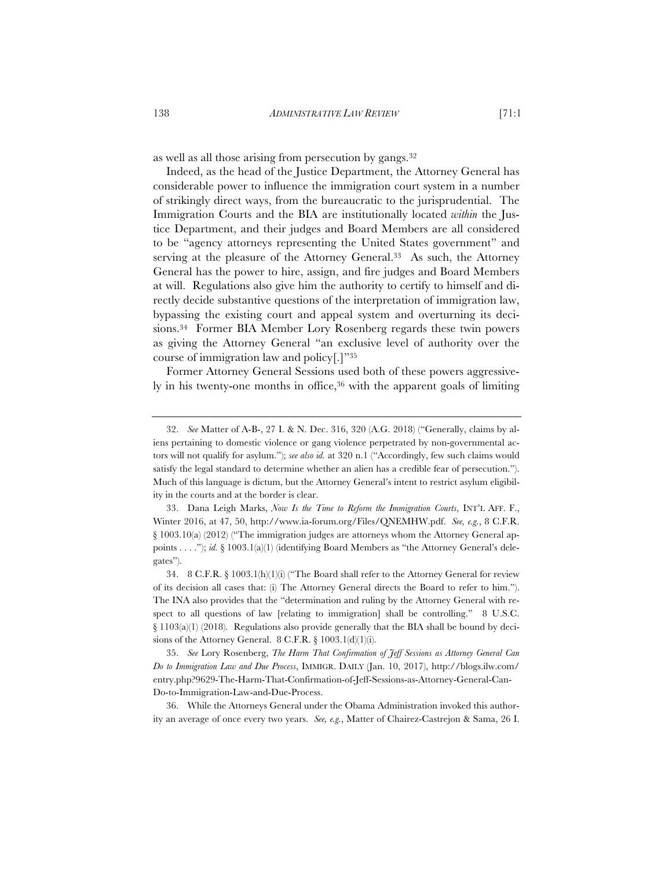as well as all those arising from persecution by gangs.32

Indeed, as the head of the Justice Department, the Attorney General has considerable power to influence the immigration court system in a number of strikingly direct ways, from the bureaucratic to the jurisprudential. The Immigration Courts and the BIA are institutionally located *within* the Justice Department, and their judges and Board Members are all considered to be "agency attorneys representing the United States government" and serving at the pleasure of the Attorney General.<sup>33</sup> As such, the Attorney General has the power to hire, assign, and fire judges and Board Members at will. Regulations also give him the authority to certify to himself and directly decide substantive questions of the interpretation of immigration law, bypassing the existing court and appeal system and overturning its decisions.34 Former BIA Member Lory Rosenberg regards these twin powers as giving the Attorney General "an exclusive level of authority over the course of immigration law and policy[.]"35

Former Attorney General Sessions used both of these powers aggressively in his twenty-one months in office,<sup>36</sup> with the apparent goals of limiting

<sup>32.</sup> *See* Matter of A-B-, 27 I. & N. Dec. 316, 320 (A.G. 2018) ("Generally, claims by aliens pertaining to domestic violence or gang violence perpetrated by non-governmental actors will not qualify for asylum."); *see also id.* at 320 n.1 ("Accordingly, few such claims would satisfy the legal standard to determine whether an alien has a credible fear of persecution."). Much of this language is dictum, but the Attorney General's intent to restrict asylum eligibility in the courts and at the border is clear.

<sup>33.</sup> Dana Leigh Marks, *Now Is the Time to Reform the Immigration Courts*, INT'L AFF. F., Winter 2016, at 47, 50, http://www.ia-forum.org/Files/QNEMHW.pdf. *See, e.g.*, 8 C.F.R. § 1003.10(a) (2012) ("The immigration judges are attorneys whom the Attorney General appoints . . . ."); *id.* § 1003.1(a)(1) (identifying Board Members as "the Attorney General's delegates").

<sup>34. 8</sup> C.F.R. § 1003.1(h)(1)(i) ("The Board shall refer to the Attorney General for review of its decision all cases that: (i) The Attorney General directs the Board to refer to him."). The INA also provides that the "determination and ruling by the Attorney General with respect to all questions of law [relating to immigration] shall be controlling." 8 U.S.C. § 1103(a)(1) (2018). Regulations also provide generally that the BIA shall be bound by decisions of the Attorney General. 8 C.F.R. § 1003.1(d)(1)(i).

<sup>35.</sup> *See* Lory Rosenberg, *The Harm That Confirmation of Jeff Sessions as Attorney General Can Do to Immigration Law and Due Process*, IMMIGR. DAILY (Jan. 10, 2017), http://blogs.ilw.com/ entry.php?9629-The-Harm-That-Confirmation-of-Jeff-Sessions-as-Attorney-General-Can-Do-to-Immigration-Law-and-Due-Process.

<sup>36.</sup> While the Attorneys General under the Obama Administration invoked this authority an average of once every two years. *See, e.g.*, Matter of Chairez-Castrejon & Sama, 26 I.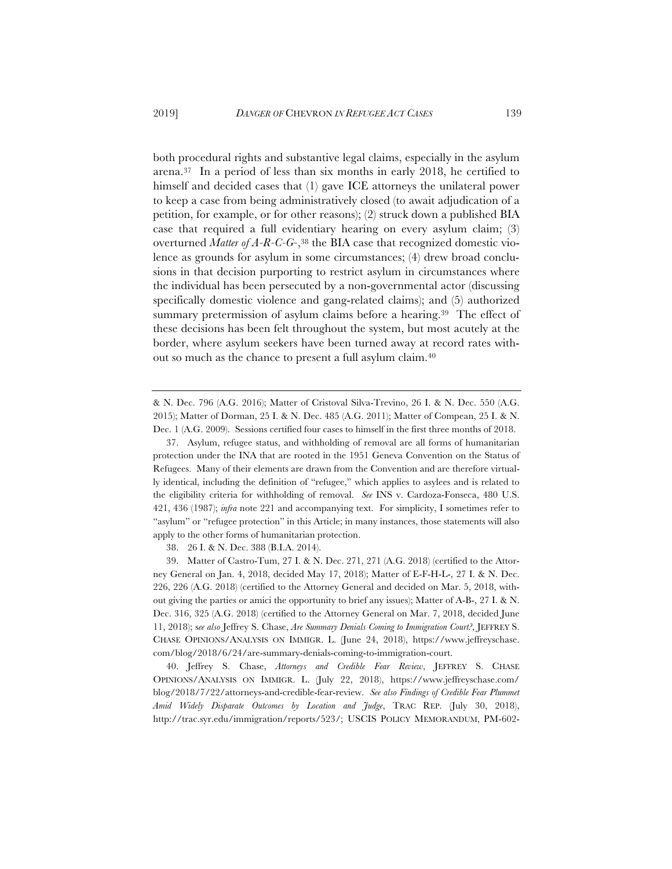both procedural rights and substantive legal claims, especially in the asylum arena.37 In a period of less than six months in early 2018, he certified to himself and decided cases that (1) gave ICE attorneys the unilateral power to keep a case from being administratively closed (to await adjudication of a petition, for example, or for other reasons); (2) struck down a published BIA case that required a full evidentiary hearing on every asylum claim; (3) overturned *Matter of A-R-C-G-*,38 the BIA case that recognized domestic violence as grounds for asylum in some circumstances; (4) drew broad conclusions in that decision purporting to restrict asylum in circumstances where the individual has been persecuted by a non-governmental actor (discussing specifically domestic violence and gang-related claims); and (5) authorized summary pretermission of asylum claims before a hearing.<sup>39</sup> The effect of these decisions has been felt throughout the system, but most acutely at the border, where asylum seekers have been turned away at record rates without so much as the chance to present a full asylum claim.40

38. 26 I. & N. Dec. 388 (B.I.A. 2014).

39. Matter of Castro-Tum, 27 I. & N. Dec. 271, 271 (A.G. 2018) (certified to the Attorney General on Jan. 4, 2018, decided May 17, 2018); Matter of E-F-H-L-, 27 I. & N. Dec. 226, 226 (A.G. 2018) (certified to the Attorney General and decided on Mar. 5, 2018, without giving the parties or amici the opportunity to brief any issues); Matter of A-B-, 27 I. & N. Dec. 316, 325 (A.G. 2018) (certified to the Attorney General on Mar. 7, 2018, decided June 11, 2018); s*ee also* Jeffrey S. Chase, *Are Summary Denials Coming to Immigration Court?*, JEFFREY S. CHASE OPINIONS/ANALYSIS ON IMMIGR. L. (June 24, 2018), https://www.jeffreyschase. com/blog/2018/6/24/are-summary-denials-coming-to-immigration-court.

40. Jeffrey S. Chase, *Attorneys and Credible Fear Review*, JEFFREY S. CHASE OPINIONS/ANALYSIS ON IMMIGR. L. (July 22, 2018), https://www.jeffreyschase.com/ blog/2018/7/22/attorneys-and-credible-fear-review. *See also Findings of Credible Fear Plummet Amid Widely Disparate Outcomes by Location and Judge*, TRAC REP. (July 30, 2018), http://trac.syr.edu/immigration/reports/523/; USCIS POLICY MEMORANDUM, PM-602-

<sup>&</sup>amp; N. Dec. 796 (A.G. 2016); Matter of Cristoval Silva-Trevino, 26 I. & N. Dec. 550 (A.G. 2015); Matter of Dorman, 25 I. & N. Dec. 485 (A.G. 2011); Matter of Compean, 25 I. & N. Dec. 1 (A.G. 2009). Sessions certified four cases to himself in the first three months of 2018.

<sup>37.</sup> Asylum, refugee status, and withholding of removal are all forms of humanitarian protection under the INA that are rooted in the 1951 Geneva Convention on the Status of Refugees. Many of their elements are drawn from the Convention and are therefore virtually identical, including the definition of "refugee," which applies to asylees and is related to the eligibility criteria for withholding of removal. *See* INS v. Cardoza-Fonseca, 480 U.S. 421, 436 (1987); *infra* note 221 and accompanying text. For simplicity, I sometimes refer to "asylum" or "refugee protection" in this Article; in many instances, those statements will also apply to the other forms of humanitarian protection.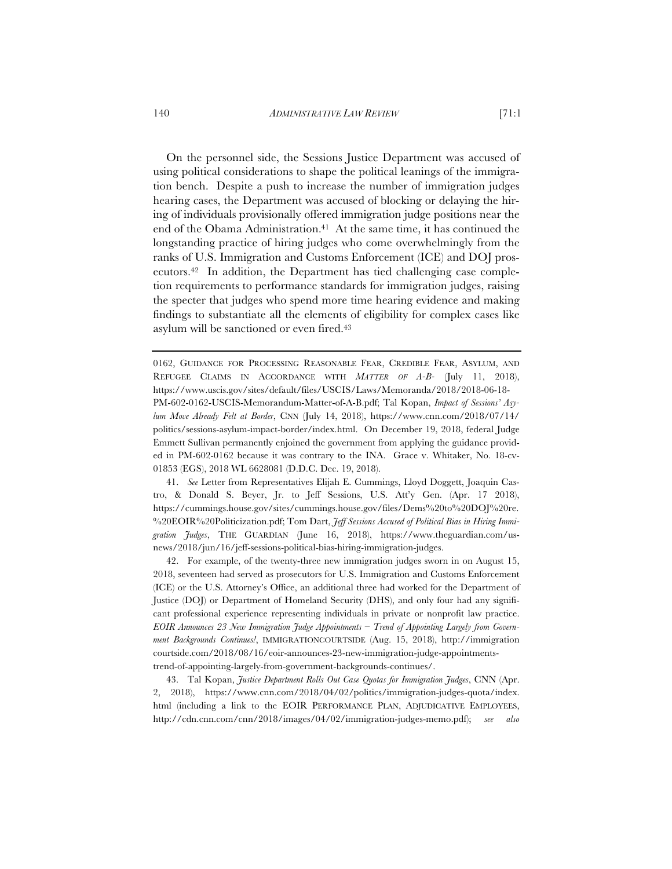On the personnel side, the Sessions Justice Department was accused of using political considerations to shape the political leanings of the immigration bench. Despite a push to increase the number of immigration judges hearing cases, the Department was accused of blocking or delaying the hiring of individuals provisionally offered immigration judge positions near the end of the Obama Administration.<sup>41</sup> At the same time, it has continued the longstanding practice of hiring judges who come overwhelmingly from the ranks of U.S. Immigration and Customs Enforcement (ICE) and DOJ prosecutors.42 In addition, the Department has tied challenging case completion requirements to performance standards for immigration judges, raising the specter that judges who spend more time hearing evidence and making findings to substantiate all the elements of eligibility for complex cases like asylum will be sanctioned or even fired.43

0162, GUIDANCE FOR PROCESSING REASONABLE FEAR, CREDIBLE FEAR, ASYLUM, AND REFUGEE CLAIMS IN ACCORDANCE WITH *MATTER OF A-B-* (July 11, 2018), https://www.uscis.gov/sites/default/files/USCIS/Laws/Memoranda/2018/2018-06-18- PM-602-0162-USCIS-Memorandum-Matter-of-A-B.pdf; Tal Kopan, *Impact of Sessions' Asylum Move Already Felt at Border*, CNN (July 14, 2018), https://www.cnn.com/2018/07/14/ politics/sessions-asylum-impact-border/index.html. On December 19, 2018, federal Judge Emmett Sullivan permanently enjoined the government from applying the guidance provided in PM-602-0162 because it was contrary to the INA. Grace v. Whitaker, No. 18-cv-01853 (EGS), 2018 WL 6628081 (D.D.C. Dec. 19, 2018).

41. *See* Letter from Representatives Elijah E. Cummings, Lloyd Doggett, Joaquin Castro, & Donald S. Beyer, Jr. to Jeff Sessions, U.S. Att'y Gen. (Apr. 17 2018), https://cummings.house.gov/sites/cummings.house.gov/files/Dems%20to%20DOJ%20re. %20EOIR%20Politicization.pdf; Tom Dart, *Jeff Sessions Accused of Political Bias in Hiring Immigration Judges*, THE GUARDIAN (June 16, 2018), https://www.theguardian.com/usnews/2018/jun/16/jeff-sessions-political-bias-hiring-immigration-judges.

42. For example, of the twenty-three new immigration judges sworn in on August 15, 2018, seventeen had served as prosecutors for U.S. Immigration and Customs Enforcement (ICE) or the U.S. Attorney's Office, an additional three had worked for the Department of Justice (DOJ) or Department of Homeland Security (DHS), and only four had any significant professional experience representing individuals in private or nonprofit law practice. *EOIR Announces 23 New Immigration Judge Appointments – Trend of Appointing Largely from Government Backgrounds Continues!*, IMMIGRATIONCOURTSIDE (Aug. 15, 2018), http://immigration courtside.com/2018/08/16/eoir-announces-23-new-immigration-judge-appointmentstrend-of-appointing-largely-from-government-backgrounds-continues/.

43. Tal Kopan, *Justice Department Rolls Out Case Quotas for Immigration Judges*, CNN (Apr. 2, 2018), https://www.cnn.com/2018/04/02/politics/immigration-judges-quota/index. html (including a link to the EOIR PERFORMANCE PLAN, ADJUDICATIVE EMPLOYEES, http://cdn.cnn.com/cnn/2018/images/04/02/immigration-judges-memo.pdf); *see also*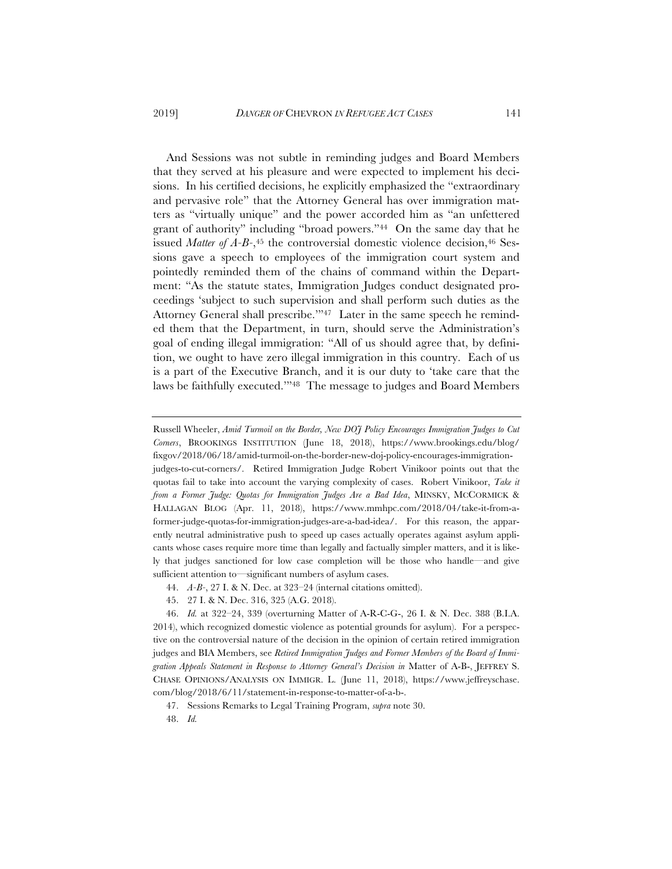And Sessions was not subtle in reminding judges and Board Members that they served at his pleasure and were expected to implement his decisions. In his certified decisions, he explicitly emphasized the "extraordinary and pervasive role" that the Attorney General has over immigration matters as "virtually unique" and the power accorded him as "an unfettered grant of authority" including "broad powers."44 On the same day that he issued *Matter of A-B-*,<sup>45</sup> the controversial domestic violence decision,<sup>46</sup> Sessions gave a speech to employees of the immigration court system and pointedly reminded them of the chains of command within the Department: "As the statute states, Immigration Judges conduct designated proceedings 'subject to such supervision and shall perform such duties as the Attorney General shall prescribe.'"47 Later in the same speech he reminded them that the Department, in turn, should serve the Administration's goal of ending illegal immigration: "All of us should agree that, by definition, we ought to have zero illegal immigration in this country. Each of us is a part of the Executive Branch, and it is our duty to 'take care that the laws be faithfully executed.'"48 The message to judges and Board Members

Russell Wheeler, *Amid Turmoil on the Border, New DOJ Policy Encourages Immigration Judges to Cut Corners*, BROOKINGS INSTITUTION (June 18, 2018), https://www.brookings.edu/blog/ fixgov/2018/06/18/amid-turmoil-on-the-border-new-doj-policy-encourages-immigrationjudges-to-cut-corners/. Retired Immigration Judge Robert Vinikoor points out that the quotas fail to take into account the varying complexity of cases. Robert Vinikoor, *Take it* 

*from a Former Judge: Quotas for Immigration Judges Are a Bad Idea*, MINSKY, MCCORMICK & HALLAGAN BLOG (Apr. 11, 2018), https://www.mmhpc.com/2018/04/take-it-from-aformer-judge-quotas-for-immigration-judges-are-a-bad-idea/. For this reason, the apparently neutral administrative push to speed up cases actually operates against asylum applicants whose cases require more time than legally and factually simpler matters, and it is likely that judges sanctioned for low case completion will be those who handle—and give sufficient attention to—significant numbers of asylum cases.

- 44. *A-B-*, 27 I. & N. Dec. at 323–24 (internal citations omitted).
- 45. 27 I. & N. Dec. 316, 325 (A.G. 2018).

46. *Id.* at 322–24, 339 (overturning Matter of A-R-C-G-, 26 I. & N. Dec. 388 (B.I.A. 2014), which recognized domestic violence as potential grounds for asylum). For a perspective on the controversial nature of the decision in the opinion of certain retired immigration judges and BIA Members, see *Retired Immigration Judges and Former Members of the Board of Immigration Appeals Statement in Response to Attorney General's Decision in* Matter of A-B-, JEFFREY S. CHASE OPINIONS/ANALYSIS ON IMMIGR. L. (June 11, 2018), https://www.jeffreyschase. com/blog/2018/6/11/statement-in-response-to-matter-of-a-b-.

47. Sessions Remarks to Legal Training Program, *supra* note 30.

<sup>48.</sup> *Id.*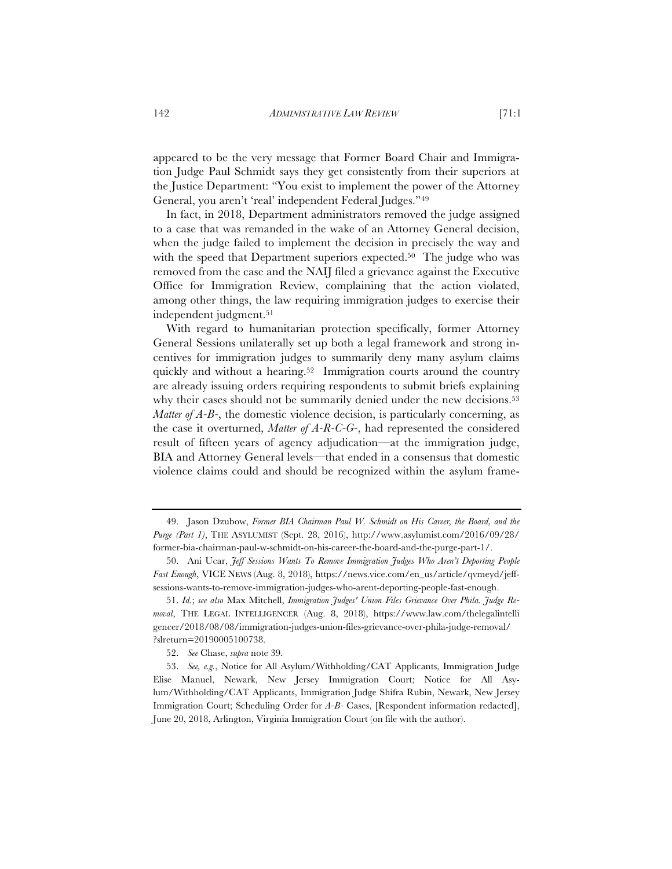appeared to be the very message that Former Board Chair and Immigration Judge Paul Schmidt says they get consistently from their superiors at the Justice Department: "You exist to implement the power of the Attorney General, you aren't 'real' independent Federal Judges."49

In fact, in 2018, Department administrators removed the judge assigned to a case that was remanded in the wake of an Attorney General decision, when the judge failed to implement the decision in precisely the way and with the speed that Department superiors expected.<sup>50</sup> The judge who was removed from the case and the NAIJ filed a grievance against the Executive Office for Immigration Review, complaining that the action violated, among other things, the law requiring immigration judges to exercise their independent judgment.<sup>51</sup>

With regard to humanitarian protection specifically, former Attorney General Sessions unilaterally set up both a legal framework and strong incentives for immigration judges to summarily deny many asylum claims quickly and without a hearing.<sup>52</sup> Immigration courts around the country are already issuing orders requiring respondents to submit briefs explaining why their cases should not be summarily denied under the new decisions.<sup>53</sup> *Matter of A-B-*, the domestic violence decision, is particularly concerning, as the case it overturned, *Matter of A-R-C-G-*, had represented the considered result of fifteen years of agency adjudication—at the immigration judge, BIA and Attorney General levels—that ended in a consensus that domestic violence claims could and should be recognized within the asylum frame-

<sup>49.</sup> Jason Dzubow, *Former BIA Chairman Paul W. Schmidt on His Career, the Board, and the Purge (Part 1)*, THE ASYLUMIST (Sept. 28, 2016), http://www.asylumist.com/2016/09/28/ former-bia-chairman-paul-w-schmidt-on-his-career-the-board-and-the-purge-part-1/.

<sup>50.</sup> Ani Ucar, *Jeff Sessions Wants To Remove Immigration Judges Who Aren't Deporting People Fast Enough*, VICE NEWS (Aug. 8, 2018), https://news.vice.com/en\_us/article/qvmeyd/jeffsessions-wants-to-remove-immigration-judges-who-arent-deporting-people-fast-enough.

<sup>51.</sup> *Id.*; *see also* Max Mitchell, *Immigration Judges' Union Files Grievance Over Phila. Judge Removal*, THE LEGAL INTELLIGENCER (Aug. 8, 2018), https://www.law.com/thelegalintelli gencer/2018/08/08/immigration-judges-union-files-grievance-over-phila-judge-removal/ ?slreturn=20190005100738.

<sup>52.</sup> *See* Chase, *supra* note 39.

<sup>53.</sup> *See, e.g.*, Notice for All Asylum/Withholding/CAT Applicants, Immigration Judge Elise Manuel, Newark, New Jersey Immigration Court; Notice for All Asylum/Withholding/CAT Applicants, Immigration Judge Shifra Rubin, Newark, New Jersey Immigration Court; Scheduling Order for *A-B-* Cases, [Respondent information redacted], June 20, 2018, Arlington, Virginia Immigration Court (on file with the author).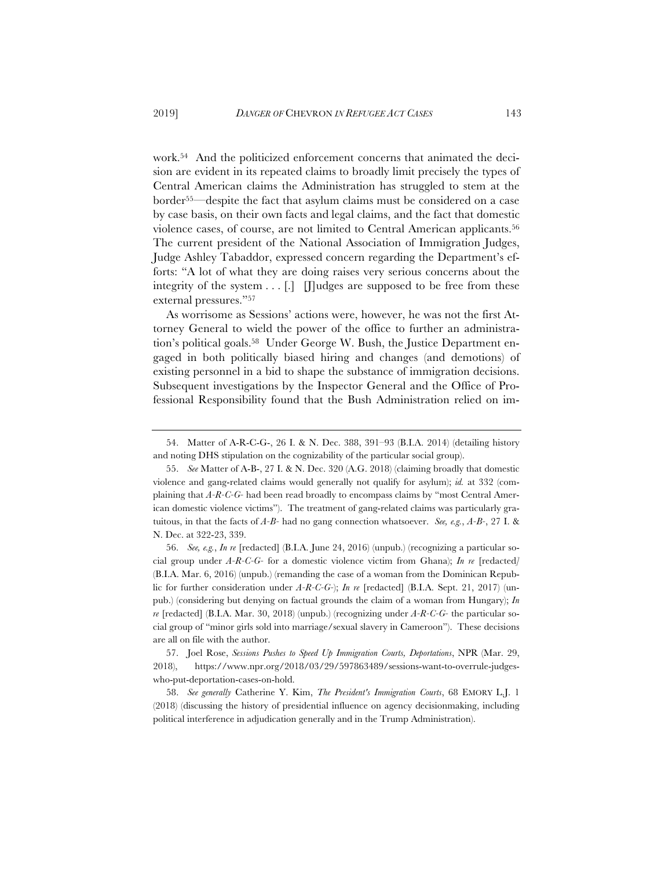work.54 And the politicized enforcement concerns that animated the decision are evident in its repeated claims to broadly limit precisely the types of Central American claims the Administration has struggled to stem at the border55—despite the fact that asylum claims must be considered on a case by case basis, on their own facts and legal claims, and the fact that domestic violence cases, of course, are not limited to Central American applicants.56 The current president of the National Association of Immigration Judges, Judge Ashley Tabaddor, expressed concern regarding the Department's efforts: "A lot of what they are doing raises very serious concerns about the integrity of the system  $\dots$  [.] [H]udges are supposed to be free from these external pressures."57

As worrisome as Sessions' actions were, however, he was not the first Attorney General to wield the power of the office to further an administration's political goals.58 Under George W. Bush, the Justice Department engaged in both politically biased hiring and changes (and demotions) of existing personnel in a bid to shape the substance of immigration decisions. Subsequent investigations by the Inspector General and the Office of Professional Responsibility found that the Bush Administration relied on im-

56. *See, e.g.*, *In re* [redacted] (B.I.A. June 24, 2016) (unpub.) (recognizing a particular social group under *A-R-C-G-* for a domestic violence victim from Ghana); *In re* [redacted*]* (B.I.A. Mar. 6, 2016) (unpub.) (remanding the case of a woman from the Dominican Republic for further consideration under *A-R-C-G-*); *In re* [redacted] (B.I.A. Sept. 21, 2017) (unpub.) (considering but denying on factual grounds the claim of a woman from Hungary); *In re* [redacted] (B.I.A. Mar. 30, 2018) (unpub.) (recognizing under *A-R-C-G-* the particular social group of "minor girls sold into marriage/sexual slavery in Cameroon"). These decisions are all on file with the author.

57. Joel Rose, *Sessions Pushes to Speed Up Immigration Courts, Deportations*, NPR (Mar. 29, 2018), https://www.npr.org/2018/03/29/597863489/sessions-want-to-overrule-judgeswho-put-deportation-cases-on-hold.

58. *See generally* Catherine Y. Kim, *The President's Immigration Courts*, 68 EMORY L.J. 1 (2018) (discussing the history of presidential influence on agency decisionmaking, including political interference in adjudication generally and in the Trump Administration).

<sup>54.</sup> Matter of A-R-C-G-, 26 I. & N. Dec. 388, 391–93 (B.I.A. 2014) (detailing history and noting DHS stipulation on the cognizability of the particular social group).

<sup>55.</sup> *See* Matter of A-B-, 27 I. & N. Dec. 320 (A.G. 2018) (claiming broadly that domestic violence and gang-related claims would generally not qualify for asylum); *id.* at 332 (complaining that *A-R-C-G-* had been read broadly to encompass claims by "most Central American domestic violence victims"). The treatment of gang-related claims was particularly gratuitous, in that the facts of *A-B-* had no gang connection whatsoever. *See, e.g.*, *A-B-*, 27 I. & N. Dec. at 322-23, 339.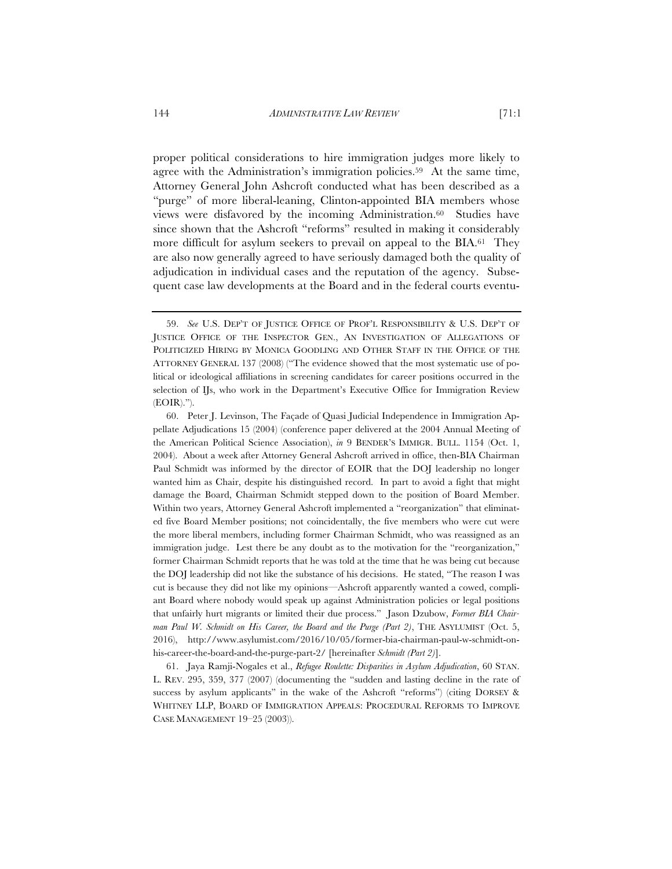proper political considerations to hire immigration judges more likely to agree with the Administration's immigration policies.59 At the same time, Attorney General John Ashcroft conducted what has been described as a "purge" of more liberal-leaning, Clinton-appointed BIA members whose views were disfavored by the incoming Administration.60 Studies have since shown that the Ashcroft "reforms" resulted in making it considerably more difficult for asylum seekers to prevail on appeal to the BIA.<sup>61</sup> They are also now generally agreed to have seriously damaged both the quality of adjudication in individual cases and the reputation of the agency. Subsequent case law developments at the Board and in the federal courts eventu-

60. Peter J. Levinson, The Façade of Quasi Judicial Independence in Immigration Appellate Adjudications 15 (2004) (conference paper delivered at the 2004 Annual Meeting of the American Political Science Association), *in* 9 BENDER'S IMMIGR. BULL. 1154 (Oct. 1, 2004). About a week after Attorney General Ashcroft arrived in office, then-BIA Chairman Paul Schmidt was informed by the director of EOIR that the DOJ leadership no longer wanted him as Chair, despite his distinguished record. In part to avoid a fight that might damage the Board, Chairman Schmidt stepped down to the position of Board Member. Within two years, Attorney General Ashcroft implemented a "reorganization" that eliminated five Board Member positions; not coincidentally, the five members who were cut were the more liberal members, including former Chairman Schmidt, who was reassigned as an immigration judge. Lest there be any doubt as to the motivation for the "reorganization," former Chairman Schmidt reports that he was told at the time that he was being cut because the DOJ leadership did not like the substance of his decisions. He stated, "The reason I was cut is because they did not like my opinions—Ashcroft apparently wanted a cowed, compliant Board where nobody would speak up against Administration policies or legal positions that unfairly hurt migrants or limited their due process." Jason Dzubow, *Former BIA Chairman Paul W. Schmidt on His Career, the Board and the Purge (Part 2)*, THE ASYLUMIST (Oct. 5, 2016), http://www.asylumist.com/2016/10/05/former-bia-chairman-paul-w-schmidt-onhis-career-the-board-and-the-purge-part-2/ [hereinafter *Schmidt (Part 2)*].

61. Jaya Ramji-Nogales et al., *Refugee Roulette: Disparities in Asylum Adjudication*, 60 STAN. L. REV. 295, 359, 377 (2007) (documenting the "sudden and lasting decline in the rate of success by asylum applicants" in the wake of the Ashcroft "reforms") (citing DORSEY & WHITNEY LLP, BOARD OF IMMIGRATION APPEALS: PROCEDURAL REFORMS TO IMPROVE CASE MANAGEMENT 19–25 (2003)).

<sup>59.</sup> *See* U.S. DEP'T OF JUSTICE OFFICE OF PROF'L RESPONSIBILITY & U.S. DEP'T OF JUSTICE OFFICE OF THE INSPECTOR GEN., AN INVESTIGATION OF ALLEGATIONS OF POLITICIZED HIRING BY MONICA GOODLING AND OTHER STAFF IN THE OFFICE OF THE ATTORNEY GENERAL 137 (2008) ("The evidence showed that the most systematic use of political or ideological affiliations in screening candidates for career positions occurred in the selection of IJs, who work in the Department's Executive Office for Immigration Review (EOIR).").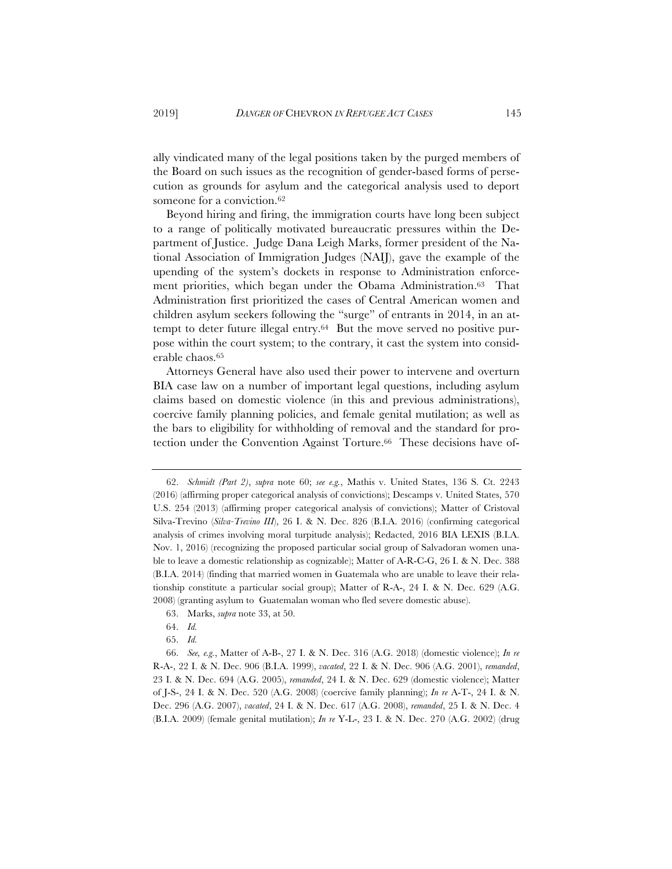ally vindicated many of the legal positions taken by the purged members of the Board on such issues as the recognition of gender-based forms of persecution as grounds for asylum and the categorical analysis used to deport someone for a conviction.<sup>62</sup>

Beyond hiring and firing, the immigration courts have long been subject to a range of politically motivated bureaucratic pressures within the Department of Justice. Judge Dana Leigh Marks, former president of the National Association of Immigration Judges (NAIJ), gave the example of the upending of the system's dockets in response to Administration enforcement priorities, which began under the Obama Administration.63 That Administration first prioritized the cases of Central American women and children asylum seekers following the "surge" of entrants in 2014, in an attempt to deter future illegal entry.64 But the move served no positive purpose within the court system; to the contrary, it cast the system into considerable chaos.65

Attorneys General have also used their power to intervene and overturn BIA case law on a number of important legal questions, including asylum claims based on domestic violence (in this and previous administrations), coercive family planning policies, and female genital mutilation; as well as the bars to eligibility for withholding of removal and the standard for protection under the Convention Against Torture.66 These decisions have of-

- 63. Marks, *supra* note 33, at 50.
- 64. *Id.*
- 65. *Id.*

<sup>62.</sup> *Schmidt (Part 2)*, *supra* note 60; *see e.g.*, Mathis v. United States, 136 S. Ct. 2243 (2016) (affirming proper categorical analysis of convictions); Descamps v. United States, 570 U.S. 254 (2013) (affirming proper categorical analysis of convictions); Matter of Cristoval Silva-Trevino (*Silva-Trevino III*), 26 I. & N. Dec. 826 (B.I.A. 2016) (confirming categorical analysis of crimes involving moral turpitude analysis); Redacted, 2016 BIA LEXIS (B.I.A. Nov. 1, 2016) (recognizing the proposed particular social group of Salvadoran women unable to leave a domestic relationship as cognizable); Matter of A-R-C-G, 26 I. & N. Dec. 388 (B.I.A. 2014) (finding that married women in Guatemala who are unable to leave their relationship constitute a particular social group); Matter of R-A-, 24 I. & N. Dec. 629 (A.G. 2008) (granting asylum to Guatemalan woman who fled severe domestic abuse).

<sup>66.</sup> *See, e.g.*, Matter of A-B-, 27 I. & N. Dec. 316 (A.G. 2018) (domestic violence); *In re* R-A-, 22 I. & N. Dec. 906 (B.I.A. 1999), *vacated*, 22 I. & N. Dec. 906 (A.G. 2001), *remanded*, 23 I. & N. Dec. 694 (A.G. 2005), *remanded*, 24 I. & N. Dec. 629 (domestic violence); Matter of J-S-, 24 I. & N. Dec. 520 (A.G. 2008) (coercive family planning); *In re* A-T-, 24 I. & N. Dec. 296 (A.G. 2007), *vacated*, 24 I. & N. Dec. 617 (A.G. 2008), *remanded*, 25 I. & N. Dec. 4 (B.I.A. 2009) (female genital mutilation); *In re* Y-L-, 23 I. & N. Dec. 270 (A.G. 2002) (drug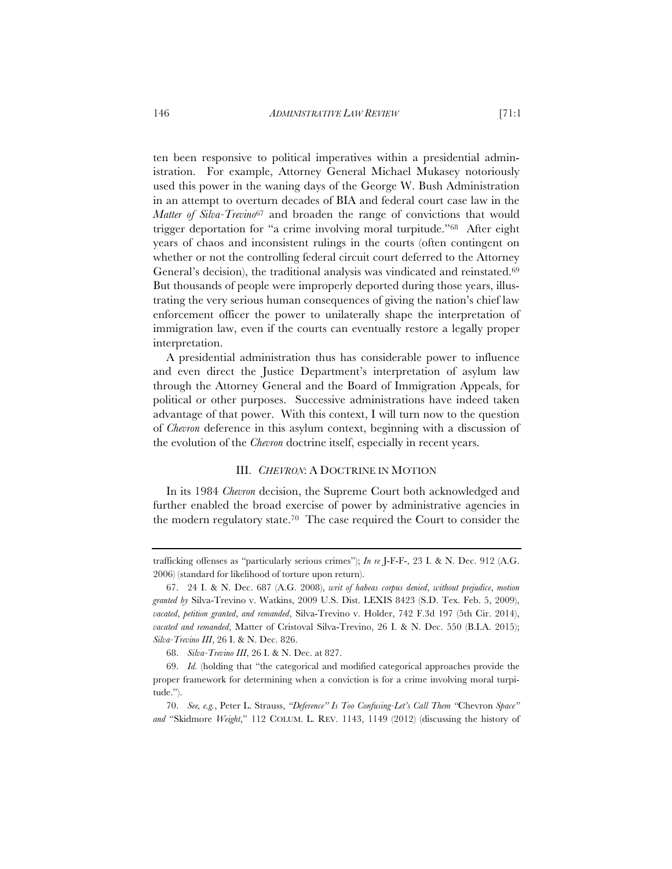ten been responsive to political imperatives within a presidential administration. For example, Attorney General Michael Mukasey notoriously used this power in the waning days of the George W. Bush Administration in an attempt to overturn decades of BIA and federal court case law in the *Matter of Silva-Trevino*<sup>67</sup> and broaden the range of convictions that would trigger deportation for "a crime involving moral turpitude."68 After eight years of chaos and inconsistent rulings in the courts (often contingent on whether or not the controlling federal circuit court deferred to the Attorney General's decision), the traditional analysis was vindicated and reinstated.<sup>69</sup> But thousands of people were improperly deported during those years, illustrating the very serious human consequences of giving the nation's chief law enforcement officer the power to unilaterally shape the interpretation of immigration law, even if the courts can eventually restore a legally proper interpretation.

A presidential administration thus has considerable power to influence and even direct the Justice Department's interpretation of asylum law through the Attorney General and the Board of Immigration Appeals, for political or other purposes. Successive administrations have indeed taken advantage of that power. With this context, I will turn now to the question of *Chevron* deference in this asylum context, beginning with a discussion of the evolution of the *Chevron* doctrine itself, especially in recent years.

## III. *CHEVRON*: A DOCTRINE IN MOTION

In its 1984 *Chevron* decision, the Supreme Court both acknowledged and further enabled the broad exercise of power by administrative agencies in the modern regulatory state.70 The case required the Court to consider the

trafficking offenses as "particularly serious crimes"); *In re* J-F-F-, 23 I. & N. Dec. 912 (A.G. 2006) (standard for likelihood of torture upon return).

<sup>67. 24</sup> I. & N. Dec. 687 (A.G. 2008), *writ of habeas corpus denied*, *without prejudice*, *motion granted by* Silva-Trevino v. Watkins, 2009 U.S. Dist. LEXIS 8423 (S.D. Tex. Feb. 5, 2009), *vacated*, *petition granted*, *and remanded*, Silva-Trevino v. Holder, 742 F.3d 197 (5th Cir. 2014), *vacated and remanded*, Matter of Cristoval Silva-Trevino, 26 I. & N. Dec. 550 (B.I.A. 2015); *Silva-Trevino III*, 26 I. & N. Dec. 826.

<sup>68.</sup> *Silva-Trevino III*, 26 I. & N. Dec. at 827.

<sup>69.</sup> *Id.* (holding that "the categorical and modified categorical approaches provide the proper framework for determining when a conviction is for a crime involving moral turpitude.").

<sup>70.</sup> *See, e.g.*, Peter L. Strauss, *"Deference" Is Too Confusing-Let's Call Them "*Chevron *Space" and* "Skidmore *Weight*," 112 COLUM. L. REV. 1143, 1149 (2012) (discussing the history of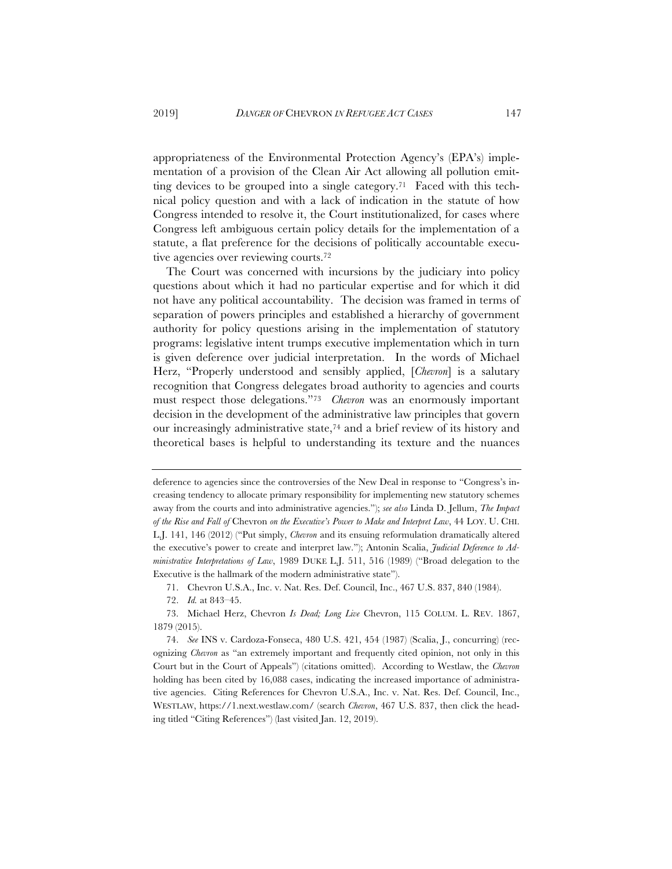appropriateness of the Environmental Protection Agency's (EPA's) implementation of a provision of the Clean Air Act allowing all pollution emitting devices to be grouped into a single category.71 Faced with this technical policy question and with a lack of indication in the statute of how Congress intended to resolve it, the Court institutionalized, for cases where Congress left ambiguous certain policy details for the implementation of a statute, a flat preference for the decisions of politically accountable executive agencies over reviewing courts.72

The Court was concerned with incursions by the judiciary into policy questions about which it had no particular expertise and for which it did not have any political accountability. The decision was framed in terms of separation of powers principles and established a hierarchy of government authority for policy questions arising in the implementation of statutory programs: legislative intent trumps executive implementation which in turn is given deference over judicial interpretation. In the words of Michael Herz, "Properly understood and sensibly applied, [*Chevron*] is a salutary recognition that Congress delegates broad authority to agencies and courts must respect those delegations."73 *Chevron* was an enormously important decision in the development of the administrative law principles that govern our increasingly administrative state,74 and a brief review of its history and theoretical bases is helpful to understanding its texture and the nuances

deference to agencies since the controversies of the New Deal in response to "Congress's increasing tendency to allocate primary responsibility for implementing new statutory schemes away from the courts and into administrative agencies."); *see also* Linda D. Jellum, *The Impact of the Rise and Fall of* Chevron *on the Executive's Power to Make and Interpret Law*, 44 LOY. U. CHI. L.J. 141, 146 (2012) ("Put simply, *Chevron* and its ensuing reformulation dramatically altered the executive's power to create and interpret law."); Antonin Scalia, *Judicial Deference to Administrative Interpretations of Law*, 1989 DUKE L.J. 511, 516 (1989) ("Broad delegation to the Executive is the hallmark of the modern administrative state").

<sup>71.</sup> Chevron U.S.A., Inc. v. Nat. Res. Def. Council, Inc., 467 U.S. 837, 840 (1984).

<sup>72.</sup> *Id.* at 843–45.

<sup>73.</sup> Michael Herz, Chevron *Is Dead; Long Live* Chevron, 115 COLUM. L. REV. 1867, 1879 (2015).

<sup>74.</sup> *See* INS v. Cardoza-Fonseca, 480 U.S. 421, 454 (1987) (Scalia, J., concurring) (recognizing *Chevron* as "an extremely important and frequently cited opinion, not only in this Court but in the Court of Appeals") (citations omitted). According to Westlaw, the *Chevron* holding has been cited by 16,088 cases, indicating the increased importance of administrative agencies. Citing References for Chevron U.S.A., Inc. v. Nat. Res. Def. Council, Inc., WESTLAW, https://1.next.westlaw.com/ (search *Chevron*, 467 U.S. 837, then click the heading titled "Citing References") (last visited Jan. 12, 2019).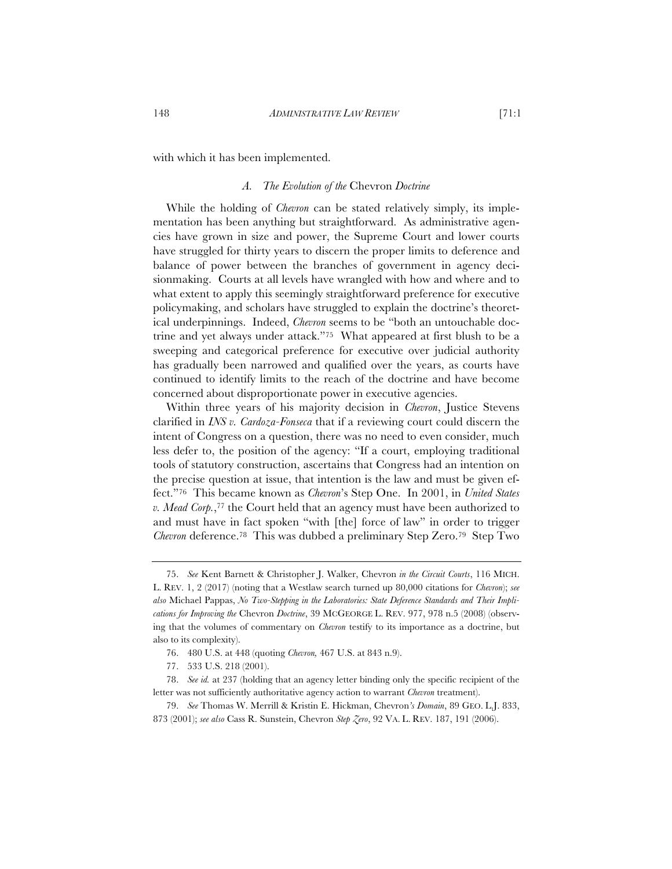with which it has been implemented.

### *A. The Evolution of the* Chevron *Doctrine*

While the holding of *Chevron* can be stated relatively simply, its implementation has been anything but straightforward. As administrative agencies have grown in size and power, the Supreme Court and lower courts have struggled for thirty years to discern the proper limits to deference and balance of power between the branches of government in agency decisionmaking. Courts at all levels have wrangled with how and where and to what extent to apply this seemingly straightforward preference for executive policymaking, and scholars have struggled to explain the doctrine's theoretical underpinnings. Indeed, *Chevron* seems to be "both an untouchable doctrine and yet always under attack."75 What appeared at first blush to be a sweeping and categorical preference for executive over judicial authority has gradually been narrowed and qualified over the years, as courts have continued to identify limits to the reach of the doctrine and have become concerned about disproportionate power in executive agencies.

Within three years of his majority decision in *Chevron*, Justice Stevens clarified in *INS v. Cardoza-Fonseca* that if a reviewing court could discern the intent of Congress on a question, there was no need to even consider, much less defer to, the position of the agency: "If a court, employing traditional tools of statutory construction, ascertains that Congress had an intention on the precise question at issue, that intention is the law and must be given effect."76 This became known as *Chevron*'s Step One. In 2001, in *United States v. Mead Corp.*,77 the Court held that an agency must have been authorized to and must have in fact spoken "with [the] force of law" in order to trigger *Chevron* deference.78 This was dubbed a preliminary Step Zero.79 Step Two

<sup>75.</sup> *See* Kent Barnett & Christopher J. Walker, Chevron *in the Circuit Courts*, 116 MICH. L. REV. 1, 2 (2017) (noting that a Westlaw search turned up 80,000 citations for *Chevron*); *see also* Michael Pappas, *No Two-Stepping in the Laboratories: State Deference Standards and Their Implications for Improving the* Chevron *Doctrine*, 39 MCGEORGE L. REV. 977, 978 n.5 (2008) (observing that the volumes of commentary on *Chevron* testify to its importance as a doctrine, but also to its complexity).

<sup>76. 480</sup> U.S. at 448 (quoting *Chevron,* 467 U.S. at 843 n.9).

<sup>77. 533</sup> U.S. 218 (2001).

<sup>78.</sup> *See id.* at 237 (holding that an agency letter binding only the specific recipient of the letter was not sufficiently authoritative agency action to warrant *Chevron* treatment).

<sup>79.</sup> *See* Thomas W. Merrill & Kristin E. Hickman, Chevron*'s Domain*, 89 GEO. L.J. 833, 873 (2001); *see also* Cass R. Sunstein, Chevron *Step Zero*, 92 VA. L. REV. 187, 191 (2006).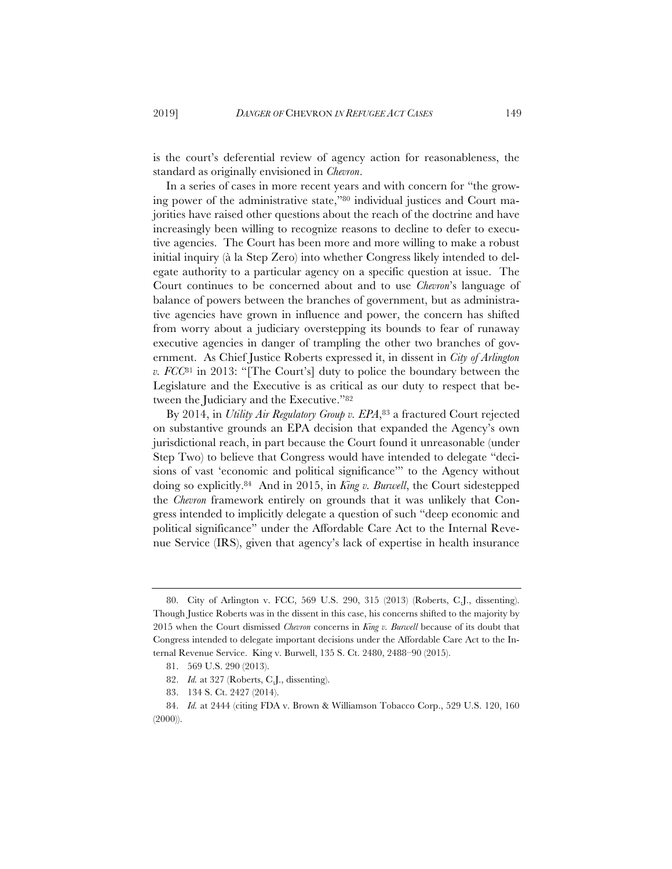is the court's deferential review of agency action for reasonableness, the standard as originally envisioned in *Chevron*.

In a series of cases in more recent years and with concern for "the growing power of the administrative state,"80 individual justices and Court majorities have raised other questions about the reach of the doctrine and have increasingly been willing to recognize reasons to decline to defer to executive agencies. The Court has been more and more willing to make a robust initial inquiry (à la Step Zero) into whether Congress likely intended to delegate authority to a particular agency on a specific question at issue. The Court continues to be concerned about and to use *Chevron*'s language of balance of powers between the branches of government, but as administrative agencies have grown in influence and power, the concern has shifted from worry about a judiciary overstepping its bounds to fear of runaway executive agencies in danger of trampling the other two branches of government. As Chief Justice Roberts expressed it, in dissent in *City of Arlington v. FCC*81 in 2013: "[The Court's] duty to police the boundary between the Legislature and the Executive is as critical as our duty to respect that between the Judiciary and the Executive."82

By 2014, in *Utility Air Regulatory Group v. EPA*,<sup>83</sup> a fractured Court rejected on substantive grounds an EPA decision that expanded the Agency's own jurisdictional reach, in part because the Court found it unreasonable (under Step Two) to believe that Congress would have intended to delegate "decisions of vast 'economic and political significance'" to the Agency without doing so explicitly.84 And in 2015, in *King v. Burwell*, the Court sidestepped the *Chevron* framework entirely on grounds that it was unlikely that Congress intended to implicitly delegate a question of such "deep economic and political significance" under the Affordable Care Act to the Internal Revenue Service (IRS), given that agency's lack of expertise in health insurance

<sup>80.</sup> City of Arlington v. FCC, 569 U.S. 290, 315 (2013) (Roberts, C.J., dissenting). Though Justice Roberts was in the dissent in this case, his concerns shifted to the majority by 2015 when the Court dismissed *Chevron* concerns in *King v. Burwell* because of its doubt that Congress intended to delegate important decisions under the Affordable Care Act to the Internal Revenue Service. King v. Burwell, 135 S. Ct. 2480, 2488–90 (2015).

<sup>81. 569</sup> U.S. 290 (2013).

<sup>82.</sup> *Id.* at 327 (Roberts, C.J., dissenting).

<sup>83. 134</sup> S. Ct. 2427 (2014).

<sup>84.</sup> *Id.* at 2444 (citing FDA v. Brown & Williamson Tobacco Corp., 529 U.S. 120, 160 (2000)).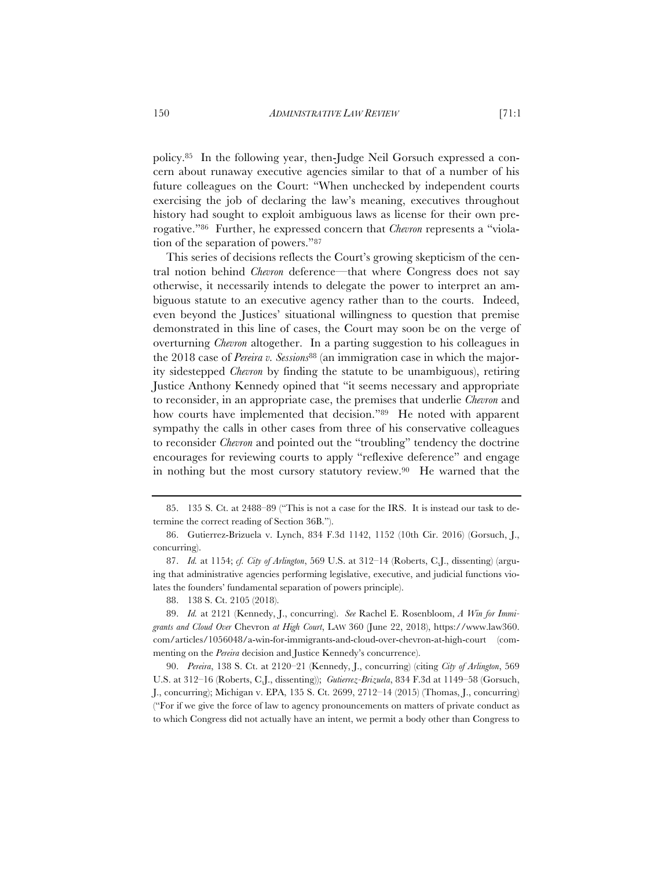policy.85 In the following year, then-Judge Neil Gorsuch expressed a concern about runaway executive agencies similar to that of a number of his future colleagues on the Court: "When unchecked by independent courts exercising the job of declaring the law's meaning, executives throughout history had sought to exploit ambiguous laws as license for their own prerogative."86 Further, he expressed concern that *Chevron* represents a "violation of the separation of powers."87

This series of decisions reflects the Court's growing skepticism of the central notion behind *Chevron* deference—that where Congress does not say otherwise, it necessarily intends to delegate the power to interpret an ambiguous statute to an executive agency rather than to the courts. Indeed, even beyond the Justices' situational willingness to question that premise demonstrated in this line of cases, the Court may soon be on the verge of overturning *Chevron* altogether. In a parting suggestion to his colleagues in the 2018 case of *Pereira v. Sessions*88 (an immigration case in which the majority sidestepped *Chevron* by finding the statute to be unambiguous), retiring Justice Anthony Kennedy opined that "it seems necessary and appropriate to reconsider, in an appropriate case, the premises that underlie *Chevron* and how courts have implemented that decision."<sup>89</sup> He noted with apparent sympathy the calls in other cases from three of his conservative colleagues to reconsider *Chevron* and pointed out the "troubling" tendency the doctrine encourages for reviewing courts to apply "reflexive deference" and engage in nothing but the most cursory statutory review.90 He warned that the

<sup>85. 135</sup> S. Ct. at 2488–89 ("This is not a case for the IRS. It is instead our task to determine the correct reading of Section 36B.").

<sup>86.</sup> Gutierrez-Brizuela v. Lynch, 834 F.3d 1142, 1152 (10th Cir. 2016) (Gorsuch, J., concurring).

<sup>87.</sup> *Id.* at 1154; *cf. City of Arlington*, 569 U.S. at 312–14 (Roberts, C.J., dissenting) (arguing that administrative agencies performing legislative, executive, and judicial functions violates the founders' fundamental separation of powers principle).

<sup>88. 138</sup> S. Ct. 2105 (2018).

<sup>89.</sup> *Id.* at 2121 (Kennedy, J., concurring). *See* Rachel E. Rosenbloom, *A Win for Immigrants and Cloud Over* Chevron *at High Court*, LAW 360 (June 22, 2018), https://www.law360. com/articles/1056048/a-win-for-immigrants-and-cloud-over-chevron-at-high-court (commenting on the *Pereira* decision and Justice Kennedy's concurrence).

<sup>90.</sup> *Pereira*, 138 S. Ct. at 2120–21 (Kennedy, J., concurring) (citing *City of Arlington*, 569 U.S. at 312–16 (Roberts, C.J., dissenting)); *Gutierrez-Brizuela*, 834 F.3d at 1149–58 (Gorsuch, J., concurring); Michigan v. EPA, 135 S. Ct. 2699, 2712–14 (2015) (Thomas, J., concurring) ("For if we give the force of law to agency pronouncements on matters of private conduct as to which Congress did not actually have an intent, we permit a body other than Congress to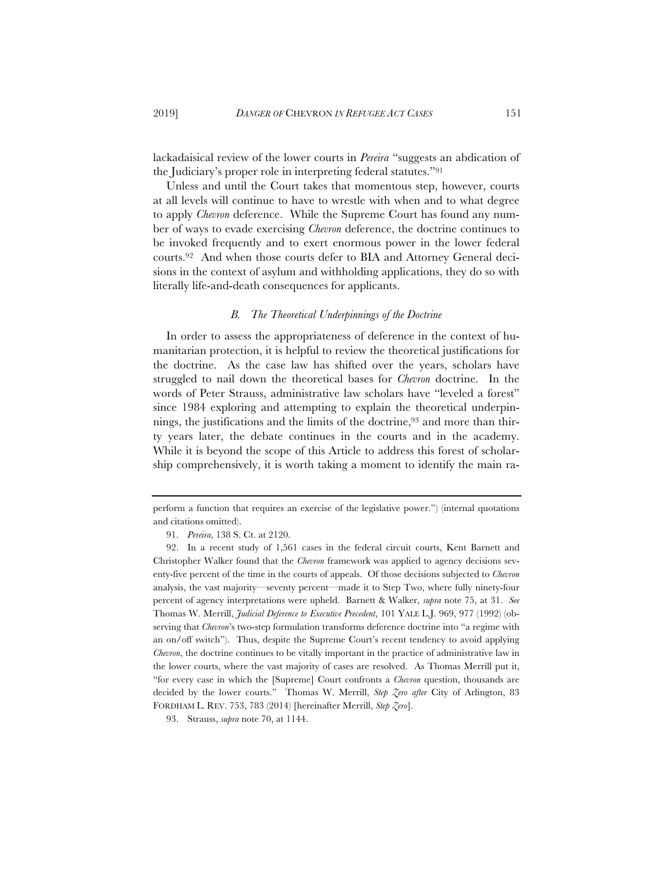lackadaisical review of the lower courts in *Pereira* "suggests an abdication of the Judiciary's proper role in interpreting federal statutes."91

Unless and until the Court takes that momentous step, however, courts at all levels will continue to have to wrestle with when and to what degree to apply *Chevron* deference. While the Supreme Court has found any number of ways to evade exercising *Chevron* deference, the doctrine continues to be invoked frequently and to exert enormous power in the lower federal courts.92 And when those courts defer to BIA and Attorney General decisions in the context of asylum and withholding applications, they do so with literally life-and-death consequences for applicants.

### *B. The Theoretical Underpinnings of the Doctrine*

In order to assess the appropriateness of deference in the context of humanitarian protection, it is helpful to review the theoretical justifications for the doctrine. As the case law has shifted over the years, scholars have struggled to nail down the theoretical bases for *Chevron* doctrine. In the words of Peter Strauss, administrative law scholars have "leveled a forest" since 1984 exploring and attempting to explain the theoretical underpinnings, the justifications and the limits of the doctrine,93 and more than thirty years later, the debate continues in the courts and in the academy. While it is beyond the scope of this Article to address this forest of scholarship comprehensively, it is worth taking a moment to identify the main ra-

perform a function that requires an exercise of the legislative power.") (internal quotations and citations omitted).

<sup>91.</sup> *Pereira*, 138 S. Ct. at 2120.

<sup>92.</sup> In a recent study of 1,561 cases in the federal circuit courts, Kent Barnett and Christopher Walker found that the *Chevron* framework was applied to agency decisions seventy-five percent of the time in the courts of appeals. Of those decisions subjected to *Chevron* analysis, the vast majority—seventy percent—made it to Step Two, where fully ninety-four percent of agency interpretations were upheld. Barnett & Walker, *supra* note 75, at 31. *See* Thomas W. Merrill, *Judicial Deference to Executive Precedent*, 101 YALE L.J. 969, 977 (1992) (observing that *Chevron*'s two-step formulation transforms deference doctrine into "a regime with an on/off switch"). Thus, despite the Supreme Court's recent tendency to avoid applying *Chevron*, the doctrine continues to be vitally important in the practice of administrative law in the lower courts, where the vast majority of cases are resolved. As Thomas Merrill put it, "for every case in which the [Supreme] Court confronts a *Chevron* question, thousands are decided by the lower courts." Thomas W. Merrill, *Step Zero after* City of Arlington, 83 FORDHAM L. REV. 753, 783 (2014) [hereinafter Merrill, *Step Zero*].

<sup>93.</sup> Strauss, *supra* note 70, at 1144.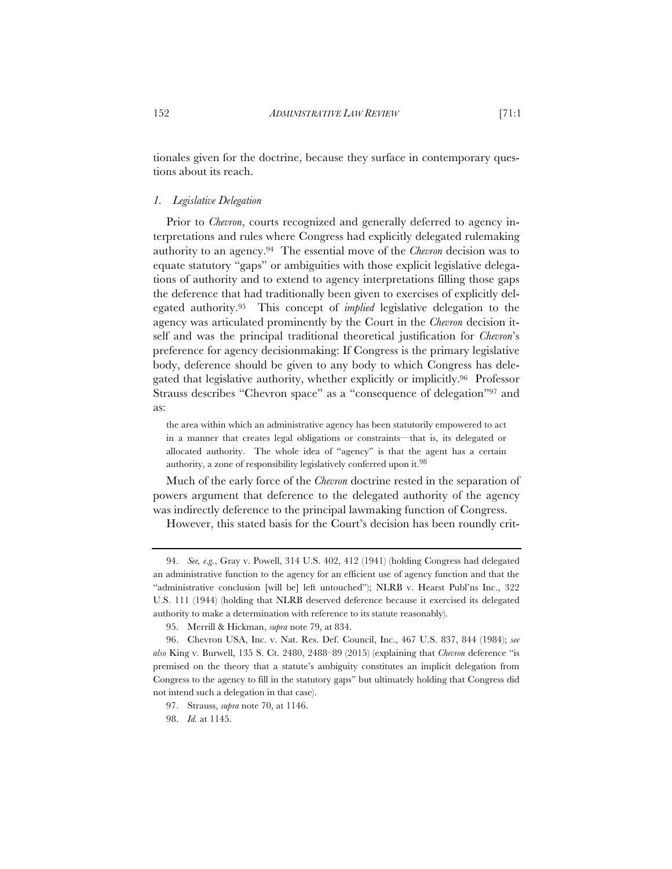tionales given for the doctrine, because they surface in contemporary questions about its reach.

### *1. Legislative Delegation*

Prior to *Chevron*, courts recognized and generally deferred to agency interpretations and rules where Congress had explicitly delegated rulemaking authority to an agency.94 The essential move of the *Chevron* decision was to equate statutory "gaps" or ambiguities with those explicit legislative delegations of authority and to extend to agency interpretations filling those gaps the deference that had traditionally been given to exercises of explicitly delegated authority.95 This concept of *implied* legislative delegation to the agency was articulated prominently by the Court in the *Chevron* decision itself and was the principal traditional theoretical justification for *Chevron*'s preference for agency decisionmaking: If Congress is the primary legislative body, deference should be given to any body to which Congress has delegated that legislative authority, whether explicitly or implicitly.96 Professor Strauss describes "Chevron space" as a "consequence of delegation"97 and as:

the area within which an administrative agency has been statutorily empowered to act in a manner that creates legal obligations or constraints—that is, its delegated or allocated authority. The whole idea of "agency" is that the agent has a certain authority, a zone of responsibility legislatively conferred upon it.98

Much of the early force of the *Chevron* doctrine rested in the separation of powers argument that deference to the delegated authority of the agency was indirectly deference to the principal lawmaking function of Congress.

However, this stated basis for the Court's decision has been roundly crit-

<sup>94.</sup> *See, e.g.*, Gray v. Powell, 314 U.S. 402, 412 (1941) (holding Congress had delegated an administrative function to the agency for an efficient use of agency function and that the "administrative conclusion [will be] left untouched"); NLRB v. Hearst Publ'ns Inc., 322 U.S. 111 (1944) (holding that NLRB deserved deference because it exercised its delegated authority to make a determination with reference to its statute reasonably).

<sup>95.</sup> Merrill & Hickman, *supra* note 79, at 834.

<sup>96.</sup> Chevron USA, Inc. v. Nat. Res. Def. Council, Inc., 467 U.S. 837, 844 (1984); *see also* King v. Burwell, 135 S. Ct. 2480, 2488–89 (2015) (explaining that *Chevron* deference "is premised on the theory that a statute's ambiguity constitutes an implicit delegation from Congress to the agency to fill in the statutory gaps" but ultimately holding that Congress did not intend such a delegation in that case).

<sup>97.</sup> Strauss, *supra* note 70, at 1146.

<sup>98.</sup> *Id.* at 1145.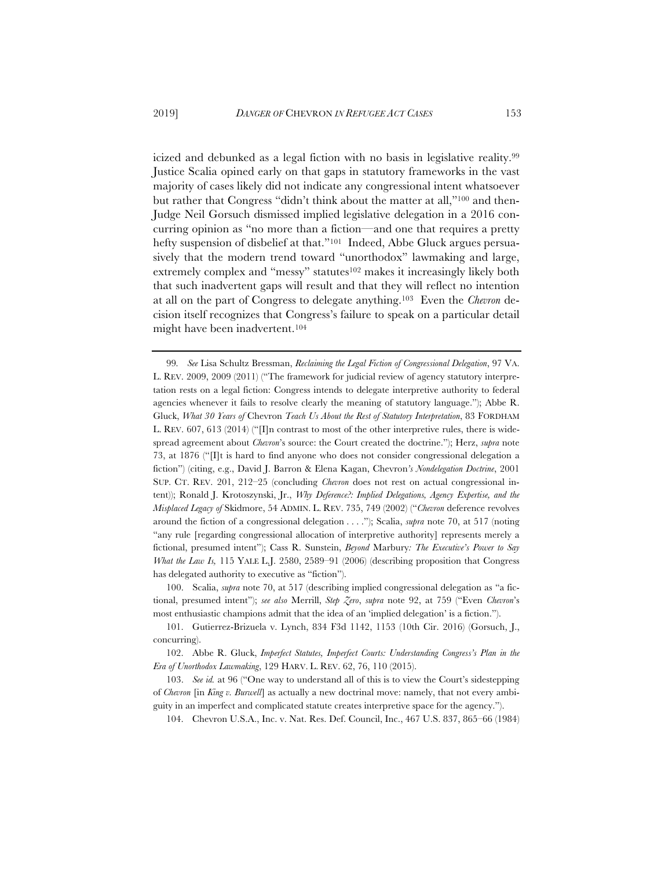icized and debunked as a legal fiction with no basis in legislative reality.99 Justice Scalia opined early on that gaps in statutory frameworks in the vast majority of cases likely did not indicate any congressional intent whatsoever but rather that Congress "didn't think about the matter at all,"100 and then-Judge Neil Gorsuch dismissed implied legislative delegation in a 2016 concurring opinion as "no more than a fiction—and one that requires a pretty hefty suspension of disbelief at that."<sup>101</sup> Indeed, Abbe Gluck argues persuasively that the modern trend toward "unorthodox" lawmaking and large, extremely complex and "messy" statutes<sup>102</sup> makes it increasingly likely both that such inadvertent gaps will result and that they will reflect no intention at all on the part of Congress to delegate anything.103 Even the *Chevron* decision itself recognizes that Congress's failure to speak on a particular detail might have been inadvertent.104

100. Scalia, *supra* note 70, at 517 (describing implied congressional delegation as "a fictional, presumed intent"); *see also* Merrill, *Step Zero*, *supra* note 92, at 759 ("Even *Chevron*'s most enthusiastic champions admit that the idea of an 'implied delegation' is a fiction.").

<sup>99</sup>*. See* Lisa Schultz Bressman, *Reclaiming the Legal Fiction of Congressional Delegation*, 97 VA. L. REV. 2009, 2009 (2011) ("The framework for judicial review of agency statutory interpretation rests on a legal fiction: Congress intends to delegate interpretive authority to federal agencies whenever it fails to resolve clearly the meaning of statutory language."); Abbe R. Gluck, *What 30 Years of* Chevron *Teach Us About the Rest of Statutory Interpretation*, 83 FORDHAM L. REV. 607, 613 (2014) (" $\Pi$ n contrast to most of the other interpretive rules, there is widespread agreement about *Chevron*'s source: the Court created the doctrine."); Herz, *supra* note 73, at 1876 ("[I]t is hard to find anyone who does not consider congressional delegation a fiction") (citing, e.g., David J. Barron & Elena Kagan, Chevron*'s Nondelegation Doctrine*, 2001 SUP. CT. REV. 201, 212–25 (concluding *Chevron* does not rest on actual congressional intent)); Ronald J. Krotoszynski, Jr., *Why Deference?: Implied Delegations, Agency Expertise, and the Misplaced Legacy of* Skidmore, 54 ADMIN. L. REV. 735, 749 (2002) ("*Chevron* deference revolves around the fiction of a congressional delegation . . . ."); Scalia, *supra* note 70, at 517 (noting "any rule [regarding congressional allocation of interpretive authority] represents merely a fictional, presumed intent"); Cass R. Sunstein, *Beyond* Marbury*: The Executive's Power to Say What the Law Is,* 115 YALE L.J. 2580, 2589–91 (2006) (describing proposition that Congress has delegated authority to executive as "fiction").

<sup>101.</sup> Gutierrez-Brizuela v. Lynch, 834 F3d 1142, 1153 (10th Cir. 2016) (Gorsuch, J., concurring).

<sup>102.</sup> Abbe R. Gluck, *Imperfect Statutes, Imperfect Courts: Understanding Congress's Plan in the Era of Unorthodox Lawmaking*, 129 HARV. L. REV. 62, 76, 110 (2015).

<sup>103.</sup> *See id.* at 96 ("One way to understand all of this is to view the Court's sidestepping of *Chevron* [in *King v. Burwell*] as actually a new doctrinal move: namely, that not every ambiguity in an imperfect and complicated statute creates interpretive space for the agency.").

<sup>104.</sup> Chevron U.S.A., Inc. v. Nat. Res. Def. Council, Inc., 467 U.S. 837, 865–66 (1984)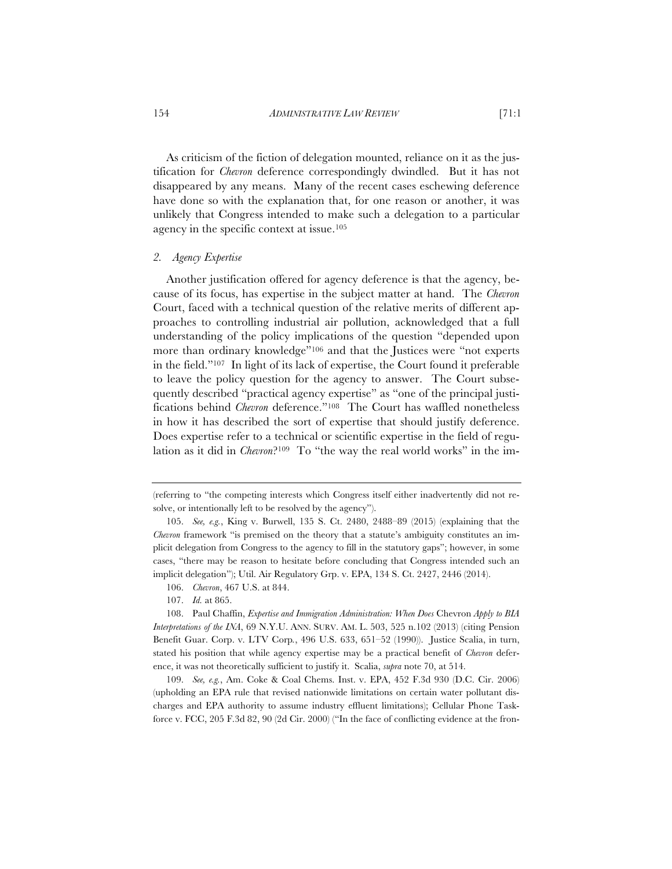As criticism of the fiction of delegation mounted, reliance on it as the justification for *Chevron* deference correspondingly dwindled. But it has not disappeared by any means. Many of the recent cases eschewing deference have done so with the explanation that, for one reason or another, it was unlikely that Congress intended to make such a delegation to a particular agency in the specific context at issue.105

#### *2. Agency Expertise*

Another justification offered for agency deference is that the agency, because of its focus, has expertise in the subject matter at hand. The *Chevron* Court, faced with a technical question of the relative merits of different approaches to controlling industrial air pollution, acknowledged that a full understanding of the policy implications of the question "depended upon more than ordinary knowledge"106 and that the Justices were "not experts in the field."107 In light of its lack of expertise, the Court found it preferable to leave the policy question for the agency to answer. The Court subsequently described "practical agency expertise" as "one of the principal justifications behind *Chevron* deference."108 The Court has waffled nonetheless in how it has described the sort of expertise that should justify deference. Does expertise refer to a technical or scientific expertise in the field of regulation as it did in *Chevron*?109 To "the way the real world works" in the im-

107. *Id.* at 865.

<sup>(</sup>referring to "the competing interests which Congress itself either inadvertently did not resolve, or intentionally left to be resolved by the agency").

<sup>105.</sup> *See, e.g.*, King v. Burwell, 135 S. Ct. 2480, 2488–89 (2015) (explaining that the *Chevron* framework "is premised on the theory that a statute's ambiguity constitutes an implicit delegation from Congress to the agency to fill in the statutory gaps"; however, in some cases, "there may be reason to hesitate before concluding that Congress intended such an implicit delegation"); Util. Air Regulatory Grp. v. EPA, 134 S. Ct. 2427, 2446 (2014).

<sup>106.</sup> *Chevron*, 467 U.S. at 844.

<sup>108.</sup> Paul Chaffin, *Expertise and Immigration Administration: When Does* Chevron *Apply to BIA Interpretations of the INA*, 69 N.Y.U. ANN. SURV. AM. L. 503, 525 n.102 (2013) (citing Pension Benefit Guar. Corp. v. LTV Corp*.*, 496 U.S. 633, 651–52 (1990)). Justice Scalia, in turn, stated his position that while agency expertise may be a practical benefit of *Chevron* deference, it was not theoretically sufficient to justify it. Scalia, *supra* note 70, at 514.

<sup>109.</sup> *See, e.g.*, Am. Coke & Coal Chems. Inst. v. EPA, 452 F.3d 930 (D.C. Cir. 2006) (upholding an EPA rule that revised nationwide limitations on certain water pollutant discharges and EPA authority to assume industry effluent limitations); Cellular Phone Taskforce v. FCC, 205 F.3d 82, 90 (2d Cir. 2000) ("In the face of conflicting evidence at the fron-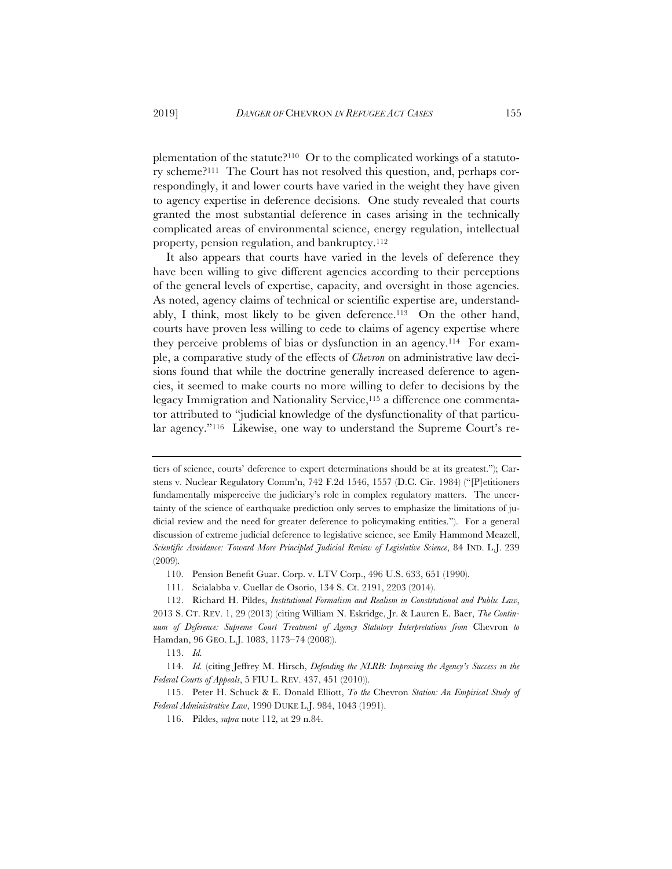plementation of the statute?110 Or to the complicated workings of a statutory scheme?111 The Court has not resolved this question, and, perhaps correspondingly, it and lower courts have varied in the weight they have given to agency expertise in deference decisions. One study revealed that courts granted the most substantial deference in cases arising in the technically complicated areas of environmental science, energy regulation, intellectual property, pension regulation, and bankruptcy.112

It also appears that courts have varied in the levels of deference they have been willing to give different agencies according to their perceptions of the general levels of expertise, capacity, and oversight in those agencies. As noted, agency claims of technical or scientific expertise are, understandably, I think, most likely to be given deference.113 On the other hand, courts have proven less willing to cede to claims of agency expertise where they perceive problems of bias or dysfunction in an agency.114 For example, a comparative study of the effects of *Chevron* on administrative law decisions found that while the doctrine generally increased deference to agencies, it seemed to make courts no more willing to defer to decisions by the legacy Immigration and Nationality Service,115 a difference one commentator attributed to "judicial knowledge of the dysfunctionality of that particular agency."116 Likewise, one way to understand the Supreme Court's re-

tiers of science, courts' deference to expert determinations should be at its greatest."); Carstens v. Nuclear Regulatory Comm'n, 742 F.2d 1546, 1557 (D.C. Cir. 1984) ("[P]etitioners fundamentally misperceive the judiciary's role in complex regulatory matters. The uncertainty of the science of earthquake prediction only serves to emphasize the limitations of judicial review and the need for greater deference to policymaking entities."). For a general discussion of extreme judicial deference to legislative science, see Emily Hammond Meazell, *Scientific Avoidance: Toward More Principled Judicial Review of Legislative Science*, 84 IND. L.J. 239 (2009).

<sup>110.</sup> Pension Benefit Guar. Corp. v. LTV Corp., 496 U.S. 633, 651 (1990).

<sup>111.</sup> Scialabba v. Cuellar de Osorio, 134 S. Ct. 2191, 2203 (2014).

<sup>112.</sup> Richard H. Pildes, *Institutional Formalism and Realism in Constitutional and Public Law*, 2013 S. CT. REV. 1, 29 (2013) (citing William N. Eskridge, Jr. & Lauren E. Baer, *The Continuum of Deference: Supreme Court Treatment of Agency Statutory Interpretations from* Chevron *to*  Hamdan, 96 GEO. L.J. 1083, 1173–74 (2008)).

<sup>113.</sup> *Id.*

<sup>114.</sup> *Id.* (citing Jeffrey M. Hirsch, *Defending the NLRB: Improving the Agency's Success in the Federal Courts of Appeals*, 5 FIU L. REV. 437, 451 (2010)).

<sup>115.</sup> Peter H. Schuck & E. Donald Elliott, *To the* Chevron *Station: An Empirical Study of Federal Administrative Law*, 1990 DUKE L.J. 984, 1043 (1991).

<sup>116.</sup> Pildes, *supra* note 112*,* at 29 n.84.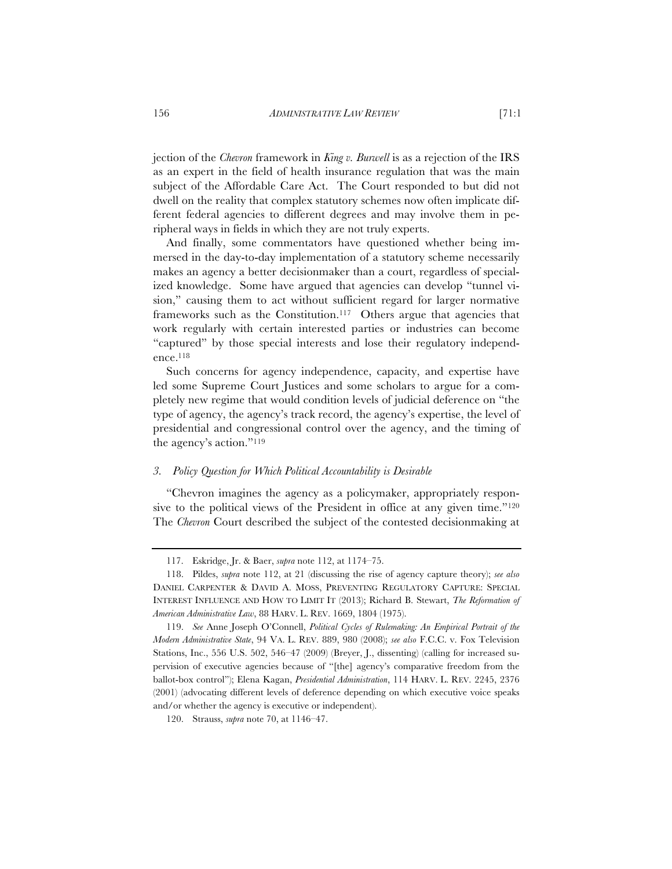jection of the *Chevron* framework in *King v. Burwell* is as a rejection of the IRS as an expert in the field of health insurance regulation that was the main subject of the Affordable Care Act. The Court responded to but did not dwell on the reality that complex statutory schemes now often implicate different federal agencies to different degrees and may involve them in peripheral ways in fields in which they are not truly experts.

And finally, some commentators have questioned whether being immersed in the day-to-day implementation of a statutory scheme necessarily makes an agency a better decisionmaker than a court, regardless of specialized knowledge. Some have argued that agencies can develop "tunnel vision," causing them to act without sufficient regard for larger normative frameworks such as the Constitution.117 Others argue that agencies that work regularly with certain interested parties or industries can become "captured" by those special interests and lose their regulatory independence.118

Such concerns for agency independence, capacity, and expertise have led some Supreme Court Justices and some scholars to argue for a completely new regime that would condition levels of judicial deference on "the type of agency, the agency's track record, the agency's expertise, the level of presidential and congressional control over the agency, and the timing of the agency's action."119

## *3. Policy Question for Which Political Accountability is Desirable*

"Chevron imagines the agency as a policymaker, appropriately responsive to the political views of the President in office at any given time."<sup>120</sup> The *Chevron* Court described the subject of the contested decisionmaking at

<sup>117.</sup> Eskridge, Jr. & Baer, *supra* note 112, at 1174–75.

<sup>118.</sup> Pildes, *supra* note 112, at 21 (discussing the rise of agency capture theory); *see also* DANIEL CARPENTER & DAVID A. MOSS, PREVENTING REGULATORY CAPTURE: SPECIAL INTEREST INFLUENCE AND HOW TO LIMIT IT (2013); Richard B. Stewart, *The Reformation of American Administrative Law*, 88 HARV. L. REV. 1669, 1804 (1975).

<sup>119.</sup> *See* Anne Joseph O'Connell, *Political Cycles of Rulemaking: An Empirical Portrait of the Modern Administrative State*, 94 VA. L. REV. 889, 980 (2008); *see also* F.C.C. v. Fox Television Stations, Inc., 556 U.S. 502, 546–47 (2009) (Breyer, J., dissenting) (calling for increased supervision of executive agencies because of "[the] agency's comparative freedom from the ballot-box control"); Elena Kagan, *Presidential Administration*, 114 HARV. L. REV. 2245, 2376 (2001) (advocating different levels of deference depending on which executive voice speaks and/or whether the agency is executive or independent).

<sup>120.</sup> Strauss, *supra* note 70, at 1146–47.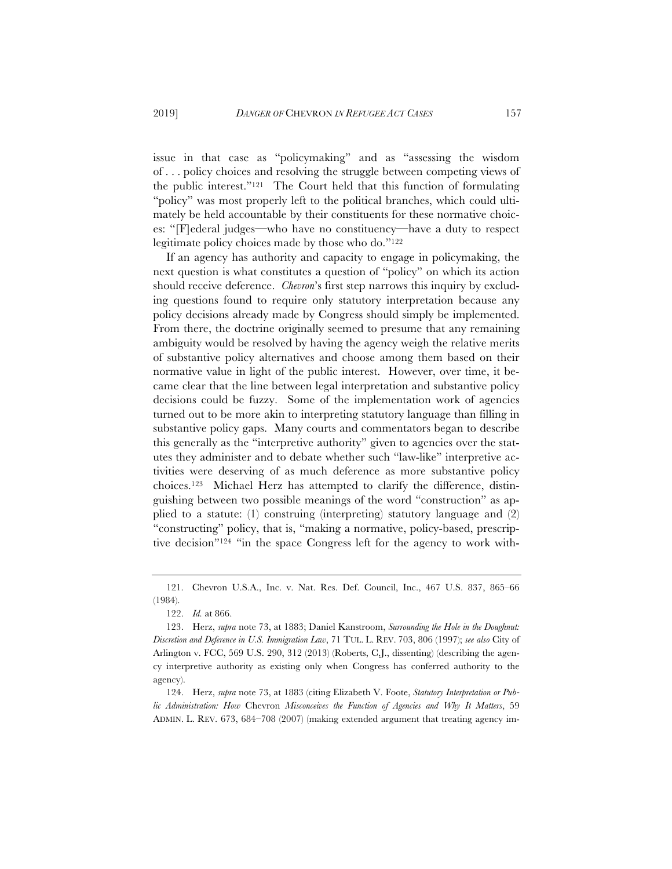issue in that case as "policymaking" and as "assessing the wisdom of . . . policy choices and resolving the struggle between competing views of the public interest."121 The Court held that this function of formulating "policy" was most properly left to the political branches, which could ultimately be held accountable by their constituents for these normative choices: "[F]ederal judges—who have no constituency—have a duty to respect legitimate policy choices made by those who do."122

If an agency has authority and capacity to engage in policymaking, the next question is what constitutes a question of "policy" on which its action should receive deference. *Chevron*'s first step narrows this inquiry by excluding questions found to require only statutory interpretation because any policy decisions already made by Congress should simply be implemented. From there, the doctrine originally seemed to presume that any remaining ambiguity would be resolved by having the agency weigh the relative merits of substantive policy alternatives and choose among them based on their normative value in light of the public interest. However, over time, it became clear that the line between legal interpretation and substantive policy decisions could be fuzzy. Some of the implementation work of agencies turned out to be more akin to interpreting statutory language than filling in substantive policy gaps. Many courts and commentators began to describe this generally as the "interpretive authority" given to agencies over the statutes they administer and to debate whether such "law-like" interpretive activities were deserving of as much deference as more substantive policy choices.123 Michael Herz has attempted to clarify the difference, distinguishing between two possible meanings of the word "construction" as applied to a statute: (1) construing (interpreting) statutory language and (2) "constructing" policy, that is, "making a normative, policy-based, prescriptive decision"124 "in the space Congress left for the agency to work with-

<sup>121.</sup> Chevron U.S.A., Inc. v. Nat. Res. Def. Council, Inc., 467 U.S. 837, 865–66 (1984).

<sup>122.</sup> *Id.* at 866.

<sup>123.</sup> Herz, *supra* note 73, at 1883; Daniel Kanstroom, *Surrounding the Hole in the Doughnut: Discretion and Deference in U.S. Immigration Law*, 71 TUL. L. REV. 703, 806 (1997); *see also* City of Arlington v. FCC, 569 U.S. 290, 312 (2013) (Roberts, C.J., dissenting) (describing the agency interpretive authority as existing only when Congress has conferred authority to the agency).

<sup>124.</sup> Herz, *supra* note 73, at 1883 (citing Elizabeth V. Foote, *Statutory Interpretation or Public Administration: How* Chevron *Misconceives the Function of Agencies and Why It Matters*, 59 ADMIN. L. REV. 673, 684–708 (2007) (making extended argument that treating agency im-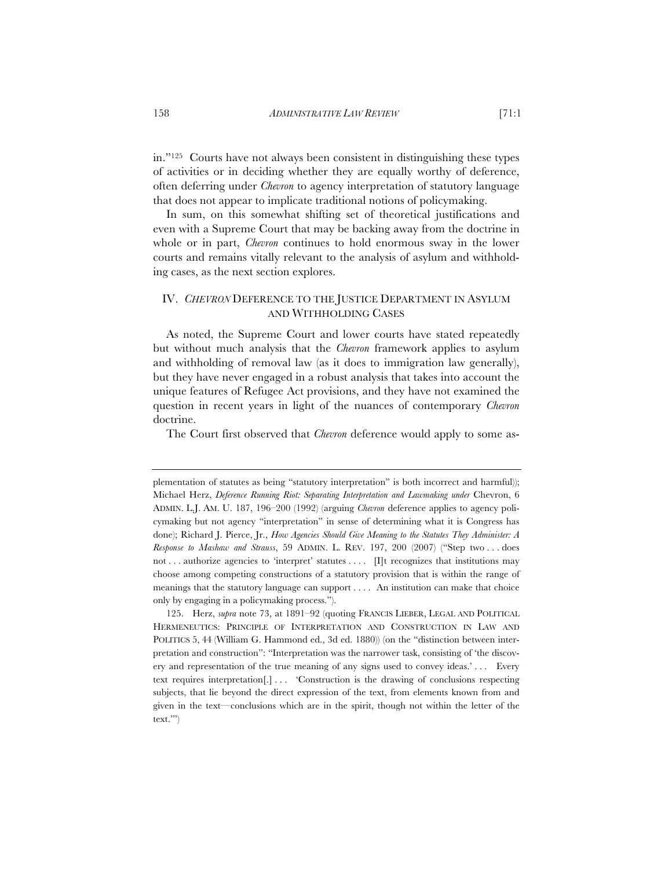in."125 Courts have not always been consistent in distinguishing these types of activities or in deciding whether they are equally worthy of deference, often deferring under *Chevron* to agency interpretation of statutory language that does not appear to implicate traditional notions of policymaking.

In sum, on this somewhat shifting set of theoretical justifications and even with a Supreme Court that may be backing away from the doctrine in whole or in part, *Chevron* continues to hold enormous sway in the lower courts and remains vitally relevant to the analysis of asylum and withholding cases, as the next section explores.

# IV. *CHEVRON* DEFERENCE TO THE JUSTICE DEPARTMENT IN ASYLUM AND WITHHOLDING CASES

As noted, the Supreme Court and lower courts have stated repeatedly but without much analysis that the *Chevron* framework applies to asylum and withholding of removal law (as it does to immigration law generally), but they have never engaged in a robust analysis that takes into account the unique features of Refugee Act provisions, and they have not examined the question in recent years in light of the nuances of contemporary *Chevron*  doctrine.

The Court first observed that *Chevron* deference would apply to some as-

plementation of statutes as being "statutory interpretation" is both incorrect and harmful)); Michael Herz, *Deference Running Riot: Separating Interpretation and Lawmaking under* Chevron, 6 ADMIN. L.J. AM. U. 187, 196–200 (1992) (arguing *Chevron* deference applies to agency policymaking but not agency "interpretation" in sense of determining what it is Congress has done); Richard J. Pierce, Jr., *How Agencies Should Give Meaning to the Statutes They Administer: A Response to Mashaw and Strauss*, 59 ADMIN. L. REV. 197, 200 (2007) ("Step two . . . does not . . . authorize agencies to 'interpret' statutes . . . . . . . The recognizes that institutions may choose among competing constructions of a statutory provision that is within the range of meanings that the statutory language can support . . . . An institution can make that choice only by engaging in a policymaking process.").

<sup>125.</sup> Herz, *supra* note 73, at 1891–92 (quoting FRANCIS LIEBER, LEGAL AND POLITICAL HERMENEUTICS: PRINCIPLE OF INTERPRETATION AND CONSTRUCTION IN LAW AND POLITICS 5, 44 (William G. Hammond ed., 3d ed. 1880)) (on the "distinction between interpretation and construction": "Interpretation was the narrower task, consisting of 'the discovery and representation of the true meaning of any signs used to convey ideas.' . . . Every text requires interpretation[.] . . . 'Construction is the drawing of conclusions respecting subjects, that lie beyond the direct expression of the text, from elements known from and given in the text—conclusions which are in the spirit, though not within the letter of the text.'")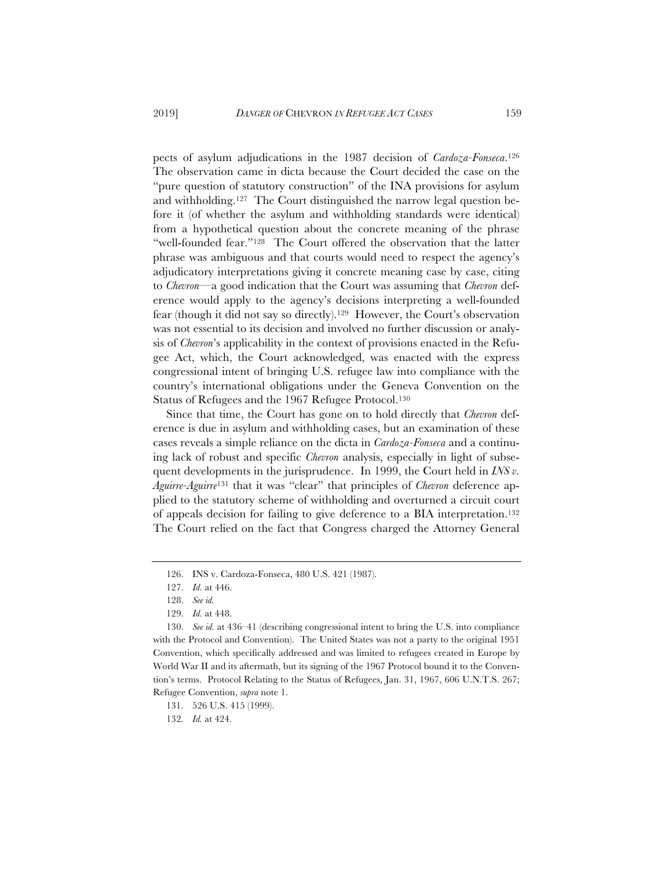pects of asylum adjudications in the 1987 decision of *Cardoza-Fonseca*.126 The observation came in dicta because the Court decided the case on the "pure question of statutory construction" of the INA provisions for asylum and withholding.127 The Court distinguished the narrow legal question before it (of whether the asylum and withholding standards were identical) from a hypothetical question about the concrete meaning of the phrase "well-founded fear."128 The Court offered the observation that the latter phrase was ambiguous and that courts would need to respect the agency's adjudicatory interpretations giving it concrete meaning case by case, citing to *Chevron*—a good indication that the Court was assuming that *Chevron* deference would apply to the agency's decisions interpreting a well-founded fear (though it did not say so directly).129 However, the Court's observation was not essential to its decision and involved no further discussion or analysis of *Chevron*'s applicability in the context of provisions enacted in the Refugee Act, which, the Court acknowledged, was enacted with the express congressional intent of bringing U.S. refugee law into compliance with the country's international obligations under the Geneva Convention on the Status of Refugees and the 1967 Refugee Protocol.130

Since that time, the Court has gone on to hold directly that *Chevron* deference is due in asylum and withholding cases, but an examination of these cases reveals a simple reliance on the dicta in *Cardoza-Fonseca* and a continuing lack of robust and specific *Chevron* analysis, especially in light of subsequent developments in the jurisprudence. In 1999, the Court held in *INS v. Aguirre-Aguirre*<sup>131</sup> that it was "clear" that principles of *Chevron* deference applied to the statutory scheme of withholding and overturned a circuit court of appeals decision for failing to give deference to a BIA interpretation.132 The Court relied on the fact that Congress charged the Attorney General

131. 526 U.S. 415 (1999).

132*. Id.* at 424.

<sup>126.</sup> INS v. Cardoza-Fonseca, 480 U.S. 421 (1987).

<sup>127.</sup> *Id.* at 446.

<sup>128.</sup> *See id.*

<sup>129.</sup> *Id.* at 448.

<sup>130.</sup> *See id.* at 436–41 (describing congressional intent to bring the U.S. into compliance with the Protocol and Convention). The United States was not a party to the original 1951 Convention, which specifically addressed and was limited to refugees created in Europe by World War II and its aftermath, but its signing of the 1967 Protocol bound it to the Convention's terms. Protocol Relating to the Status of Refugees, Jan. 31, 1967, 606 U.N.T.S. 267; Refugee Convention, *supra* note 1.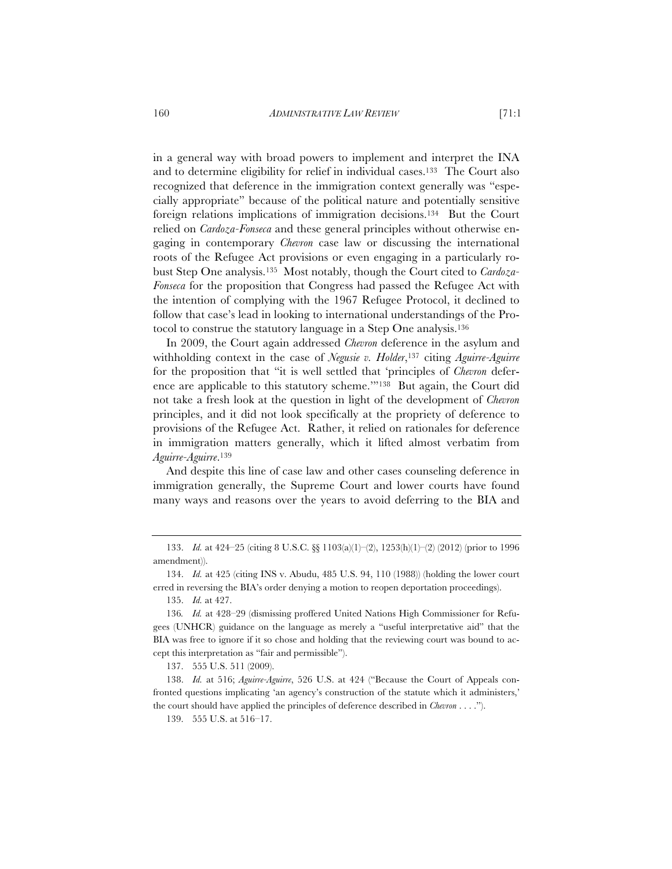in a general way with broad powers to implement and interpret the INA and to determine eligibility for relief in individual cases.133 The Court also recognized that deference in the immigration context generally was "especially appropriate" because of the political nature and potentially sensitive foreign relations implications of immigration decisions.134 But the Court relied on *Cardoza-Fonseca* and these general principles without otherwise engaging in contemporary *Chevron* case law or discussing the international roots of the Refugee Act provisions or even engaging in a particularly robust Step One analysis.135 Most notably, though the Court cited to *Cardoza-Fonseca* for the proposition that Congress had passed the Refugee Act with the intention of complying with the 1967 Refugee Protocol, it declined to follow that case's lead in looking to international understandings of the Protocol to construe the statutory language in a Step One analysis.136

In 2009, the Court again addressed *Chevron* deference in the asylum and withholding context in the case of *Negusie v. Holder*,137 citing *Aguirre-Aguirre* for the proposition that "it is well settled that 'principles of *Chevron* deference are applicable to this statutory scheme.'"138 But again, the Court did not take a fresh look at the question in light of the development of *Chevron*  principles, and it did not look specifically at the propriety of deference to provisions of the Refugee Act. Rather, it relied on rationales for deference in immigration matters generally, which it lifted almost verbatim from *Aguirre-Aguirre*.139

And despite this line of case law and other cases counseling deference in immigration generally, the Supreme Court and lower courts have found many ways and reasons over the years to avoid deferring to the BIA and

135. *Id.* at 427.

137. 555 U.S. 511 (2009).

138. *Id.* at 516; *Aguirre-Aguirre*, 526 U.S. at 424 ("Because the Court of Appeals confronted questions implicating 'an agency's construction of the statute which it administers,' the court should have applied the principles of deference described in *Chevron* . . . .").

139. 555 U.S. at 516–17.

<sup>133.</sup> *Id.* at 424–25 (citing 8 U.S.C. §§ 1103(a)(1)–(2), 1253(h)(1)–(2) (2012) (prior to 1996 amendment)).

<sup>134.</sup> *Id.* at 425 (citing INS v. Abudu, 485 U.S. 94, 110 (1988)) (holding the lower court erred in reversing the BIA's order denying a motion to reopen deportation proceedings).

<sup>136</sup>*. Id.* at 428–29 (dismissing proffered United Nations High Commissioner for Refugees (UNHCR) guidance on the language as merely a "useful interpretative aid" that the BIA was free to ignore if it so chose and holding that the reviewing court was bound to accept this interpretation as "fair and permissible").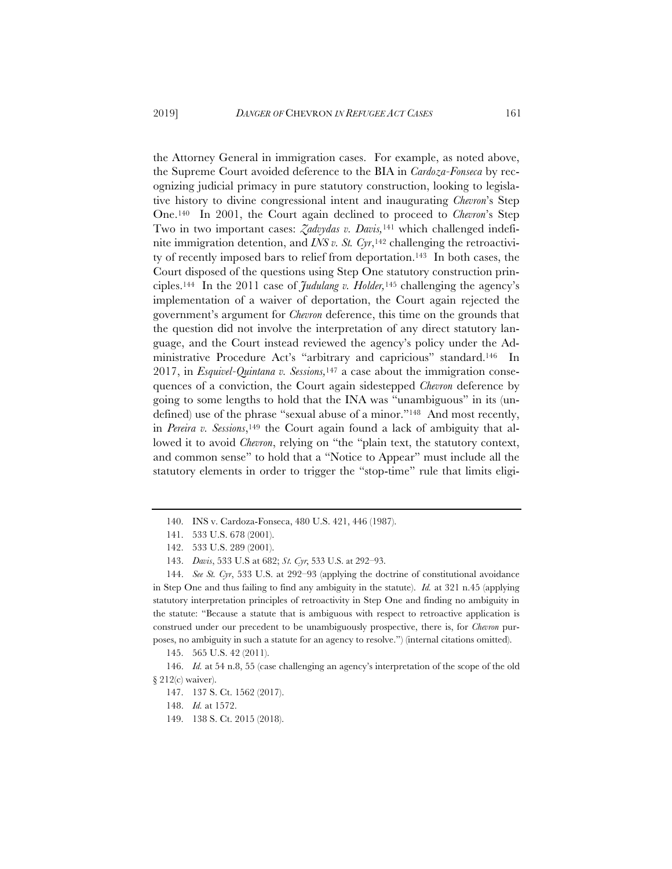the Attorney General in immigration cases. For example, as noted above, the Supreme Court avoided deference to the BIA in *Cardoza-Fonseca* by recognizing judicial primacy in pure statutory construction, looking to legislative history to divine congressional intent and inaugurating *Chevron*'s Step One.140 In 2001, the Court again declined to proceed to *Chevron*'s Step Two in two important cases: *Zadvydas v. Davis,*<sup>141</sup> which challenged indefinite immigration detention, and *INS v. St. Cyr*,<sup>142</sup> challenging the retroactivity of recently imposed bars to relief from deportation.143 In both cases, the Court disposed of the questions using Step One statutory construction principles.144 In the 2011 case of *Judulang v. Holder,*<sup>145</sup> challenging the agency's implementation of a waiver of deportation, the Court again rejected the government's argument for *Chevron* deference, this time on the grounds that the question did not involve the interpretation of any direct statutory language, and the Court instead reviewed the agency's policy under the Administrative Procedure Act's "arbitrary and capricious" standard.146 In 2017, in *Esquivel-Quintana v. Sessions,*<sup>147</sup> a case about the immigration consequences of a conviction, the Court again sidestepped *Chevron* deference by going to some lengths to hold that the INA was "unambiguous" in its (undefined) use of the phrase "sexual abuse of a minor."148 And most recently, in *Pereira v. Sessions*,<sup>149</sup> the Court again found a lack of ambiguity that allowed it to avoid *Chevron*, relying on "the "plain text, the statutory context, and common sense" to hold that a "Notice to Appear" must include all the statutory elements in order to trigger the "stop-time" rule that limits eligi-

<sup>140.</sup> INS v. Cardoza-Fonseca, 480 U.S. 421, 446 (1987).

<sup>141. 533</sup> U.S. 678 (2001).

<sup>142. 533</sup> U.S. 289 (2001).

<sup>143.</sup> *Davis*, 533 U.S at 682; *St. Cyr*, 533 U.S. at 292–93.

<sup>144.</sup> *See St. Cyr*, 533 U.S. at 292–93 (applying the doctrine of constitutional avoidance in Step One and thus failing to find any ambiguity in the statute). *Id.* at 321 n.45 (applying statutory interpretation principles of retroactivity in Step One and finding no ambiguity in the statute: "Because a statute that is ambiguous with respect to retroactive application is construed under our precedent to be unambiguously prospective, there is, for *Chevron* purposes, no ambiguity in such a statute for an agency to resolve.") (internal citations omitted).

<sup>145. 565</sup> U.S. 42 (2011).

<sup>146.</sup> *Id.* at 54 n.8, 55 (case challenging an agency's interpretation of the scope of the old § 212(c) waiver).

<sup>147. 137</sup> S. Ct. 1562 (2017).

<sup>148.</sup> *Id.* at 1572.

<sup>149. 138</sup> S. Ct. 2015 (2018).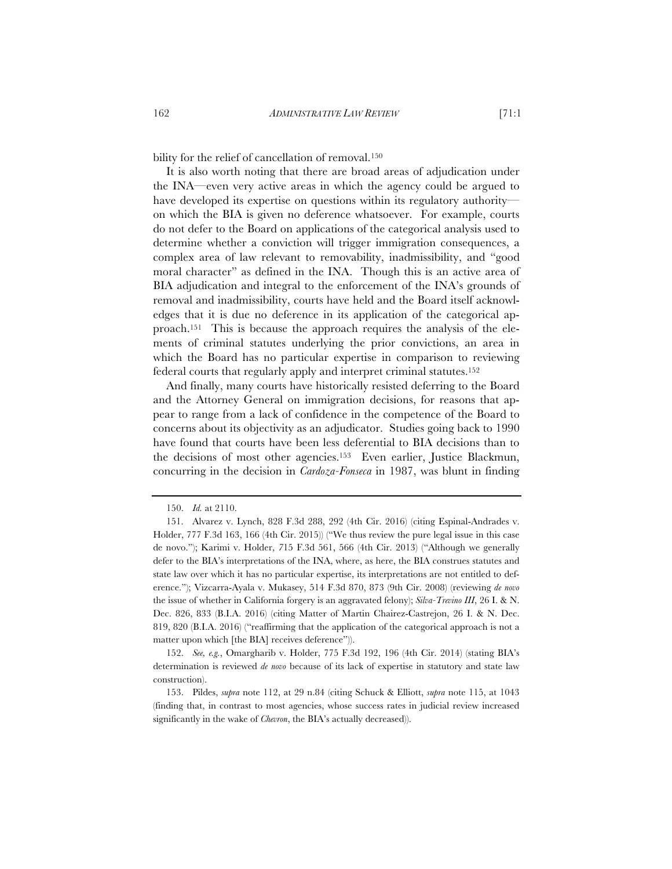bility for the relief of cancellation of removal.<sup>150</sup>

It is also worth noting that there are broad areas of adjudication under the INA—even very active areas in which the agency could be argued to have developed its expertise on questions within its regulatory authority on which the BIA is given no deference whatsoever. For example, courts do not defer to the Board on applications of the categorical analysis used to determine whether a conviction will trigger immigration consequences, a complex area of law relevant to removability, inadmissibility, and "good moral character" as defined in the INA. Though this is an active area of BIA adjudication and integral to the enforcement of the INA's grounds of removal and inadmissibility, courts have held and the Board itself acknowledges that it is due no deference in its application of the categorical approach.151 This is because the approach requires the analysis of the elements of criminal statutes underlying the prior convictions, an area in which the Board has no particular expertise in comparison to reviewing federal courts that regularly apply and interpret criminal statutes.152

And finally, many courts have historically resisted deferring to the Board and the Attorney General on immigration decisions, for reasons that appear to range from a lack of confidence in the competence of the Board to concerns about its objectivity as an adjudicator. Studies going back to 1990 have found that courts have been less deferential to BIA decisions than to the decisions of most other agencies.153 Even earlier, Justice Blackmun, concurring in the decision in *Cardoza-Fonseca* in 1987, was blunt in finding

152. *See, e.g.*, Omargharib v. Holder, 775 F.3d 192, 196 (4th Cir. 2014) (stating BIA's determination is reviewed *de novo* because of its lack of expertise in statutory and state law construction).

<sup>150.</sup> *Id.* at 2110.

<sup>151.</sup> Alvarez v. Lynch, 828 F.3d 288, 292 (4th Cir. 2016) (citing Espinal-Andrades v. Holder, 777 F.3d 163, 166 (4th Cir. 2015)) ("We thus review the pure legal issue in this case de novo."); Karimi v. Holder, *7*15 F.3d 561, 566 (4th Cir. 2013) ("Although we generally defer to the BIA's interpretations of the INA, where, as here, the BIA construes statutes and state law over which it has no particular expertise, its interpretations are not entitled to deference."); Vizcarra-Ayala v. Mukasey, 514 F.3d 870, 873 (9th Cir. 2008) (reviewing *de novo* the issue of whether in California forgery is an aggravated felony); *Silva-Trevino III*, 26 I. & N. Dec. 826, 833 (B.I.A. 2016) (citing Matter of Martin Chairez-Castrejon, 26 I. & N. Dec. 819, 820 (B.I.A. 2016) ("reaffirming that the application of the categorical approach is not a matter upon which [the BIA] receives deference")).

<sup>153.</sup> Pildes, *supra* note 112, at 29 n.84 (citing Schuck & Elliott, *supra* note 115, at 1043 (finding that, in contrast to most agencies, whose success rates in judicial review increased significantly in the wake of *Chevron*, the BIA's actually decreased)).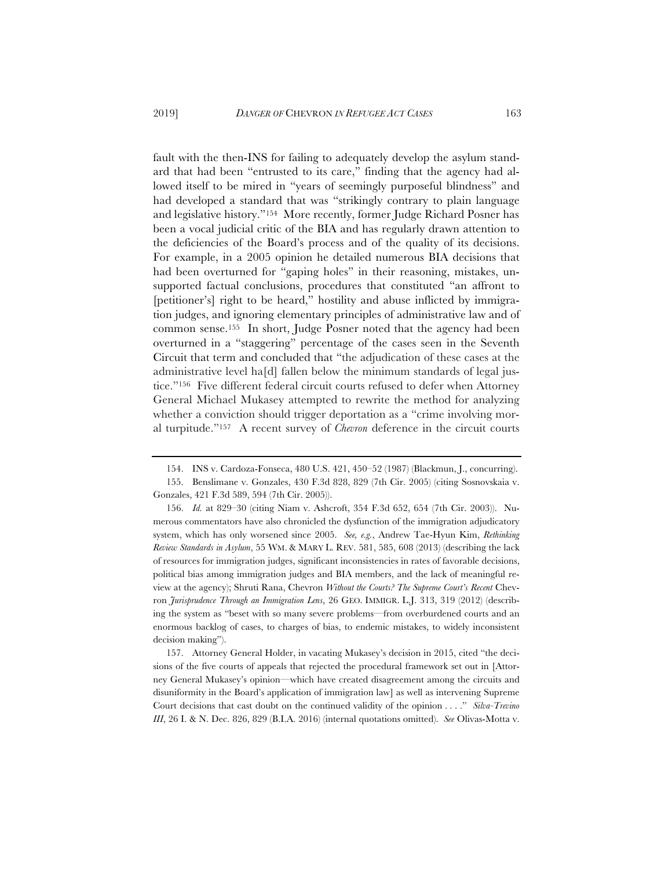fault with the then-INS for failing to adequately develop the asylum standard that had been "entrusted to its care," finding that the agency had allowed itself to be mired in "years of seemingly purposeful blindness" and had developed a standard that was "strikingly contrary to plain language and legislative history."154 More recently, former Judge Richard Posner has been a vocal judicial critic of the BIA and has regularly drawn attention to the deficiencies of the Board's process and of the quality of its decisions. For example, in a 2005 opinion he detailed numerous BIA decisions that had been overturned for "gaping holes" in their reasoning, mistakes, unsupported factual conclusions, procedures that constituted "an affront to [petitioner's] right to be heard," hostility and abuse inflicted by immigration judges, and ignoring elementary principles of administrative law and of common sense.155 In short, Judge Posner noted that the agency had been overturned in a "staggering" percentage of the cases seen in the Seventh Circuit that term and concluded that "the adjudication of these cases at the administrative level ha[d] fallen below the minimum standards of legal justice."156 Five different federal circuit courts refused to defer when Attorney General Michael Mukasey attempted to rewrite the method for analyzing whether a conviction should trigger deportation as a "crime involving moral turpitude."157 A recent survey of *Chevron* deference in the circuit courts

157. Attorney General Holder, in vacating Mukasey's decision in 2015, cited "the decisions of the five courts of appeals that rejected the procedural framework set out in [Attorney General Mukasey's opinion—which have created disagreement among the circuits and disuniformity in the Board's application of immigration law] as well as intervening Supreme Court decisions that cast doubt on the continued validity of the opinion . . . ." *Silva-Trevino III*, 26 I. & N. Dec. 826, 829 (B.I.A. 2016) (internal quotations omitted). *See* Olivas-Motta v.

<sup>154.</sup> INS v. Cardoza-Fonseca, 480 U.S. 421, 450–52 (1987) (Blackmun, J., concurring).

<sup>155.</sup> Benslimane v. Gonzales, 430 F.3d 828, 829 (7th Cir. 2005) (citing Sosnovskaia v. Gonzales, 421 F.3d 589, 594 (7th Cir. 2005)).

<sup>156.</sup> *Id.* at 829–30 (citing Niam v. Ashcroft, 354 F.3d 652, 654 (7th Cir. 2003)). Numerous commentators have also chronicled the dysfunction of the immigration adjudicatory system, which has only worsened since 2005. *See, e.g.*, Andrew Tae-Hyun Kim, *Rethinking Review Standards in Asylum*, 55 WM.&MARY L. REV. 581, 585, 608 (2013) (describing the lack of resources for immigration judges, significant inconsistencies in rates of favorable decisions, political bias among immigration judges and BIA members, and the lack of meaningful review at the agency); Shruti Rana, Chevron *Without the Courts? The Supreme Court's Recent* Chevron *Jurisprudence Through an Immigration Lens*, 26 GEO. IMMIGR. L.J. 313, 319 (2012) (describing the system as "beset with so many severe problems—from overburdened courts and an enormous backlog of cases, to charges of bias, to endemic mistakes, to widely inconsistent decision making").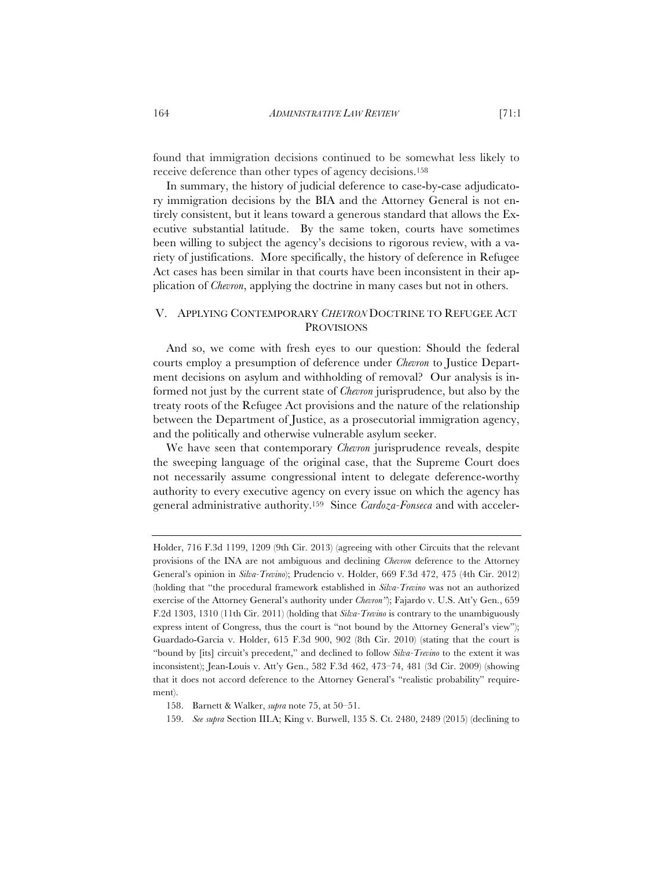found that immigration decisions continued to be somewhat less likely to receive deference than other types of agency decisions.158

In summary, the history of judicial deference to case-by-case adjudicatory immigration decisions by the BIA and the Attorney General is not entirely consistent, but it leans toward a generous standard that allows the Executive substantial latitude. By the same token, courts have sometimes been willing to subject the agency's decisions to rigorous review, with a variety of justifications. More specifically, the history of deference in Refugee Act cases has been similar in that courts have been inconsistent in their application of *Chevron*, applying the doctrine in many cases but not in others.

# V. APPLYING CONTEMPORARY *CHEVRON* DOCTRINE TO REFUGEE ACT **PROVISIONS**

And so, we come with fresh eyes to our question: Should the federal courts employ a presumption of deference under *Chevron* to Justice Department decisions on asylum and withholding of removal? Our analysis is informed not just by the current state of *Chevron* jurisprudence, but also by the treaty roots of the Refugee Act provisions and the nature of the relationship between the Department of Justice, as a prosecutorial immigration agency, and the politically and otherwise vulnerable asylum seeker.

We have seen that contemporary *Chevron* jurisprudence reveals, despite the sweeping language of the original case, that the Supreme Court does not necessarily assume congressional intent to delegate deference-worthy authority to every executive agency on every issue on which the agency has general administrative authority.159 Since *Cardoza-Fonseca* and with acceler-

Holder, 716 F.3d 1199, 1209 (9th Cir. 2013) (agreeing with other Circuits that the relevant provisions of the INA are not ambiguous and declining *Chevron* deference to the Attorney General's opinion in *Silva-Trevino*); Prudencio v. Holder, 669 F.3d 472, 475 (4th Cir. 2012) (holding that "the procedural framework established in *Silva-Trevino* was not an authorized exercise of the Attorney General's authority under *Chevron"*); Fajardo v. U.S. Att'y Gen., 659 F.2d 1303, 1310 (11th Cir. 2011) (holding that *Silva-Trevino* is contrary to the unambiguously express intent of Congress, thus the court is "not bound by the Attorney General's view"); Guardado-Garcia v. Holder, 615 F.3d 900, 902 (8th Cir. 2010) (stating that the court is "bound by [its] circuit's precedent," and declined to follow *Silva-Trevino* to the extent it was inconsistent); Jean-Louis v. Att'y Gen., 582 F.3d 462, 473–74, 481 (3d Cir. 2009) (showing that it does not accord deference to the Attorney General's "realistic probability" requirement).

<sup>158.</sup> Barnett & Walker, *supra* note 75, at 50–51.

<sup>159.</sup> *See supra* Section III.A; King v. Burwell, 135 S. Ct. 2480, 2489 (2015) (declining to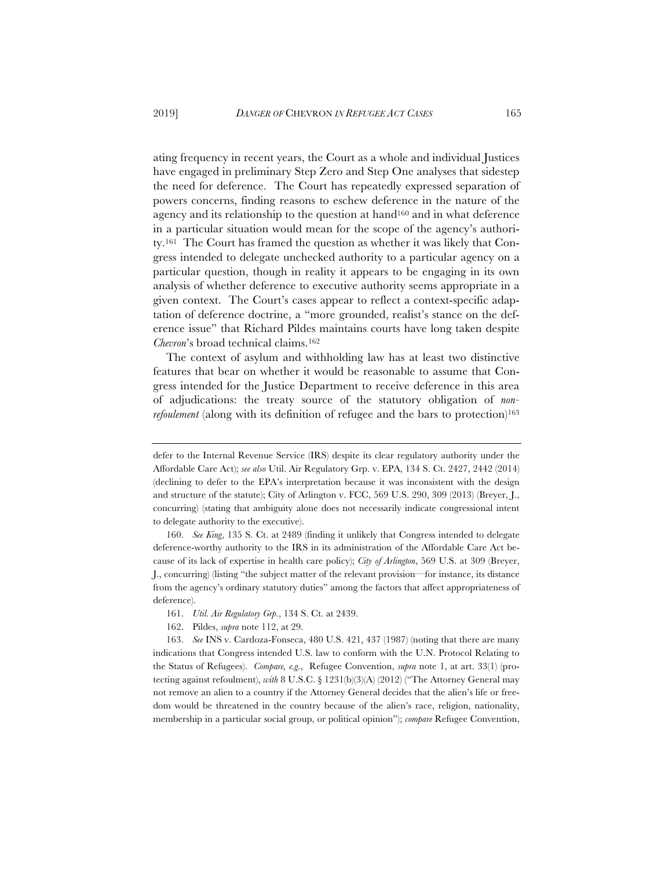ating frequency in recent years, the Court as a whole and individual Justices have engaged in preliminary Step Zero and Step One analyses that sidestep the need for deference. The Court has repeatedly expressed separation of powers concerns, finding reasons to eschew deference in the nature of the agency and its relationship to the question at hand160 and in what deference in a particular situation would mean for the scope of the agency's authority.161 The Court has framed the question as whether it was likely that Congress intended to delegate unchecked authority to a particular agency on a particular question, though in reality it appears to be engaging in its own analysis of whether deference to executive authority seems appropriate in a given context. The Court's cases appear to reflect a context-specific adaptation of deference doctrine, a "more grounded, realist's stance on the deference issue" that Richard Pildes maintains courts have long taken despite *Chevron*'s broad technical claims.162

The context of asylum and withholding law has at least two distinctive features that bear on whether it would be reasonable to assume that Congress intended for the Justice Department to receive deference in this area of adjudications: the treaty source of the statutory obligation of *nonrefoulement* (along with its definition of refugee and the bars to protection)<sup>163</sup>

161. *Util. Air Regulatory Grp.*, 134 S. Ct. at 2439.

defer to the Internal Revenue Service (IRS) despite its clear regulatory authority under the Affordable Care Act); *see also* Util. Air Regulatory Grp. v. EPA, 134 S. Ct. 2427, 2442 (2014) (declining to defer to the EPA's interpretation because it was inconsistent with the design and structure of the statute); City of Arlington v. FCC, 569 U.S. 290, 309 (2013) (Breyer, J., concurring) (stating that ambiguity alone does not necessarily indicate congressional intent to delegate authority to the executive).

<sup>160.</sup> *See King*, 135 S. Ct. at 2489 (finding it unlikely that Congress intended to delegate deference-worthy authority to the IRS in its administration of the Affordable Care Act because of its lack of expertise in health care policy); *City of Arlington*, 569 U.S. at 309 (Breyer, J., concurring) (listing "the subject matter of the relevant provision—for instance, its distance from the agency's ordinary statutory duties" among the factors that affect appropriateness of deference).

<sup>162.</sup> Pildes, *supra* note 112, at 29.

<sup>163.</sup> *See* INS v. Cardoza-Fonseca, 480 U.S. 421, 437 (1987) (noting that there are many indications that Congress intended U.S. law to conform with the U.N. Protocol Relating to the Status of Refugees). *Compare, e.g.*, Refugee Convention, *supra* note 1, at art. 33(1) (protecting against refoulment), *with* 8 U.S.C. § 1231(b)(3)(A) (2012) ("The Attorney General may not remove an alien to a country if the Attorney General decides that the alien's life or freedom would be threatened in the country because of the alien's race, religion, nationality, membership in a particular social group, or political opinion"); *compare* Refugee Convention,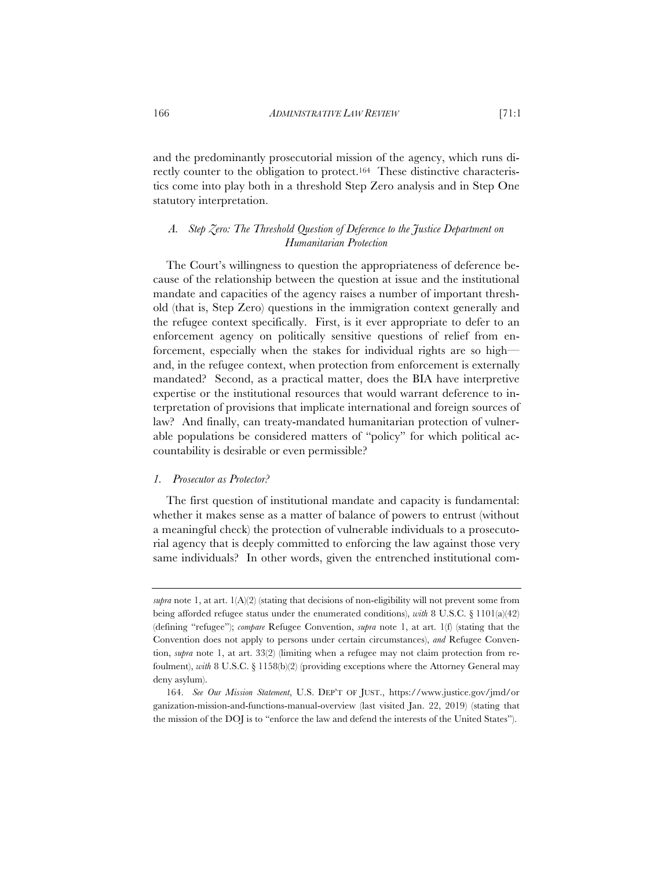and the predominantly prosecutorial mission of the agency, which runs directly counter to the obligation to protect.164 These distinctive characteristics come into play both in a threshold Step Zero analysis and in Step One statutory interpretation.

# *A. Step Zero: The Threshold Question of Deference to the Justice Department on Humanitarian Protection*

The Court's willingness to question the appropriateness of deference because of the relationship between the question at issue and the institutional mandate and capacities of the agency raises a number of important threshold (that is, Step Zero) questions in the immigration context generally and the refugee context specifically. First, is it ever appropriate to defer to an enforcement agency on politically sensitive questions of relief from enforcement, especially when the stakes for individual rights are so high and, in the refugee context, when protection from enforcement is externally mandated? Second, as a practical matter, does the BIA have interpretive expertise or the institutional resources that would warrant deference to interpretation of provisions that implicate international and foreign sources of law? And finally, can treaty-mandated humanitarian protection of vulnerable populations be considered matters of "policy" for which political accountability is desirable or even permissible?

#### *1. Prosecutor as Protector?*

The first question of institutional mandate and capacity is fundamental: whether it makes sense as a matter of balance of powers to entrust (without a meaningful check) the protection of vulnerable individuals to a prosecutorial agency that is deeply committed to enforcing the law against those very same individuals? In other words, given the entrenched institutional com-

*supra* note 1, at art.  $1(A)(2)$  (stating that decisions of non-eligibility will not prevent some from being afforded refugee status under the enumerated conditions), *with* 8 U.S.C. § 1101(a)(42) (defining "refugee"); *compare* Refugee Convention, *supra* note 1, at art. 1(f) (stating that the Convention does not apply to persons under certain circumstances), *and* Refugee Convention, *supra* note 1, at art. 33(2) (limiting when a refugee may not claim protection from refoulment), *with* 8 U.S.C. § 1158(b)(2) (providing exceptions where the Attorney General may deny asylum).

<sup>164.</sup> *See Our Mission Statement*, U.S. DEP'T OF JUST., https://www.justice.gov/jmd/or ganization-mission-and-functions-manual-overview (last visited Jan. 22, 2019) (stating that the mission of the DOJ is to "enforce the law and defend the interests of the United States").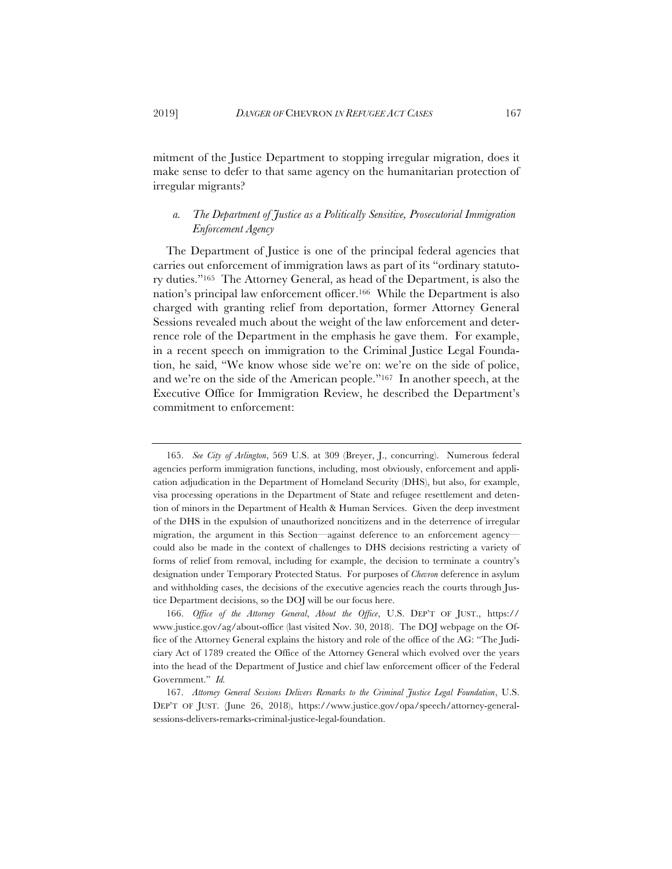mitment of the Justice Department to stopping irregular migration, does it make sense to defer to that same agency on the humanitarian protection of irregular migrants?

# *a. The Department of Justice as a Politically Sensitive, Prosecutorial Immigration Enforcement Agency*

The Department of Justice is one of the principal federal agencies that carries out enforcement of immigration laws as part of its "ordinary statutory duties."165 The Attorney General, as head of the Department, is also the nation's principal law enforcement officer.166 While the Department is also charged with granting relief from deportation, former Attorney General Sessions revealed much about the weight of the law enforcement and deterrence role of the Department in the emphasis he gave them. For example, in a recent speech on immigration to the Criminal Justice Legal Foundation, he said, "We know whose side we're on: we're on the side of police, and we're on the side of the American people."167 In another speech, at the Executive Office for Immigration Review, he described the Department's commitment to enforcement:

<sup>165.</sup> *See City of Arlington*, 569 U.S. at 309 (Breyer, J., concurring). Numerous federal agencies perform immigration functions, including, most obviously, enforcement and application adjudication in the Department of Homeland Security (DHS), but also, for example, visa processing operations in the Department of State and refugee resettlement and detention of minors in the Department of Health & Human Services. Given the deep investment of the DHS in the expulsion of unauthorized noncitizens and in the deterrence of irregular migration, the argument in this Section—against deference to an enforcement agency could also be made in the context of challenges to DHS decisions restricting a variety of forms of relief from removal, including for example, the decision to terminate a country's designation under Temporary Protected Status. For purposes of *Chevron* deference in asylum and withholding cases, the decisions of the executive agencies reach the courts through Justice Department decisions, so the DOJ will be our focus here.

<sup>166.</sup> *Office of the Attorney General*, *About the Office*, U.S. DEP'T OF JUST., https:// www.justice.gov/ag/about-office (last visited Nov. 30, 2018). The DOJ webpage on the Office of the Attorney General explains the history and role of the office of the AG: "The Judiciary Act of 1789 created the Office of the Attorney General which evolved over the years into the head of the Department of Justice and chief law enforcement officer of the Federal Government." *Id.*

<sup>167.</sup> *Attorney General Sessions Delivers Remarks to the Criminal Justice Legal Foundation*, U.S. DEP'T OF JUST. (June 26, 2018), https://www.justice.gov/opa/speech/attorney-generalsessions-delivers-remarks-criminal-justice-legal-foundation.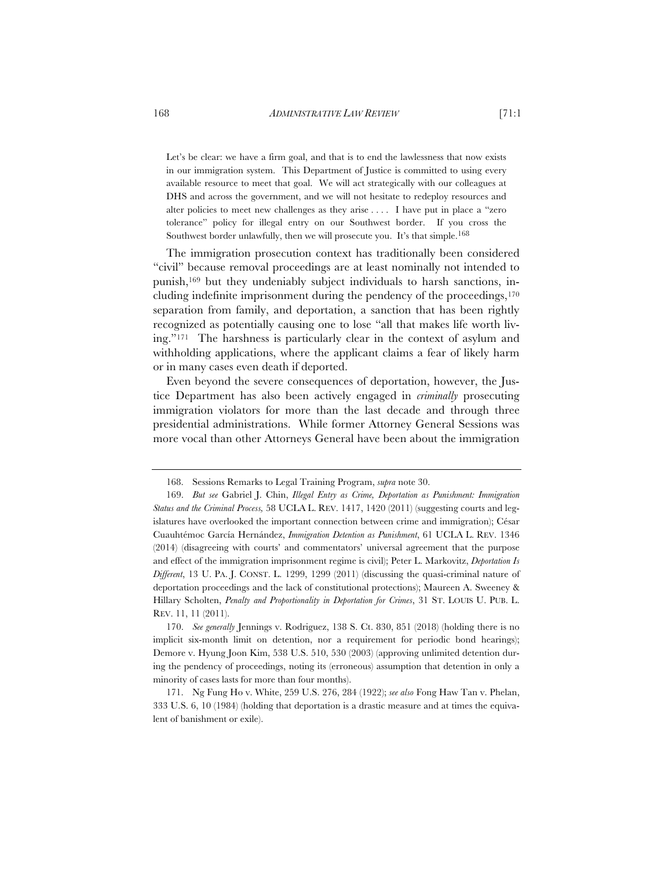Let's be clear: we have a firm goal, and that is to end the lawlessness that now exists in our immigration system. This Department of Justice is committed to using every available resource to meet that goal. We will act strategically with our colleagues at DHS and across the government, and we will not hesitate to redeploy resources and alter policies to meet new challenges as they arise . . . . I have put in place a "zero tolerance" policy for illegal entry on our Southwest border. If you cross the Southwest border unlawfully, then we will prosecute you. It's that simple.168

The immigration prosecution context has traditionally been considered "civil" because removal proceedings are at least nominally not intended to punish,169 but they undeniably subject individuals to harsh sanctions, including indefinite imprisonment during the pendency of the proceedings,<sup>170</sup> separation from family, and deportation, a sanction that has been rightly recognized as potentially causing one to lose "all that makes life worth living."171 The harshness is particularly clear in the context of asylum and withholding applications, where the applicant claims a fear of likely harm or in many cases even death if deported.

Even beyond the severe consequences of deportation, however, the Justice Department has also been actively engaged in *criminally* prosecuting immigration violators for more than the last decade and through three presidential administrations. While former Attorney General Sessions was more vocal than other Attorneys General have been about the immigration

170. *See generally* Jennings v. Rodriguez, 138 S. Ct. 830, 851 (2018) (holding there is no implicit six-month limit on detention, nor a requirement for periodic bond hearings); Demore v. Hyung Joon Kim, 538 U.S. 510, 530 (2003) (approving unlimited detention during the pendency of proceedings, noting its (erroneous) assumption that detention in only a minority of cases lasts for more than four months).

171. Ng Fung Ho v. White, 259 U.S. 276, 284 (1922); *see also* Fong Haw Tan v. Phelan, 333 U.S. 6, 10 (1984) (holding that deportation is a drastic measure and at times the equivalent of banishment or exile).

<sup>168.</sup> Sessions Remarks to Legal Training Program, *supra* note 30.

<sup>169.</sup> *But see* Gabriel J. Chin, *Illegal Entry as Crime, Deportation as Punishment: Immigration Status and the Criminal Process,* 58 UCLA L. REV. 1417, 1420 (2011) (suggesting courts and legislatures have overlooked the important connection between crime and immigration); César Cuauhtémoc García Hernández, *Immigration Detention as Punishment*, 61 UCLA L. REV. 1346 (2014) (disagreeing with courts' and commentators' universal agreement that the purpose and effect of the immigration imprisonment regime is civil); Peter L. Markovitz, *Deportation Is Different*, 13 U. PA. J. CONST. L. 1299, 1299 (2011) (discussing the quasi-criminal nature of deportation proceedings and the lack of constitutional protections); Maureen A. Sweeney & Hillary Scholten, *Penalty and Proportionality in Deportation for Crimes*, 31 ST. LOUIS U. PUB. L. REV. 11, 11 (2011).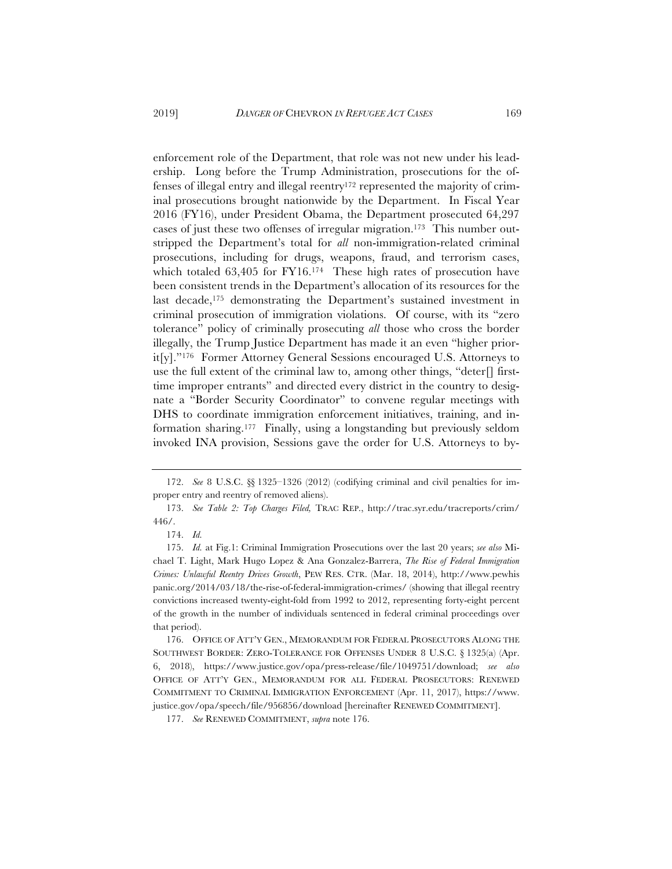enforcement role of the Department, that role was not new under his leadership. Long before the Trump Administration, prosecutions for the offenses of illegal entry and illegal reentry172 represented the majority of criminal prosecutions brought nationwide by the Department. In Fiscal Year 2016 (FY16), under President Obama, the Department prosecuted 64,297 cases of just these two offenses of irregular migration.173 This number outstripped the Department's total for *all* non-immigration-related criminal prosecutions, including for drugs, weapons, fraud, and terrorism cases, which totaled 63,405 for FY16.174 These high rates of prosecution have been consistent trends in the Department's allocation of its resources for the last decade,<sup>175</sup> demonstrating the Department's sustained investment in criminal prosecution of immigration violations. Of course, with its "zero tolerance" policy of criminally prosecuting *all* those who cross the border illegally, the Trump Justice Department has made it an even "higher priorit[y]."176 Former Attorney General Sessions encouraged U.S. Attorneys to use the full extent of the criminal law to, among other things, "deter $\lceil \rceil$  firsttime improper entrants" and directed every district in the country to designate a "Border Security Coordinator" to convene regular meetings with DHS to coordinate immigration enforcement initiatives, training, and information sharing.177 Finally, using a longstanding but previously seldom invoked INA provision, Sessions gave the order for U.S. Attorneys to by-

<sup>172.</sup> *See* 8 U.S.C. §§ 1325–1326 (2012) (codifying criminal and civil penalties for improper entry and reentry of removed aliens).

<sup>173.</sup> *See Table 2: Top Charges Filed,* TRAC REP., http://trac.syr.edu/tracreports/crim/ 446/.

<sup>174.</sup> *Id.*

<sup>175.</sup> *Id.* at Fig.1: Criminal Immigration Prosecutions over the last 20 years; *see also* Michael T. Light, Mark Hugo Lopez & Ana Gonzalez-Barrera, *The Rise of Federal Immigration Crimes: Unlawful Reentry Drives Growth*, PEW RES. CTR. (Mar. 18, 2014), http://www.pewhis panic.org/2014/03/18/the-rise-of-federal-immigration-crimes/ (showing that illegal reentry convictions increased twenty-eight-fold from 1992 to 2012, representing forty-eight percent of the growth in the number of individuals sentenced in federal criminal proceedings over that period).

<sup>176.</sup> OFFICE OF ATT'Y GEN., MEMORANDUM FOR FEDERAL PROSECUTORS ALONG THE SOUTHWEST BORDER: ZERO-TOLERANCE FOR OFFENSES UNDER 8 U.S.C. § 1325(a) (Apr. 6, 2018), https://www.justice.gov/opa/press-release/file/1049751/download; *see also*  OFFICE OF ATT'Y GEN., MEMORANDUM FOR ALL FEDERAL PROSECUTORS: RENEWED COMMITMENT TO CRIMINAL IMMIGRATION ENFORCEMENT (Apr. 11, 2017), https://www. justice.gov/opa/speech/file/956856/download [hereinafter RENEWED COMMITMENT].

<sup>177.</sup> *See* RENEWED COMMITMENT, *supra* note 176.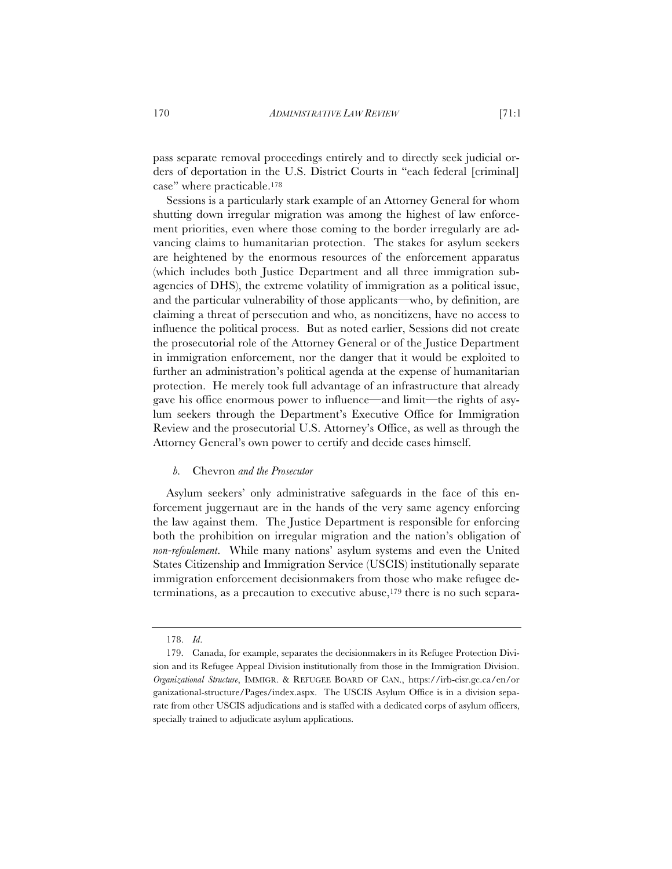pass separate removal proceedings entirely and to directly seek judicial orders of deportation in the U.S. District Courts in "each federal [criminal] case" where practicable.178

Sessions is a particularly stark example of an Attorney General for whom shutting down irregular migration was among the highest of law enforcement priorities, even where those coming to the border irregularly are advancing claims to humanitarian protection. The stakes for asylum seekers are heightened by the enormous resources of the enforcement apparatus (which includes both Justice Department and all three immigration subagencies of DHS), the extreme volatility of immigration as a political issue, and the particular vulnerability of those applicants—who, by definition, are claiming a threat of persecution and who, as noncitizens, have no access to influence the political process. But as noted earlier, Sessions did not create the prosecutorial role of the Attorney General or of the Justice Department in immigration enforcement, nor the danger that it would be exploited to further an administration's political agenda at the expense of humanitarian protection. He merely took full advantage of an infrastructure that already gave his office enormous power to influence—and limit—the rights of asylum seekers through the Department's Executive Office for Immigration Review and the prosecutorial U.S. Attorney's Office, as well as through the Attorney General's own power to certify and decide cases himself.

#### *b.* Chevron *and the Prosecutor*

Asylum seekers' only administrative safeguards in the face of this enforcement juggernaut are in the hands of the very same agency enforcing the law against them. The Justice Department is responsible for enforcing both the prohibition on irregular migration and the nation's obligation of *non-refoulement*. While many nations' asylum systems and even the United States Citizenship and Immigration Service (USCIS) institutionally separate immigration enforcement decisionmakers from those who make refugee determinations, as a precaution to executive abuse,179 there is no such separa-

<sup>178.</sup> *Id*.

<sup>179.</sup> Canada, for example, separates the decisionmakers in its Refugee Protection Division and its Refugee Appeal Division institutionally from those in the Immigration Division. *Organizational Structure*, IMMIGR.&REFUGEE BOARD OF CAN., https://irb-cisr.gc.ca/en/or ganizational-structure/Pages/index.aspx. The USCIS Asylum Office is in a division separate from other USCIS adjudications and is staffed with a dedicated corps of asylum officers, specially trained to adjudicate asylum applications.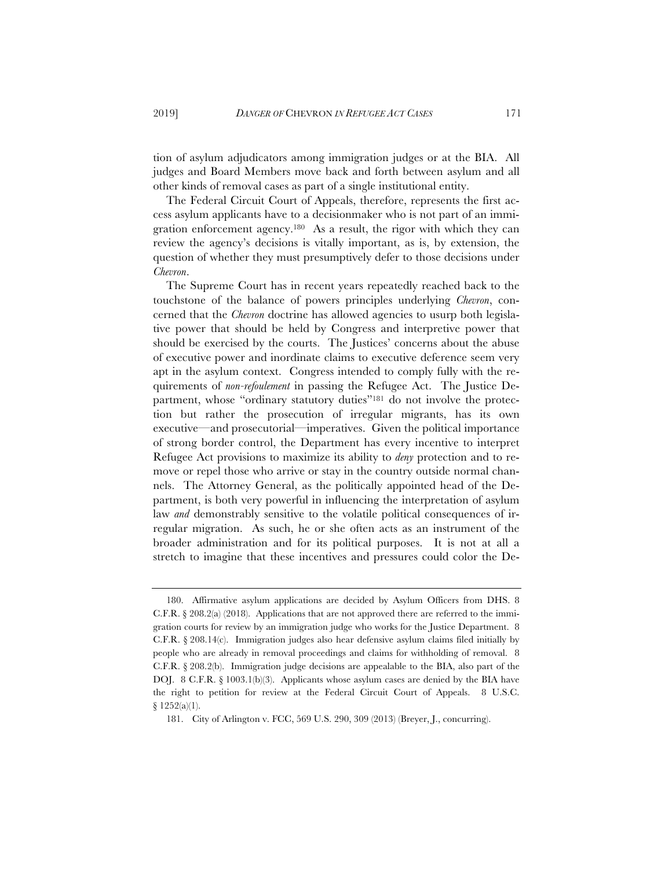tion of asylum adjudicators among immigration judges or at the BIA. All judges and Board Members move back and forth between asylum and all other kinds of removal cases as part of a single institutional entity.

The Federal Circuit Court of Appeals, therefore, represents the first access asylum applicants have to a decisionmaker who is not part of an immigration enforcement agency.180 As a result, the rigor with which they can review the agency's decisions is vitally important, as is, by extension, the question of whether they must presumptively defer to those decisions under *Chevron*.

The Supreme Court has in recent years repeatedly reached back to the touchstone of the balance of powers principles underlying *Chevron*, concerned that the *Chevron* doctrine has allowed agencies to usurp both legislative power that should be held by Congress and interpretive power that should be exercised by the courts. The Justices' concerns about the abuse of executive power and inordinate claims to executive deference seem very apt in the asylum context. Congress intended to comply fully with the requirements of *non-refoulement* in passing the Refugee Act. The Justice Department, whose "ordinary statutory duties"<sup>181</sup> do not involve the protection but rather the prosecution of irregular migrants, has its own executive—and prosecutorial—imperatives. Given the political importance of strong border control, the Department has every incentive to interpret Refugee Act provisions to maximize its ability to *deny* protection and to remove or repel those who arrive or stay in the country outside normal channels. The Attorney General, as the politically appointed head of the Department, is both very powerful in influencing the interpretation of asylum law *and* demonstrably sensitive to the volatile political consequences of irregular migration. As such, he or she often acts as an instrument of the broader administration and for its political purposes. It is not at all a stretch to imagine that these incentives and pressures could color the De-

<sup>180.</sup> Affirmative asylum applications are decided by Asylum Officers from DHS. 8 C.F.R. § 208.2(a) (2018). Applications that are not approved there are referred to the immigration courts for review by an immigration judge who works for the Justice Department. 8 C.F.R. § 208.14(c). Immigration judges also hear defensive asylum claims filed initially by people who are already in removal proceedings and claims for withholding of removal. 8 C.F.R. § 208.2(b). Immigration judge decisions are appealable to the BIA, also part of the DOJ. 8 C.F.R. § 1003.1(b)(3). Applicants whose asylum cases are denied by the BIA have the right to petition for review at the Federal Circuit Court of Appeals. 8 U.S.C. § 1252(a)(1).

<sup>181.</sup> City of Arlington v. FCC, 569 U.S. 290, 309 (2013) (Breyer, J., concurring).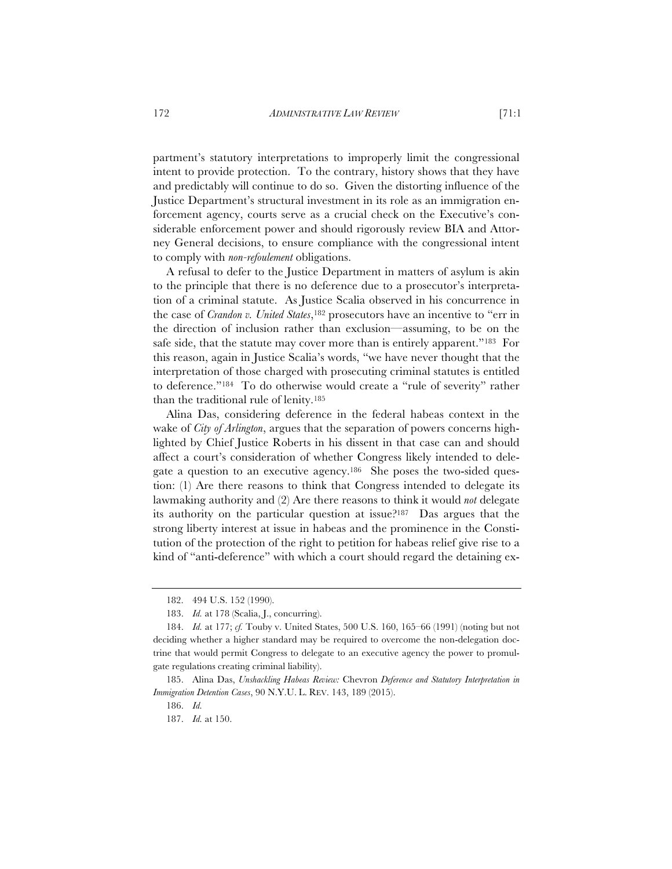partment's statutory interpretations to improperly limit the congressional intent to provide protection. To the contrary, history shows that they have and predictably will continue to do so. Given the distorting influence of the Justice Department's structural investment in its role as an immigration enforcement agency, courts serve as a crucial check on the Executive's considerable enforcement power and should rigorously review BIA and Attorney General decisions, to ensure compliance with the congressional intent to comply with *non-refoulement* obligations.

A refusal to defer to the Justice Department in matters of asylum is akin to the principle that there is no deference due to a prosecutor's interpretation of a criminal statute. As Justice Scalia observed in his concurrence in the case of *Crandon v. United States*,182 prosecutors have an incentive to "err in the direction of inclusion rather than exclusion—assuming, to be on the safe side, that the statute may cover more than is entirely apparent."183 For this reason, again in Justice Scalia's words, "we have never thought that the interpretation of those charged with prosecuting criminal statutes is entitled to deference."184 To do otherwise would create a "rule of severity" rather than the traditional rule of lenity.185

Alina Das, considering deference in the federal habeas context in the wake of *City of Arlington*, argues that the separation of powers concerns highlighted by Chief Justice Roberts in his dissent in that case can and should affect a court's consideration of whether Congress likely intended to delegate a question to an executive agency.186 She poses the two-sided question: (1) Are there reasons to think that Congress intended to delegate its lawmaking authority and (2) Are there reasons to think it would *not* delegate its authority on the particular question at issue?187 Das argues that the strong liberty interest at issue in habeas and the prominence in the Constitution of the protection of the right to petition for habeas relief give rise to a kind of "anti-deference" with which a court should regard the detaining ex-

<sup>182. 494</sup> U.S. 152 (1990).

<sup>183.</sup> *Id.* at 178 (Scalia, J., concurring).

<sup>184.</sup> *Id.* at 177; *cf.* Touby v. United States, 500 U.S. 160, 165–66 (1991) (noting but not deciding whether a higher standard may be required to overcome the non-delegation doctrine that would permit Congress to delegate to an executive agency the power to promulgate regulations creating criminal liability).

<sup>185.</sup> Alina Das, *Unshackling Habeas Review:* Chevron *Deference and Statutory Interpretation in Immigration Detention Cases*, 90 N.Y.U. L. REV. 143, 189 (2015).

<sup>186.</sup> *Id.*

<sup>187.</sup> *Id.* at 150.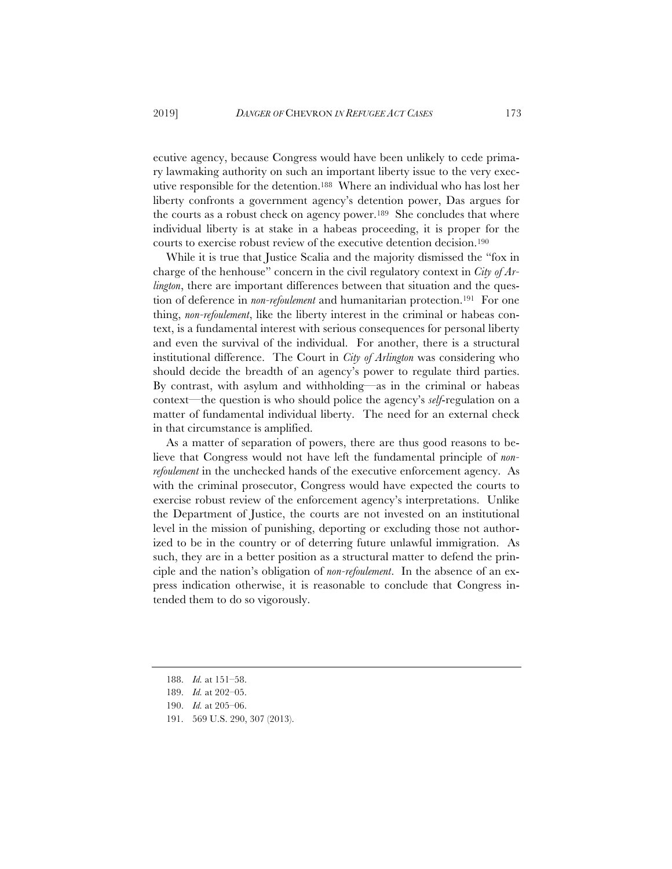ecutive agency, because Congress would have been unlikely to cede primary lawmaking authority on such an important liberty issue to the very executive responsible for the detention.188 Where an individual who has lost her liberty confronts a government agency's detention power, Das argues for the courts as a robust check on agency power.189 She concludes that where individual liberty is at stake in a habeas proceeding, it is proper for the courts to exercise robust review of the executive detention decision.190

While it is true that Justice Scalia and the majority dismissed the "fox in charge of the henhouse" concern in the civil regulatory context in *City of Arlington*, there are important differences between that situation and the question of deference in *non-refoulement* and humanitarian protection.191 For one thing, *non-refoulement*, like the liberty interest in the criminal or habeas context, is a fundamental interest with serious consequences for personal liberty and even the survival of the individual. For another, there is a structural institutional difference. The Court in *City of Arlington* was considering who should decide the breadth of an agency's power to regulate third parties. By contrast, with asylum and withholding—as in the criminal or habeas context—the question is who should police the agency's *self*-regulation on a matter of fundamental individual liberty. The need for an external check in that circumstance is amplified.

As a matter of separation of powers, there are thus good reasons to believe that Congress would not have left the fundamental principle of *nonrefoulement* in the unchecked hands of the executive enforcement agency. As with the criminal prosecutor, Congress would have expected the courts to exercise robust review of the enforcement agency's interpretations. Unlike the Department of Justice, the courts are not invested on an institutional level in the mission of punishing, deporting or excluding those not authorized to be in the country or of deterring future unlawful immigration. As such, they are in a better position as a structural matter to defend the principle and the nation's obligation of *non-refoulement*. In the absence of an express indication otherwise, it is reasonable to conclude that Congress intended them to do so vigorously.

<sup>188.</sup> *Id.* at 151–58.

<sup>189.</sup> *Id.* at 202–05.

<sup>190.</sup> *Id.* at 205–06.

<sup>191. 569</sup> U.S. 290, 307 (2013).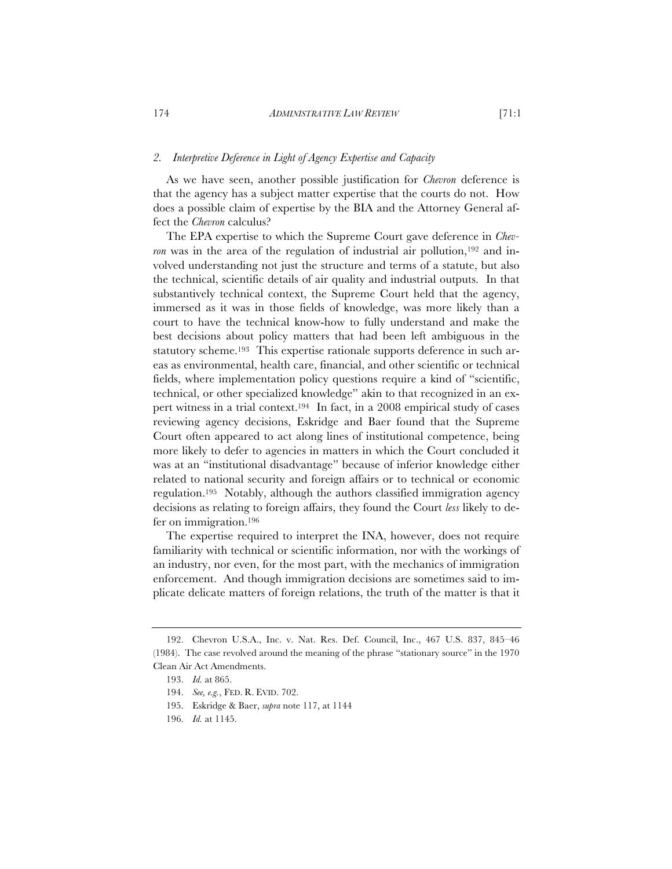## *2. Interpretive Deference in Light of Agency Expertise and Capacity*

As we have seen, another possible justification for *Chevron* deference is that the agency has a subject matter expertise that the courts do not. How does a possible claim of expertise by the BIA and the Attorney General affect the *Chevron* calculus?

The EPA expertise to which the Supreme Court gave deference in *Chevron* was in the area of the regulation of industrial air pollution,<sup>192</sup> and involved understanding not just the structure and terms of a statute, but also the technical, scientific details of air quality and industrial outputs. In that substantively technical context, the Supreme Court held that the agency, immersed as it was in those fields of knowledge, was more likely than a court to have the technical know-how to fully understand and make the best decisions about policy matters that had been left ambiguous in the statutory scheme.193 This expertise rationale supports deference in such areas as environmental, health care, financial, and other scientific or technical fields, where implementation policy questions require a kind of "scientific, technical, or other specialized knowledge" akin to that recognized in an expert witness in a trial context.194 In fact, in a 2008 empirical study of cases reviewing agency decisions, Eskridge and Baer found that the Supreme Court often appeared to act along lines of institutional competence, being more likely to defer to agencies in matters in which the Court concluded it was at an "institutional disadvantage" because of inferior knowledge either related to national security and foreign affairs or to technical or economic regulation.195 Notably, although the authors classified immigration agency decisions as relating to foreign affairs, they found the Court *less* likely to defer on immigration.196

The expertise required to interpret the INA, however, does not require familiarity with technical or scientific information, nor with the workings of an industry, nor even, for the most part, with the mechanics of immigration enforcement. And though immigration decisions are sometimes said to implicate delicate matters of foreign relations, the truth of the matter is that it

<sup>192.</sup> Chevron U.S.A., Inc. v. Nat. Res. Def. Council, Inc., 467 U.S. 837, 845–46 (1984). The case revolved around the meaning of the phrase "stationary source" in the 1970 Clean Air Act Amendments.

<sup>193.</sup> *Id.* at 865.

<sup>194.</sup> *See, e.g.*, FED. R. EVID. 702.

<sup>195.</sup> Eskridge & Baer, *supra* note 117, at 1144

<sup>196.</sup> *Id.* at 1145.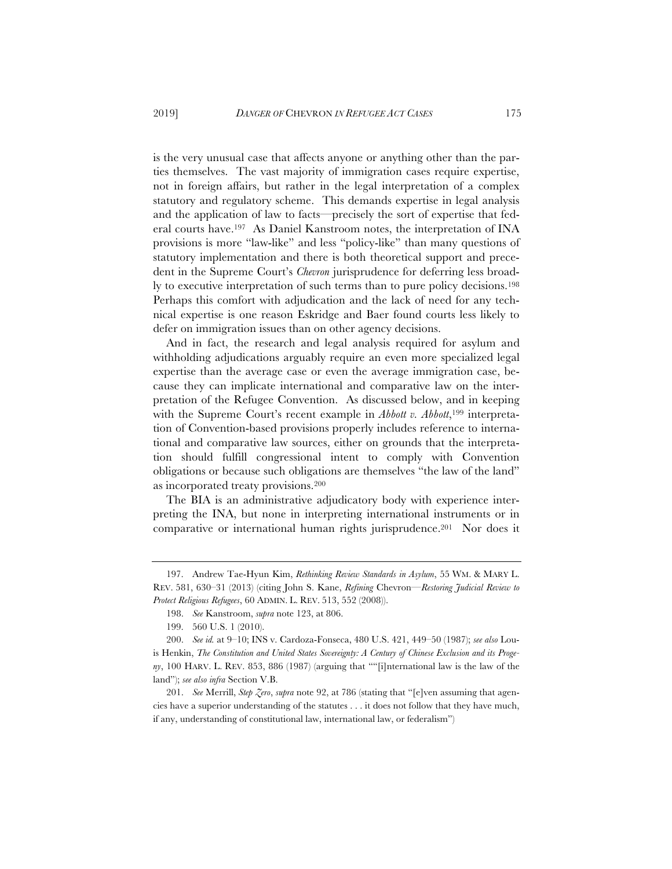is the very unusual case that affects anyone or anything other than the parties themselves. The vast majority of immigration cases require expertise, not in foreign affairs, but rather in the legal interpretation of a complex statutory and regulatory scheme. This demands expertise in legal analysis and the application of law to facts—precisely the sort of expertise that federal courts have.197 As Daniel Kanstroom notes, the interpretation of INA provisions is more "law-like" and less "policy-like" than many questions of statutory implementation and there is both theoretical support and precedent in the Supreme Court's *Chevron* jurisprudence for deferring less broadly to executive interpretation of such terms than to pure policy decisions.198 Perhaps this comfort with adjudication and the lack of need for any technical expertise is one reason Eskridge and Baer found courts less likely to defer on immigration issues than on other agency decisions.

And in fact, the research and legal analysis required for asylum and withholding adjudications arguably require an even more specialized legal expertise than the average case or even the average immigration case, because they can implicate international and comparative law on the interpretation of the Refugee Convention. As discussed below, and in keeping with the Supreme Court's recent example in *Abbott v. Abbott*,<sup>199</sup> interpretation of Convention-based provisions properly includes reference to international and comparative law sources, either on grounds that the interpretation should fulfill congressional intent to comply with Convention obligations or because such obligations are themselves "the law of the land" as incorporated treaty provisions.200

The BIA is an administrative adjudicatory body with experience interpreting the INA, but none in interpreting international instruments or in comparative or international human rights jurisprudence.201 Nor does it

<sup>197.</sup> Andrew Tae-Hyun Kim, *Rethinking Review Standards in Asylum*, 55 WM. & MARY L. REV. 581, 630–31 (2013) (citing John S. Kane, *Refining* Chevron*—Restoring Judicial Review to Protect Religious Refugees*, 60 ADMIN. L. REV. 513, 552 (2008)).

<sup>198.</sup> *See* Kanstroom, *supra* note 123, at 806.

<sup>199. 560</sup> U.S. 1 (2010).

<sup>200.</sup> *See id.* at 9–10; INS v. Cardoza-Fonseca, 480 U.S. 421, 449–50 (1987); *see also* Louis Henkin, *The Constitution and United States Sovereignty: A Century of Chinese Exclusion and its Progeny*, 100 HARV. L. REV. 853, 886 (1987) (arguing that ""[i]nternational law is the law of the land"); *see also infra* Section V.B.

<sup>201.</sup> *See* Merrill, *Step Zero*, *supra* note 92, at 786 (stating that "[e]ven assuming that agencies have a superior understanding of the statutes . . . it does not follow that they have much, if any, understanding of constitutional law, international law, or federalism")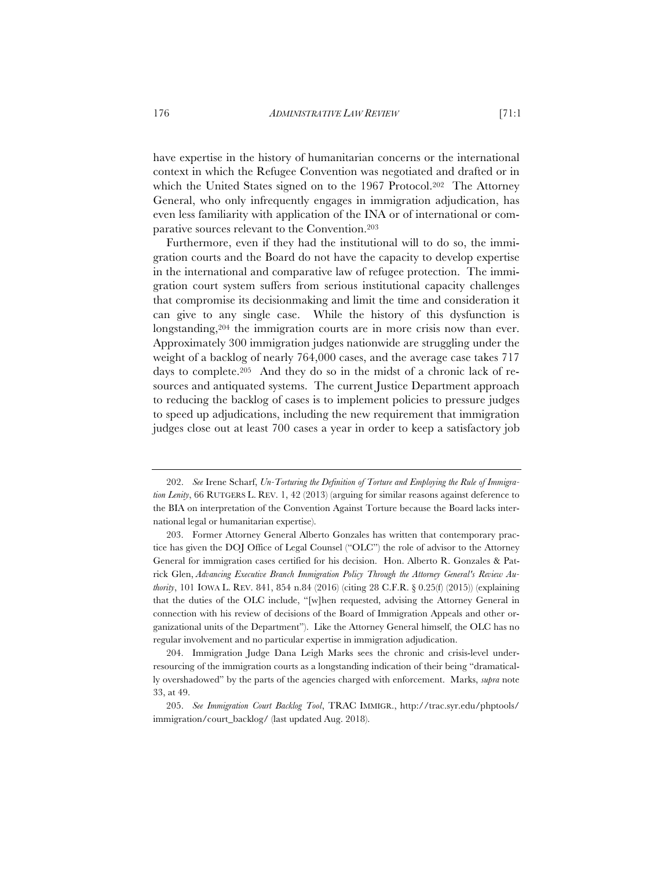have expertise in the history of humanitarian concerns or the international context in which the Refugee Convention was negotiated and drafted or in which the United States signed on to the 1967 Protocol.202 The Attorney General, who only infrequently engages in immigration adjudication, has even less familiarity with application of the INA or of international or comparative sources relevant to the Convention.203

Furthermore, even if they had the institutional will to do so, the immigration courts and the Board do not have the capacity to develop expertise in the international and comparative law of refugee protection. The immigration court system suffers from serious institutional capacity challenges that compromise its decisionmaking and limit the time and consideration it can give to any single case. While the history of this dysfunction is longstanding,204 the immigration courts are in more crisis now than ever. Approximately 300 immigration judges nationwide are struggling under the weight of a backlog of nearly 764,000 cases, and the average case takes 717 days to complete.205 And they do so in the midst of a chronic lack of resources and antiquated systems. The current Justice Department approach to reducing the backlog of cases is to implement policies to pressure judges to speed up adjudications, including the new requirement that immigration judges close out at least 700 cases a year in order to keep a satisfactory job

<sup>202.</sup> *See* Irene Scharf, *Un-Torturing the Definition of Torture and Employing the Rule of Immigration Lenity*, 66 RUTGERS L. REV. 1, 42 (2013) (arguing for similar reasons against deference to the BIA on interpretation of the Convention Against Torture because the Board lacks international legal or humanitarian expertise).

<sup>203.</sup> Former Attorney General Alberto Gonzales has written that contemporary practice has given the DOJ Office of Legal Counsel ("OLC") the role of advisor to the Attorney General for immigration cases certified for his decision. Hon. Alberto R. Gonzales & Patrick Glen, *Advancing Executive Branch Immigration Policy Through the Attorney General's Review Authority*, 101 IOWA L. REV. 841, 854 n.84 (2016) (citing 28 C.F.R. § 0.25(f) (2015)) (explaining that the duties of the OLC include, "[w]hen requested, advising the Attorney General in connection with his review of decisions of the Board of Immigration Appeals and other organizational units of the Department"). Like the Attorney General himself, the OLC has no regular involvement and no particular expertise in immigration adjudication.

<sup>204.</sup> Immigration Judge Dana Leigh Marks sees the chronic and crisis-level underresourcing of the immigration courts as a longstanding indication of their being "dramatically overshadowed" by the parts of the agencies charged with enforcement. Marks, *supra* note 33, at 49.

<sup>205.</sup> *See Immigration Court Backlog Tool*, TRAC IMMIGR., http://trac.syr.edu/phptools/ immigration/court\_backlog/ (last updated Aug. 2018).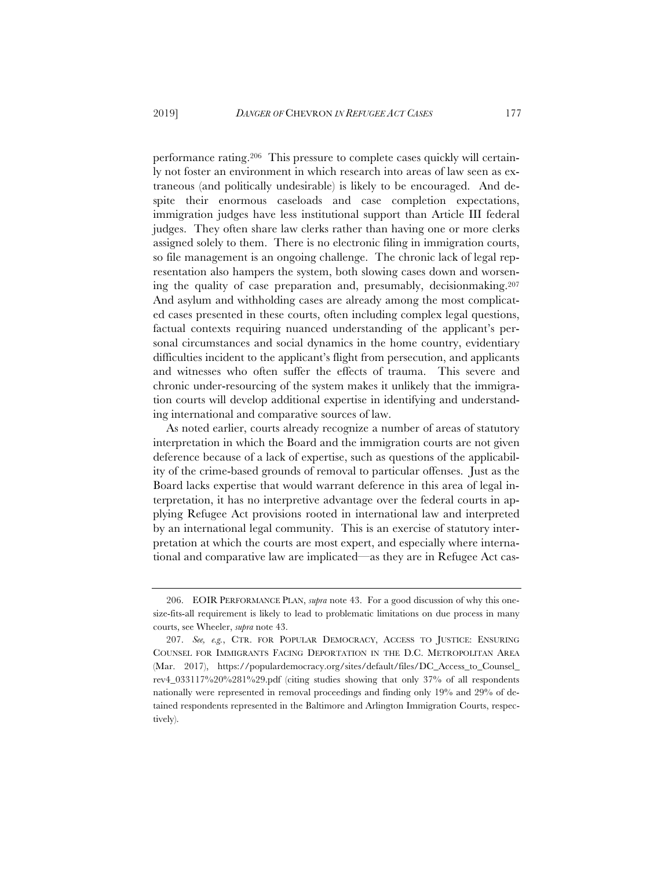performance rating.206 This pressure to complete cases quickly will certainly not foster an environment in which research into areas of law seen as extraneous (and politically undesirable) is likely to be encouraged. And despite their enormous caseloads and case completion expectations, immigration judges have less institutional support than Article III federal judges. They often share law clerks rather than having one or more clerks assigned solely to them. There is no electronic filing in immigration courts, so file management is an ongoing challenge. The chronic lack of legal representation also hampers the system, both slowing cases down and worsening the quality of case preparation and, presumably, decisionmaking.207 And asylum and withholding cases are already among the most complicated cases presented in these courts, often including complex legal questions, factual contexts requiring nuanced understanding of the applicant's personal circumstances and social dynamics in the home country, evidentiary difficulties incident to the applicant's flight from persecution, and applicants and witnesses who often suffer the effects of trauma. This severe and chronic under-resourcing of the system makes it unlikely that the immigration courts will develop additional expertise in identifying and understanding international and comparative sources of law.

As noted earlier, courts already recognize a number of areas of statutory interpretation in which the Board and the immigration courts are not given deference because of a lack of expertise, such as questions of the applicability of the crime-based grounds of removal to particular offenses. Just as the Board lacks expertise that would warrant deference in this area of legal interpretation, it has no interpretive advantage over the federal courts in applying Refugee Act provisions rooted in international law and interpreted by an international legal community. This is an exercise of statutory interpretation at which the courts are most expert, and especially where international and comparative law are implicated—as they are in Refugee Act cas-

<sup>206.</sup> EOIR PERFORMANCE PLAN, *supra* note 43. For a good discussion of why this onesize-fits-all requirement is likely to lead to problematic limitations on due process in many courts, see Wheeler, *supra* note 43.

<sup>207.</sup> *See, e.g.*, CTR. FOR POPULAR DEMOCRACY, ACCESS TO JUSTICE: ENSURING COUNSEL FOR IMMIGRANTS FACING DEPORTATION IN THE D.C. METROPOLITAN AREA (Mar. 2017), https://populardemocracy.org/sites/default/files/DC Access to Counsel rev4\_033117%20%281%29.pdf (citing studies showing that only 37% of all respondents nationally were represented in removal proceedings and finding only 19% and 29% of detained respondents represented in the Baltimore and Arlington Immigration Courts, respectively).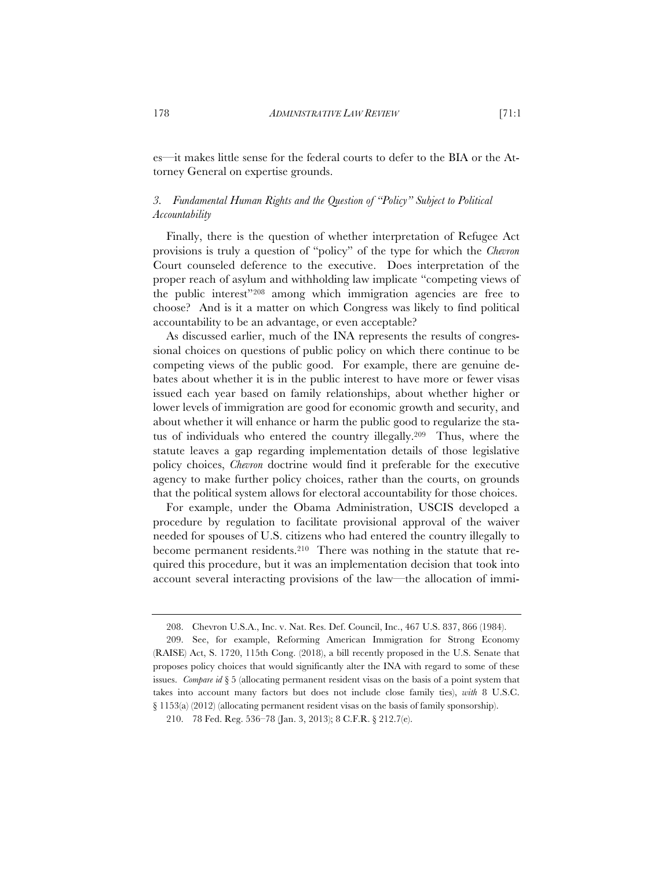es—it makes little sense for the federal courts to defer to the BIA or the Attorney General on expertise grounds.

# *3. Fundamental Human Rights and the Question of "Policy" Subject to Political Accountability*

Finally, there is the question of whether interpretation of Refugee Act provisions is truly a question of "policy" of the type for which the *Chevron*  Court counseled deference to the executive. Does interpretation of the proper reach of asylum and withholding law implicate "competing views of the public interest"208 among which immigration agencies are free to choose? And is it a matter on which Congress was likely to find political accountability to be an advantage, or even acceptable?

As discussed earlier, much of the INA represents the results of congressional choices on questions of public policy on which there continue to be competing views of the public good. For example, there are genuine debates about whether it is in the public interest to have more or fewer visas issued each year based on family relationships, about whether higher or lower levels of immigration are good for economic growth and security, and about whether it will enhance or harm the public good to regularize the status of individuals who entered the country illegally.209 Thus, where the statute leaves a gap regarding implementation details of those legislative policy choices, *Chevron* doctrine would find it preferable for the executive agency to make further policy choices, rather than the courts, on grounds that the political system allows for electoral accountability for those choices.

For example, under the Obama Administration, USCIS developed a procedure by regulation to facilitate provisional approval of the waiver needed for spouses of U.S. citizens who had entered the country illegally to become permanent residents.210 There was nothing in the statute that required this procedure, but it was an implementation decision that took into account several interacting provisions of the law—the allocation of immi-

<sup>208.</sup> Chevron U.S.A., Inc. v. Nat. Res. Def. Council, Inc., 467 U.S. 837, 866 (1984).

<sup>209.</sup> See, for example, Reforming American Immigration for Strong Economy (RAISE) Act, S. 1720, 115th Cong. (2018), a bill recently proposed in the U.S. Senate that proposes policy choices that would significantly alter the INA with regard to some of these issues. *Compare id* § 5 (allocating permanent resident visas on the basis of a point system that takes into account many factors but does not include close family ties), *with* 8 U.S.C. § 1153(a) (2012) (allocating permanent resident visas on the basis of family sponsorship).

<sup>210. 78</sup> Fed. Reg. 536–78 (Jan. 3, 2013); 8 C.F.R. § 212.7(e).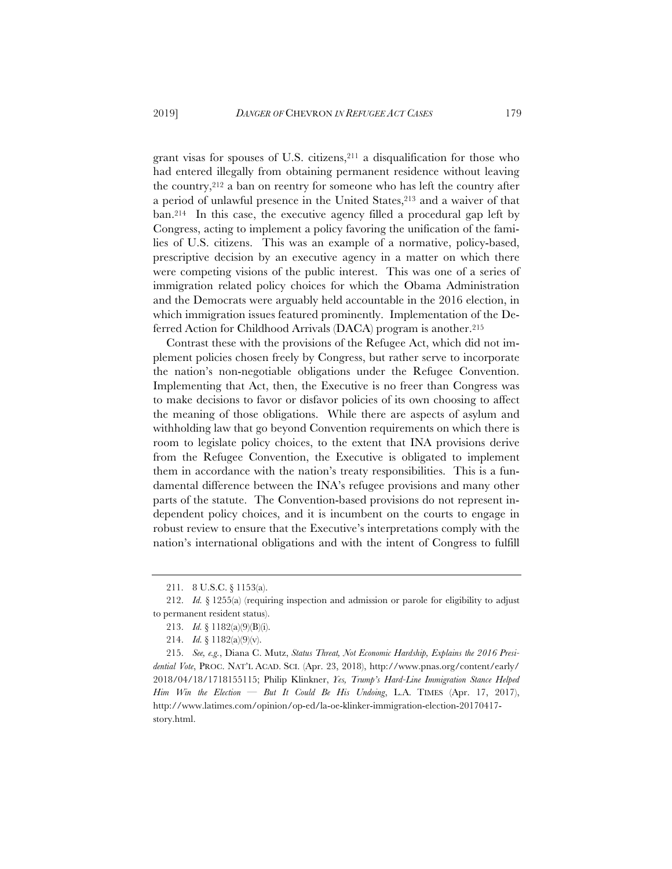grant visas for spouses of U.S. citizens, $2^{11}$  a disqualification for those who had entered illegally from obtaining permanent residence without leaving the country,212 a ban on reentry for someone who has left the country after a period of unlawful presence in the United States,213 and a waiver of that ban.214 In this case, the executive agency filled a procedural gap left by Congress, acting to implement a policy favoring the unification of the families of U.S. citizens. This was an example of a normative, policy-based, prescriptive decision by an executive agency in a matter on which there were competing visions of the public interest. This was one of a series of immigration related policy choices for which the Obama Administration and the Democrats were arguably held accountable in the 2016 election, in which immigration issues featured prominently. Implementation of the Deferred Action for Childhood Arrivals (DACA) program is another.<sup>215</sup>

Contrast these with the provisions of the Refugee Act, which did not implement policies chosen freely by Congress, but rather serve to incorporate the nation's non-negotiable obligations under the Refugee Convention. Implementing that Act, then, the Executive is no freer than Congress was to make decisions to favor or disfavor policies of its own choosing to affect the meaning of those obligations. While there are aspects of asylum and withholding law that go beyond Convention requirements on which there is room to legislate policy choices, to the extent that INA provisions derive from the Refugee Convention, the Executive is obligated to implement them in accordance with the nation's treaty responsibilities. This is a fundamental difference between the INA's refugee provisions and many other parts of the statute. The Convention-based provisions do not represent independent policy choices, and it is incumbent on the courts to engage in robust review to ensure that the Executive's interpretations comply with the nation's international obligations and with the intent of Congress to fulfill

<sup>211. 8</sup> U.S.C. § 1153(a).

<sup>212.</sup> *Id.* § 1255(a) (requiring inspection and admission or parole for eligibility to adjust to permanent resident status).

<sup>213.</sup> *Id.* § 1182(a)(9)(B)(i).

<sup>214.</sup> *Id.* § 1182(a)(9)(v).

<sup>215.</sup> *See, e.g.*, Diana C. Mutz, *Status Threat, Not Economic Hardship, Explains the 2016 Presidential Vote*, PROC. NAT'L ACAD. SCI. (Apr. 23, 2018), http://www.pnas.org/content/early/ 2018/04/18/1718155115; Philip Klinkner, *Yes, Trump's Hard-Line Immigration Stance Helped Him Win the Election — But It Could Be His Undoing*, L.A. TIMES (Apr. 17, 2017), http://www.latimes.com/opinion/op-ed/la-oe-klinker-immigration-election-20170417 story.html.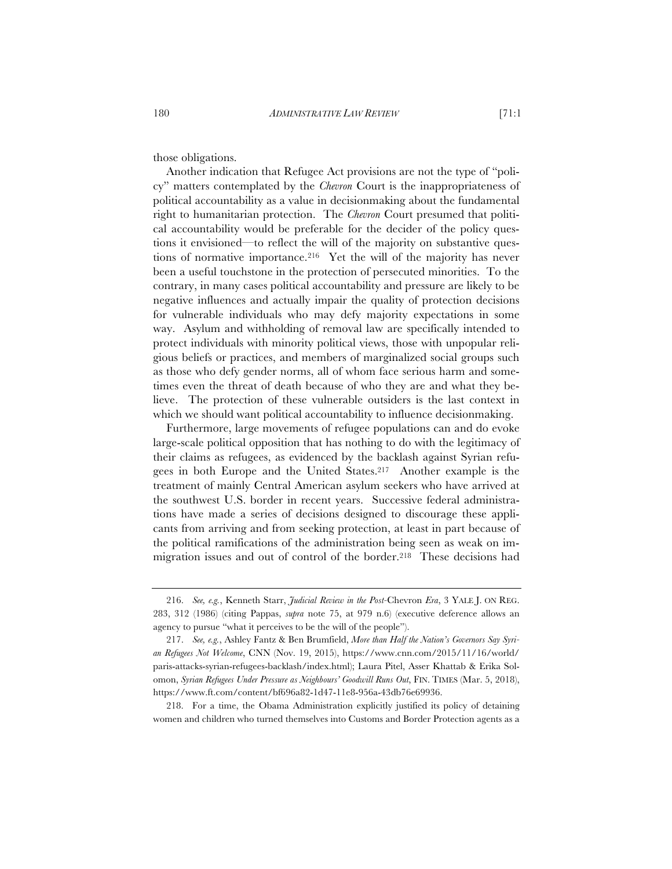those obligations.

Another indication that Refugee Act provisions are not the type of "policy" matters contemplated by the *Chevron* Court is the inappropriateness of political accountability as a value in decisionmaking about the fundamental right to humanitarian protection. The *Chevron* Court presumed that political accountability would be preferable for the decider of the policy questions it envisioned—to reflect the will of the majority on substantive questions of normative importance.216 Yet the will of the majority has never been a useful touchstone in the protection of persecuted minorities. To the contrary, in many cases political accountability and pressure are likely to be negative influences and actually impair the quality of protection decisions for vulnerable individuals who may defy majority expectations in some way. Asylum and withholding of removal law are specifically intended to protect individuals with minority political views, those with unpopular religious beliefs or practices, and members of marginalized social groups such as those who defy gender norms, all of whom face serious harm and sometimes even the threat of death because of who they are and what they believe. The protection of these vulnerable outsiders is the last context in which we should want political accountability to influence decisionmaking.

Furthermore, large movements of refugee populations can and do evoke large-scale political opposition that has nothing to do with the legitimacy of their claims as refugees, as evidenced by the backlash against Syrian refugees in both Europe and the United States.217 Another example is the treatment of mainly Central American asylum seekers who have arrived at the southwest U.S. border in recent years. Successive federal administrations have made a series of decisions designed to discourage these applicants from arriving and from seeking protection, at least in part because of the political ramifications of the administration being seen as weak on immigration issues and out of control of the border.218 These decisions had

218. For a time, the Obama Administration explicitly justified its policy of detaining women and children who turned themselves into Customs and Border Protection agents as a

<sup>216.</sup> *See, e.g.*, Kenneth Starr, *Judicial Review in the Post-*Chevron *Era*, 3 YALE J. ON REG. 283, 312 (1986) (citing Pappas, *supra* note 75, at 979 n.6) (executive deference allows an agency to pursue "what it perceives to be the will of the people").

<sup>217.</sup> *See, e.g.*, Ashley Fantz & Ben Brumfield, *More than Half the Nation's Governors Say Syrian Refugees Not Welcome*, CNN (Nov. 19, 2015), https://www.cnn.com/2015/11/16/world/ paris-attacks-syrian-refugees-backlash/index.html); Laura Pitel, Asser Khattab & Erika Solomon, *Syrian Refugees Under Pressure as Neighbours' Goodwill Runs Out*, FIN. TIMES (Mar. 5, 2018), https://www.ft.com/content/bf696a82-1d47-11e8-956a-43db76e69936.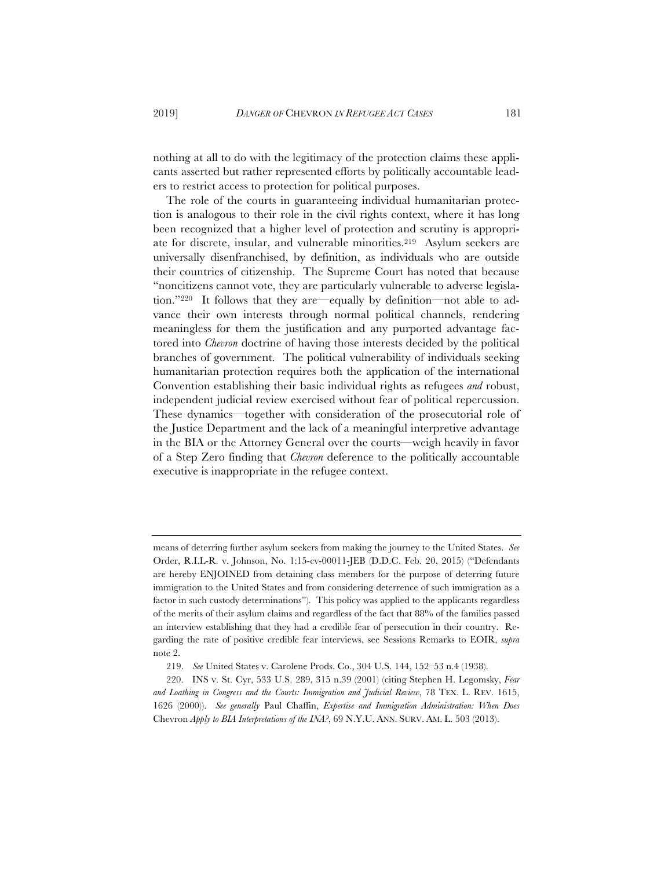nothing at all to do with the legitimacy of the protection claims these applicants asserted but rather represented efforts by politically accountable leaders to restrict access to protection for political purposes.

The role of the courts in guaranteeing individual humanitarian protection is analogous to their role in the civil rights context, where it has long been recognized that a higher level of protection and scrutiny is appropriate for discrete, insular, and vulnerable minorities.219 Asylum seekers are universally disenfranchised, by definition, as individuals who are outside their countries of citizenship. The Supreme Court has noted that because "noncitizens cannot vote, they are particularly vulnerable to adverse legislation."220 It follows that they are—equally by definition—not able to advance their own interests through normal political channels, rendering meaningless for them the justification and any purported advantage factored into *Chevron* doctrine of having those interests decided by the political branches of government. The political vulnerability of individuals seeking humanitarian protection requires both the application of the international Convention establishing their basic individual rights as refugees *and* robust, independent judicial review exercised without fear of political repercussion. These dynamics—together with consideration of the prosecutorial role of the Justice Department and the lack of a meaningful interpretive advantage in the BIA or the Attorney General over the courts—weigh heavily in favor of a Step Zero finding that *Chevron* deference to the politically accountable executive is inappropriate in the refugee context.

means of deterring further asylum seekers from making the journey to the United States. *See* Order, R.I.L-R. v. Johnson, No. 1:15-cv-00011-JEB (D.D.C. Feb. 20, 2015) ("Defendants are hereby ENJOINED from detaining class members for the purpose of deterring future immigration to the United States and from considering deterrence of such immigration as a factor in such custody determinations"). This policy was applied to the applicants regardless of the merits of their asylum claims and regardless of the fact that 88% of the families passed an interview establishing that they had a credible fear of persecution in their country. Regarding the rate of positive credible fear interviews, see Sessions Remarks to EOIR, *supra* note 2.

<sup>219.</sup> *See* United States v. Carolene Prods. Co., 304 U.S. 144, 152–53 n.4 (1938).

<sup>220.</sup> INS v. St. Cyr, 533 U.S. 289, 315 n.39 (2001) (citing Stephen H. Legomsky, *Fear and Loathing in Congress and the Courts: Immigration and Judicial Review*, 78 TEX. L. REV. 1615, 1626 (2000)). *See generally* Paul Chaffin, *Expertise and Immigration Administration: When Does*  Chevron *Apply to BIA Interpretations of the INA?*, 69 N.Y.U. ANN. SURV. AM. L. 503 (2013).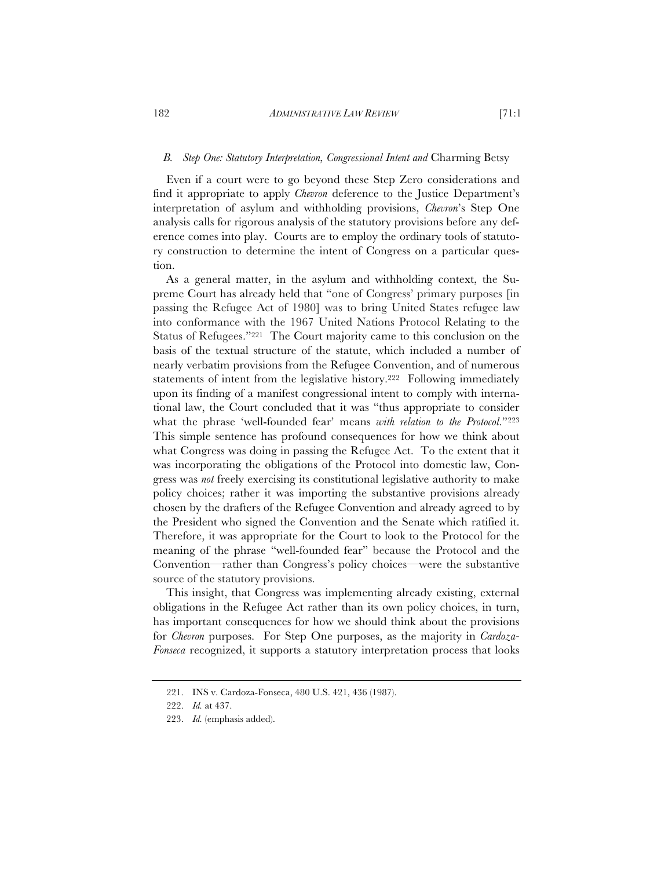Even if a court were to go beyond these Step Zero considerations and find it appropriate to apply *Chevron* deference to the Justice Department's interpretation of asylum and withholding provisions, *Chevron*'s Step One analysis calls for rigorous analysis of the statutory provisions before any deference comes into play. Courts are to employ the ordinary tools of statutory construction to determine the intent of Congress on a particular question.

As a general matter, in the asylum and withholding context, the Supreme Court has already held that "one of Congress' primary purposes [in passing the Refugee Act of 1980] was to bring United States refugee law into conformance with the 1967 United Nations Protocol Relating to the Status of Refugees."221 The Court majority came to this conclusion on the basis of the textual structure of the statute, which included a number of nearly verbatim provisions from the Refugee Convention, and of numerous statements of intent from the legislative history.<sup>222</sup> Following immediately upon its finding of a manifest congressional intent to comply with international law, the Court concluded that it was "thus appropriate to consider what the phrase 'well-founded fear' means *with relation to the Protocol*."223 This simple sentence has profound consequences for how we think about what Congress was doing in passing the Refugee Act. To the extent that it was incorporating the obligations of the Protocol into domestic law, Congress was *not* freely exercising its constitutional legislative authority to make policy choices; rather it was importing the substantive provisions already chosen by the drafters of the Refugee Convention and already agreed to by the President who signed the Convention and the Senate which ratified it. Therefore, it was appropriate for the Court to look to the Protocol for the meaning of the phrase "well-founded fear" because the Protocol and the Convention—rather than Congress's policy choices—were the substantive source of the statutory provisions.

This insight, that Congress was implementing already existing, external obligations in the Refugee Act rather than its own policy choices, in turn, has important consequences for how we should think about the provisions for *Chevron* purposes. For Step One purposes, as the majority in *Cardoza-Fonseca* recognized, it supports a statutory interpretation process that looks

<sup>221.</sup> INS v. Cardoza-Fonseca, 480 U.S. 421, 436 (1987).

<sup>222.</sup> *Id.* at 437.

<sup>223.</sup> *Id.* (emphasis added).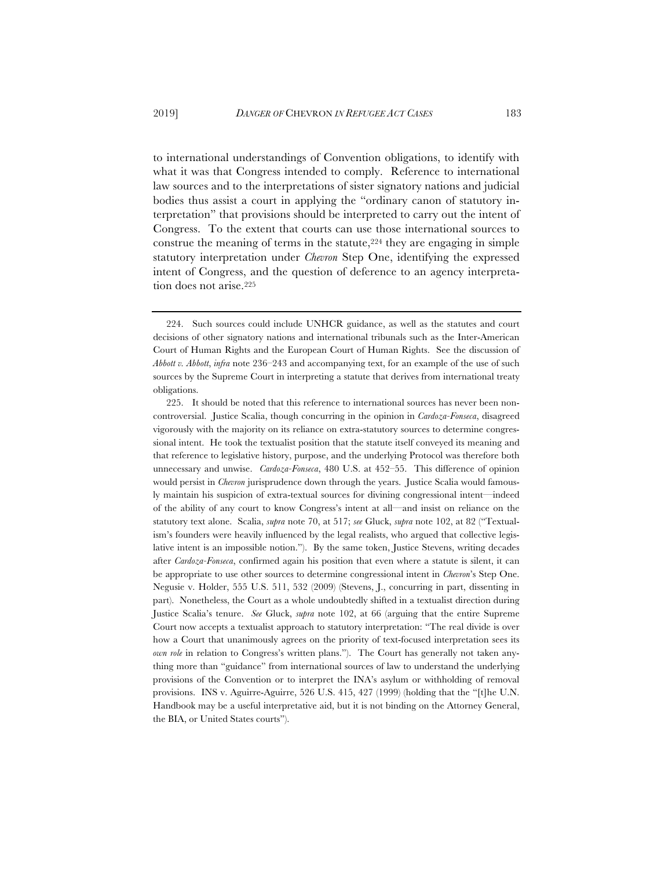to international understandings of Convention obligations, to identify with what it was that Congress intended to comply. Reference to international law sources and to the interpretations of sister signatory nations and judicial bodies thus assist a court in applying the "ordinary canon of statutory interpretation" that provisions should be interpreted to carry out the intent of Congress. To the extent that courts can use those international sources to construe the meaning of terms in the statute,  $224$  they are engaging in simple statutory interpretation under *Chevron* Step One, identifying the expressed intent of Congress, and the question of deference to an agency interpretation does not arise.225

<sup>224.</sup> Such sources could include UNHCR guidance, as well as the statutes and court decisions of other signatory nations and international tribunals such as the Inter-American Court of Human Rights and the European Court of Human Rights. See the discussion of *Abbott v. Abbott*, *infra* note 236–243 and accompanying text, for an example of the use of such sources by the Supreme Court in interpreting a statute that derives from international treaty obligations.

<sup>225.</sup> It should be noted that this reference to international sources has never been noncontroversial. Justice Scalia, though concurring in the opinion in *Cardoza-Fonseca*, disagreed vigorously with the majority on its reliance on extra-statutory sources to determine congressional intent. He took the textualist position that the statute itself conveyed its meaning and that reference to legislative history, purpose, and the underlying Protocol was therefore both unnecessary and unwise. *Cardoza-Fonseca*, 480 U.S. at 452–55. This difference of opinion would persist in *Chevron* jurisprudence down through the years. Justice Scalia would famously maintain his suspicion of extra-textual sources for divining congressional intent—indeed of the ability of any court to know Congress's intent at all—and insist on reliance on the statutory text alone. Scalia, *supra* note 70, at 517; *see* Gluck, *supra* note 102, at 82 ("Textualism's founders were heavily influenced by the legal realists, who argued that collective legislative intent is an impossible notion."). By the same token, Justice Stevens, writing decades after *Cardoza-Fonseca*, confirmed again his position that even where a statute is silent, it can be appropriate to use other sources to determine congressional intent in *Chevron*'s Step One. Negusie v. Holder, 555 U.S. 511, 532 (2009) (Stevens, J., concurring in part, dissenting in part). Nonetheless, the Court as a whole undoubtedly shifted in a textualist direction during Justice Scalia's tenure. *See* Gluck, *supra* note 102, at 66 (arguing that the entire Supreme Court now accepts a textualist approach to statutory interpretation: "The real divide is over how a Court that unanimously agrees on the priority of text-focused interpretation sees its *own role* in relation to Congress's written plans."). The Court has generally not taken anything more than "guidance" from international sources of law to understand the underlying provisions of the Convention or to interpret the INA's asylum or withholding of removal provisions. INS v. Aguirre-Aguirre, 526 U.S. 415, 427 (1999) (holding that the "[t]he U.N. Handbook may be a useful interpretative aid, but it is not binding on the Attorney General, the BIA, or United States courts").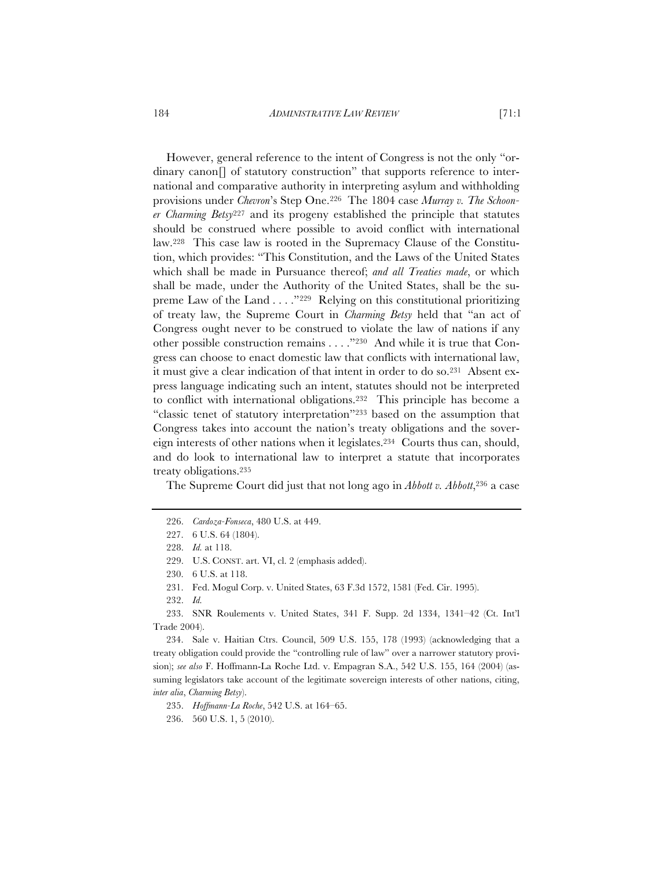#### 184 *ADMINISTRATIVE LAW REVIEW* [71:1

However, general reference to the intent of Congress is not the only "ordinary canon[] of statutory construction" that supports reference to international and comparative authority in interpreting asylum and withholding provisions under *Chevron*'s Step One.226 The 1804 case *Murray v. The Schooner Charming Betsy*<sup>227</sup> and its progeny established the principle that statutes should be construed where possible to avoid conflict with international law.228 This case law is rooted in the Supremacy Clause of the Constitution, which provides: "This Constitution, and the Laws of the United States which shall be made in Pursuance thereof; *and all Treaties made*, or which shall be made, under the Authority of the United States, shall be the supreme Law of the Land . . . ."229 Relying on this constitutional prioritizing of treaty law, the Supreme Court in *Charming Betsy* held that "an act of Congress ought never to be construed to violate the law of nations if any other possible construction remains . . . ."230 And while it is true that Congress can choose to enact domestic law that conflicts with international law, it must give a clear indication of that intent in order to do so.231 Absent express language indicating such an intent, statutes should not be interpreted to conflict with international obligations.232 This principle has become a "classic tenet of statutory interpretation"233 based on the assumption that Congress takes into account the nation's treaty obligations and the sovereign interests of other nations when it legislates.234 Courts thus can, should, and do look to international law to interpret a statute that incorporates treaty obligations.235

The Supreme Court did just that not long ago in *Abbott v. Abbott*,<sup>236</sup> a case

229. U.S. CONST. art. VI, cl. 2 (emphasis added).

233. SNR Roulements v. United States, 341 F. Supp. 2d 1334, 1341–42 (Ct. Int'l Trade 2004).

234. Sale v. Haitian Ctrs. Council, 509 U.S. 155, 178 (1993) (acknowledging that a treaty obligation could provide the "controlling rule of law" over a narrower statutory provision); *see also* F. Hoffmann-La Roche Ltd. v. Empagran S.A., 542 U.S. 155, 164 (2004) (assuming legislators take account of the legitimate sovereign interests of other nations, citing, *inter alia*, *Charming Betsy*).

235. *Hoffmann-La Roche*, 542 U.S. at 164–65.

236. 560 U.S. 1, 5 (2010).

<sup>226.</sup> *Cardoza-Fonseca*, 480 U.S. at 449.

<sup>227. 6</sup> U.S. 64 (1804).

<sup>228.</sup> *Id.* at 118.

<sup>230. 6</sup> U.S. at 118.

<sup>231.</sup> Fed. Mogul Corp. v. United States, 63 F.3d 1572, 1581 (Fed. Cir. 1995).

<sup>232.</sup> *Id.*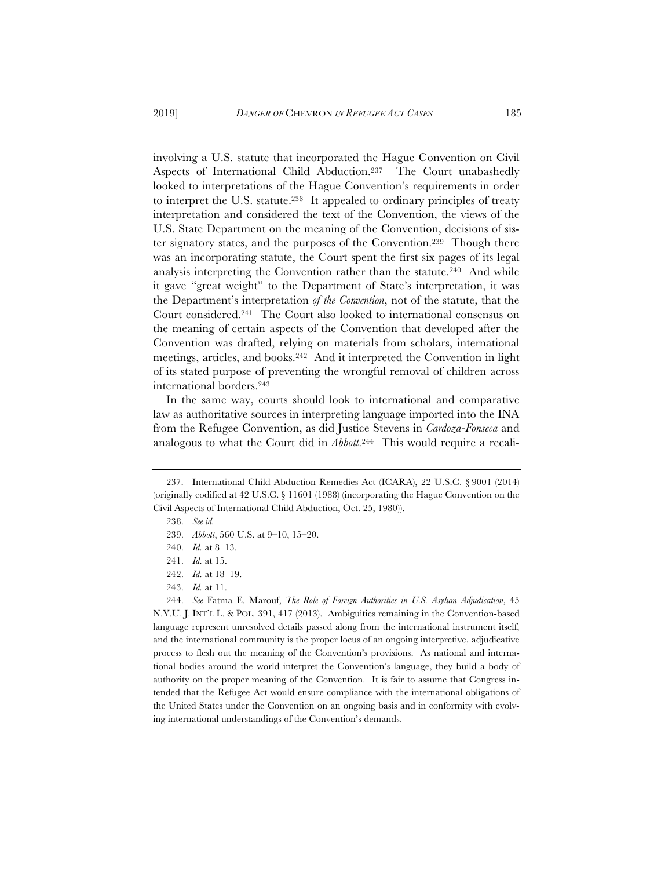involving a U.S. statute that incorporated the Hague Convention on Civil Aspects of International Child Abduction.237 The Court unabashedly looked to interpretations of the Hague Convention's requirements in order to interpret the U.S. statute.238 It appealed to ordinary principles of treaty interpretation and considered the text of the Convention, the views of the U.S. State Department on the meaning of the Convention, decisions of sister signatory states, and the purposes of the Convention.239 Though there was an incorporating statute, the Court spent the first six pages of its legal analysis interpreting the Convention rather than the statute.240 And while it gave "great weight" to the Department of State's interpretation, it was the Department's interpretation *of the Convention*, not of the statute, that the Court considered.241 The Court also looked to international consensus on the meaning of certain aspects of the Convention that developed after the Convention was drafted, relying on materials from scholars, international meetings, articles, and books.242 And it interpreted the Convention in light of its stated purpose of preventing the wrongful removal of children across international borders.243

In the same way, courts should look to international and comparative law as authoritative sources in interpreting language imported into the INA from the Refugee Convention, as did Justice Stevens in *Cardoza-Fonseca* and analogous to what the Court did in *Abbott*.244 This would require a recali-

<sup>237.</sup> International Child Abduction Remedies Act (ICARA), 22 U.S.C. § 9001 (2014) (originally codified at 42 U.S.C. § 11601 (1988) (incorporating the Hague Convention on the Civil Aspects of International Child Abduction, Oct. 25, 1980)).

<sup>238.</sup> *See id.*

<sup>239.</sup> *Abbott*, 560 U.S. at 9–10, 15–20.

<sup>240.</sup> *Id.* at 8–13.

<sup>241.</sup> *Id.* at 15.

<sup>242.</sup> *Id.* at 18–19.

<sup>243.</sup> *Id.* at 11.

<sup>244.</sup> *See* Fatma E. Marouf, *The Role of Foreign Authorities in U.S. Asylum Adjudication*, 45 N.Y.U. J. INT'L L. & POL. 391, 417 (2013). Ambiguities remaining in the Convention-based language represent unresolved details passed along from the international instrument itself, and the international community is the proper locus of an ongoing interpretive, adjudicative process to flesh out the meaning of the Convention's provisions. As national and international bodies around the world interpret the Convention's language, they build a body of authority on the proper meaning of the Convention. It is fair to assume that Congress intended that the Refugee Act would ensure compliance with the international obligations of the United States under the Convention on an ongoing basis and in conformity with evolving international understandings of the Convention's demands.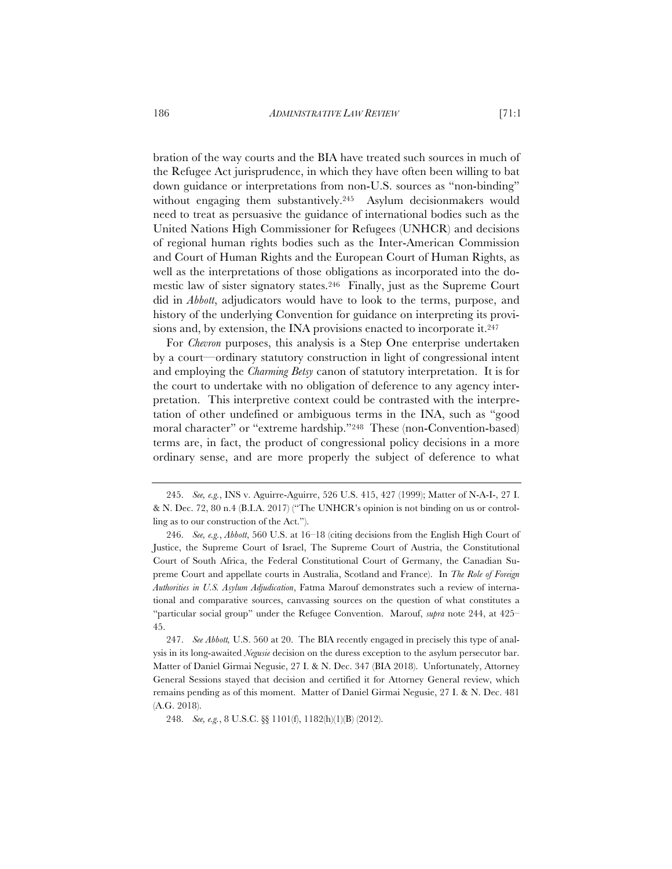bration of the way courts and the BIA have treated such sources in much of the Refugee Act jurisprudence, in which they have often been willing to bat down guidance or interpretations from non-U.S. sources as "non-binding" without engaging them substantively.245 Asylum decisionmakers would need to treat as persuasive the guidance of international bodies such as the United Nations High Commissioner for Refugees (UNHCR) and decisions of regional human rights bodies such as the Inter-American Commission and Court of Human Rights and the European Court of Human Rights, as well as the interpretations of those obligations as incorporated into the domestic law of sister signatory states.246 Finally, just as the Supreme Court did in *Abbott*, adjudicators would have to look to the terms, purpose, and history of the underlying Convention for guidance on interpreting its provisions and, by extension, the INA provisions enacted to incorporate it.<sup>247</sup>

For *Chevron* purposes, this analysis is a Step One enterprise undertaken by a court—ordinary statutory construction in light of congressional intent and employing the *Charming Betsy* canon of statutory interpretation. It is for the court to undertake with no obligation of deference to any agency interpretation. This interpretive context could be contrasted with the interpretation of other undefined or ambiguous terms in the INA, such as "good moral character" or "extreme hardship."248 These (non-Convention-based) terms are, in fact, the product of congressional policy decisions in a more ordinary sense, and are more properly the subject of deference to what

247. *See Abbott,* U.S. 560 at 20. The BIA recently engaged in precisely this type of analysis in its long-awaited *Negusie* decision on the duress exception to the asylum persecutor bar. Matter of Daniel Girmai Negusie, 27 I. & N. Dec. 347 (BIA 2018). Unfortunately, Attorney General Sessions stayed that decision and certified it for Attorney General review, which remains pending as of this moment. Matter of Daniel Girmai Negusie, 27 I. & N. Dec. 481 (A.G. 2018).

<sup>245.</sup> *See, e.g.*, INS v. Aguirre-Aguirre, 526 U.S. 415, 427 (1999); Matter of N-A-I-, 27 I. & N. Dec. 72, 80 n.4 (B.I.A. 2017) ("The UNHCR's opinion is not binding on us or controlling as to our construction of the Act.").

<sup>246.</sup> *See, e.g.*, *Abbott*, 560 U.S. at 16–18 (citing decisions from the English High Court of Justice, the Supreme Court of Israel, The Supreme Court of Austria, the Constitutional Court of South Africa, the Federal Constitutional Court of Germany, the Canadian Supreme Court and appellate courts in Australia, Scotland and France). In *The Role of Foreign Authorities in U.S. Asylum Adjudication*, Fatma Marouf demonstrates such a review of international and comparative sources, canvassing sources on the question of what constitutes a "particular social group" under the Refugee Convention. Marouf, *supra* note 244, at 425– 45.

<sup>248.</sup> *See, e.g.*, 8 U.S.C. §§ 1101(f), 1182(h)(1)(B) (2012).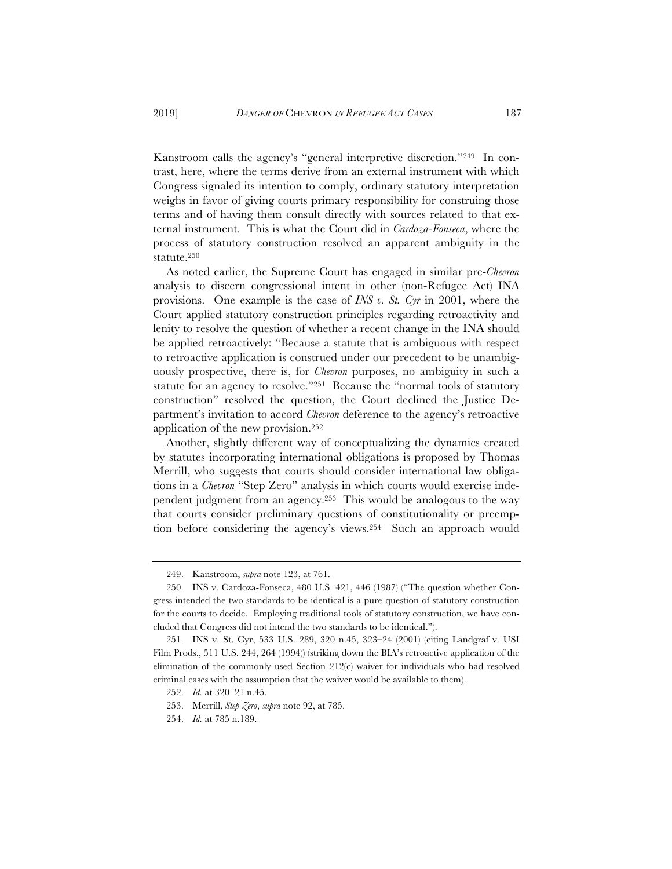Kanstroom calls the agency's "general interpretive discretion."249 In contrast, here, where the terms derive from an external instrument with which Congress signaled its intention to comply, ordinary statutory interpretation weighs in favor of giving courts primary responsibility for construing those terms and of having them consult directly with sources related to that external instrument. This is what the Court did in *Cardoza-Fonseca*, where the process of statutory construction resolved an apparent ambiguity in the statute.250

As noted earlier, the Supreme Court has engaged in similar pre-*Chevron* analysis to discern congressional intent in other (non-Refugee Act) INA provisions. One example is the case of *INS v. St. Cyr* in 2001, where the Court applied statutory construction principles regarding retroactivity and lenity to resolve the question of whether a recent change in the INA should be applied retroactively: "Because a statute that is ambiguous with respect to retroactive application is construed under our precedent to be unambiguously prospective, there is, for *Chevron* purposes, no ambiguity in such a statute for an agency to resolve."251 Because the "normal tools of statutory construction" resolved the question, the Court declined the Justice Department's invitation to accord *Chevron* deference to the agency's retroactive application of the new provision.252

Another, slightly different way of conceptualizing the dynamics created by statutes incorporating international obligations is proposed by Thomas Merrill, who suggests that courts should consider international law obligations in a *Chevron* "Step Zero" analysis in which courts would exercise independent judgment from an agency.253 This would be analogous to the way that courts consider preliminary questions of constitutionality or preemption before considering the agency's views.254 Such an approach would

<sup>249.</sup> Kanstroom, *supra* note 123, at 761.

<sup>250.</sup> INS v. Cardoza-Fonseca, 480 U.S. 421, 446 (1987) ("The question whether Congress intended the two standards to be identical is a pure question of statutory construction for the courts to decide. Employing traditional tools of statutory construction, we have concluded that Congress did not intend the two standards to be identical.").

<sup>251.</sup> INS v. St. Cyr, 533 U.S. 289, 320 n.45, 323–24 (2001) (citing Landgraf v. USI Film Prods., 511 U.S. 244, 264 (1994)) (striking down the BIA's retroactive application of the elimination of the commonly used Section 212(c) waiver for individuals who had resolved criminal cases with the assumption that the waiver would be available to them).

<sup>252.</sup> *Id.* at 320–21 n.45.

<sup>253.</sup> Merrill, *Step Zero*, *supra* note 92, at 785.

<sup>254.</sup> *Id.* at 785 n.189.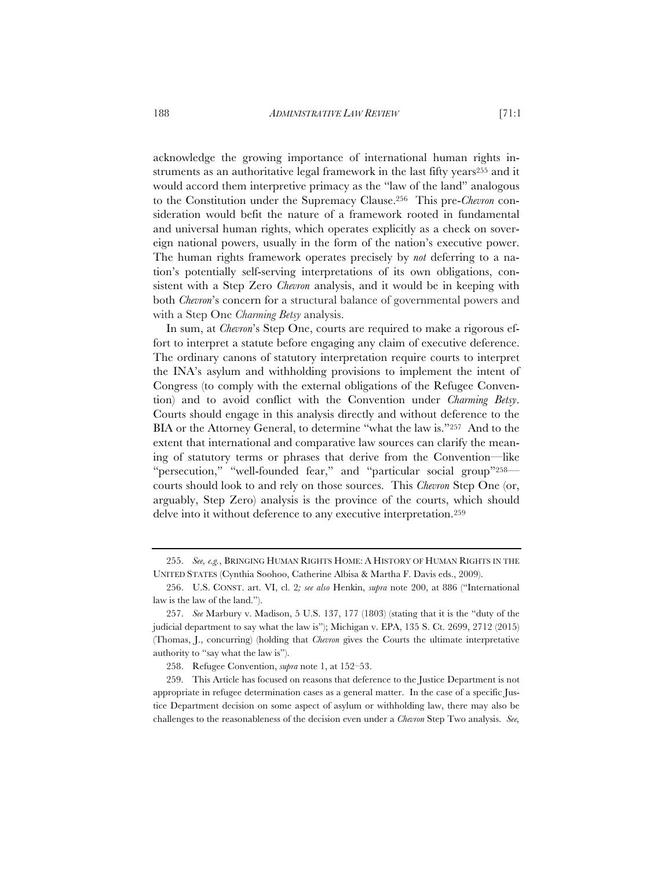acknowledge the growing importance of international human rights instruments as an authoritative legal framework in the last fifty years<sup>255</sup> and it would accord them interpretive primacy as the "law of the land" analogous to the Constitution under the Supremacy Clause.256 This pre-*Chevron* consideration would befit the nature of a framework rooted in fundamental and universal human rights, which operates explicitly as a check on sovereign national powers, usually in the form of the nation's executive power.

The human rights framework operates precisely by *not* deferring to a nation's potentially self-serving interpretations of its own obligations, consistent with a Step Zero *Chevron* analysis, and it would be in keeping with both *Chevron*'s concern for a structural balance of governmental powers and with a Step One *Charming Betsy* analysis.

In sum, at *Chevron*'s Step One, courts are required to make a rigorous effort to interpret a statute before engaging any claim of executive deference. The ordinary canons of statutory interpretation require courts to interpret the INA's asylum and withholding provisions to implement the intent of Congress (to comply with the external obligations of the Refugee Convention) and to avoid conflict with the Convention under *Charming Betsy*. Courts should engage in this analysis directly and without deference to the BIA or the Attorney General, to determine "what the law is."257 And to the extent that international and comparative law sources can clarify the meaning of statutory terms or phrases that derive from the Convention—like "persecution," "well-founded fear," and "particular social group"258 courts should look to and rely on those sources. This *Chevron* Step One (or, arguably, Step Zero) analysis is the province of the courts, which should delve into it without deference to any executive interpretation.259

<sup>255.</sup> *See, e.g.*, BRINGING HUMAN RIGHTS HOME: A HISTORY OF HUMAN RIGHTS IN THE UNITED STATES (Cynthia Soohoo, Catherine Albisa & Martha F. Davis eds., 2009).

<sup>256.</sup> U.S. CONST. art. VI, cl. 2*; see also* Henkin, *supra* note 200, at 886 ("International law is the law of the land.").

<sup>257.</sup> *See* Marbury v. Madison, 5 U.S. 137, 177 (1803) (stating that it is the "duty of the judicial department to say what the law is"); Michigan v. EPA, 135 S. Ct. 2699, 2712 (2015) (Thomas, J., concurring) (holding that *Chevron* gives the Courts the ultimate interpretative authority to "say what the law is").

<sup>258.</sup> Refugee Convention, *supra* note 1, at 152–53.

<sup>259.</sup> This Article has focused on reasons that deference to the Justice Department is not appropriate in refugee determination cases as a general matter. In the case of a specific Justice Department decision on some aspect of asylum or withholding law, there may also be challenges to the reasonableness of the decision even under a *Chevron* Step Two analysis. *See,*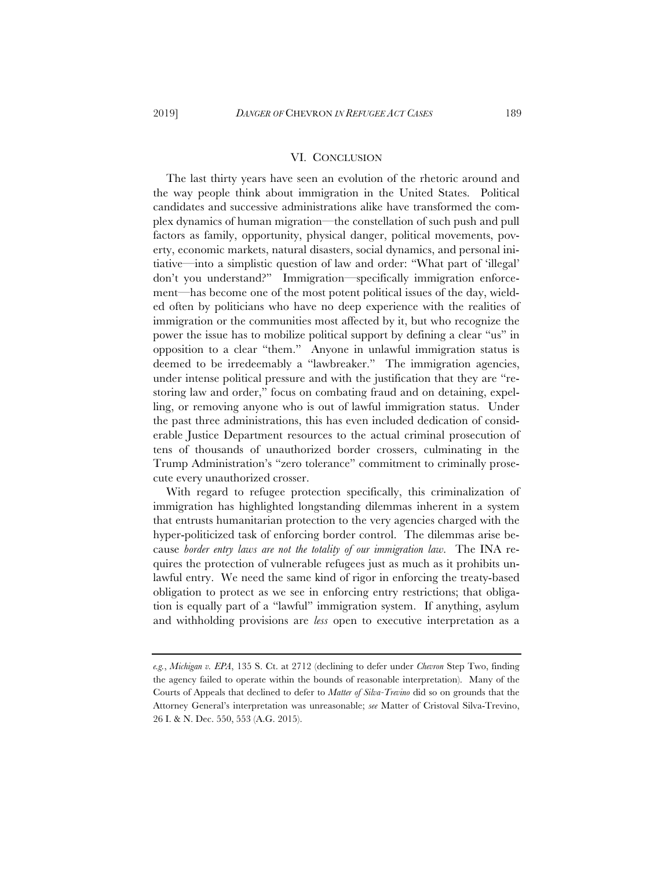## VI. CONCLUSION

The last thirty years have seen an evolution of the rhetoric around and the way people think about immigration in the United States. Political candidates and successive administrations alike have transformed the complex dynamics of human migration—the constellation of such push and pull factors as family, opportunity, physical danger, political movements, poverty, economic markets, natural disasters, social dynamics, and personal initiative—into a simplistic question of law and order: "What part of 'illegal' don't you understand?" Immigration—specifically immigration enforcement—has become one of the most potent political issues of the day, wielded often by politicians who have no deep experience with the realities of immigration or the communities most affected by it, but who recognize the power the issue has to mobilize political support by defining a clear "us" in opposition to a clear "them." Anyone in unlawful immigration status is deemed to be irredeemably a "lawbreaker." The immigration agencies, under intense political pressure and with the justification that they are "restoring law and order," focus on combating fraud and on detaining, expelling, or removing anyone who is out of lawful immigration status. Under the past three administrations, this has even included dedication of considerable Justice Department resources to the actual criminal prosecution of tens of thousands of unauthorized border crossers, culminating in the Trump Administration's "zero tolerance" commitment to criminally prosecute every unauthorized crosser.

With regard to refugee protection specifically, this criminalization of immigration has highlighted longstanding dilemmas inherent in a system that entrusts humanitarian protection to the very agencies charged with the hyper-politicized task of enforcing border control. The dilemmas arise because *border entry laws are not the totality of our immigration law*. The INA requires the protection of vulnerable refugees just as much as it prohibits unlawful entry. We need the same kind of rigor in enforcing the treaty-based obligation to protect as we see in enforcing entry restrictions; that obligation is equally part of a "lawful" immigration system. If anything, asylum and withholding provisions are *less* open to executive interpretation as a

*e.g.*, *Michigan v. EPA*, 135 S. Ct. at 2712 (declining to defer under *Chevron* Step Two, finding the agency failed to operate within the bounds of reasonable interpretation). Many of the Courts of Appeals that declined to defer to *Matter of Silva-Trevino* did so on grounds that the Attorney General's interpretation was unreasonable; *see* Matter of Cristoval Silva-Trevino, 26 I. & N. Dec. 550, 553 (A.G. 2015).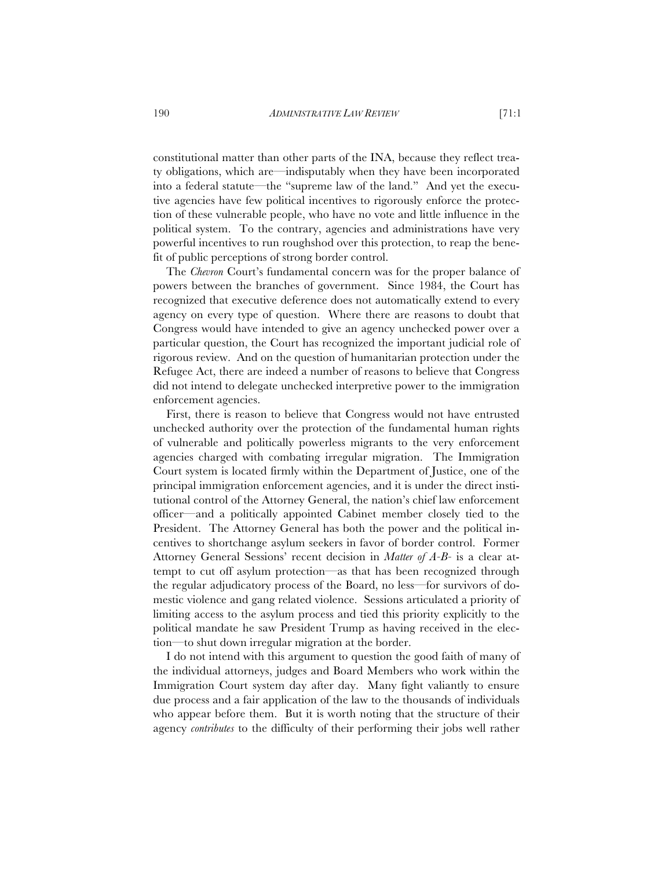constitutional matter than other parts of the INA, because they reflect treaty obligations, which are—indisputably when they have been incorporated into a federal statute—the "supreme law of the land." And yet the executive agencies have few political incentives to rigorously enforce the protection of these vulnerable people, who have no vote and little influence in the political system. To the contrary, agencies and administrations have very powerful incentives to run roughshod over this protection, to reap the benefit of public perceptions of strong border control.

The *Chevron* Court's fundamental concern was for the proper balance of powers between the branches of government. Since 1984, the Court has recognized that executive deference does not automatically extend to every agency on every type of question. Where there are reasons to doubt that Congress would have intended to give an agency unchecked power over a particular question, the Court has recognized the important judicial role of rigorous review. And on the question of humanitarian protection under the Refugee Act, there are indeed a number of reasons to believe that Congress did not intend to delegate unchecked interpretive power to the immigration enforcement agencies.

First, there is reason to believe that Congress would not have entrusted unchecked authority over the protection of the fundamental human rights of vulnerable and politically powerless migrants to the very enforcement agencies charged with combating irregular migration. The Immigration Court system is located firmly within the Department of Justice, one of the principal immigration enforcement agencies, and it is under the direct institutional control of the Attorney General, the nation's chief law enforcement officer—and a politically appointed Cabinet member closely tied to the President. The Attorney General has both the power and the political incentives to shortchange asylum seekers in favor of border control. Former Attorney General Sessions' recent decision in *Matter of A-B-* is a clear attempt to cut off asylum protection—as that has been recognized through the regular adjudicatory process of the Board, no less—for survivors of domestic violence and gang related violence. Sessions articulated a priority of limiting access to the asylum process and tied this priority explicitly to the political mandate he saw President Trump as having received in the election—to shut down irregular migration at the border.

I do not intend with this argument to question the good faith of many of the individual attorneys, judges and Board Members who work within the Immigration Court system day after day. Many fight valiantly to ensure due process and a fair application of the law to the thousands of individuals who appear before them. But it is worth noting that the structure of their agency *contributes* to the difficulty of their performing their jobs well rather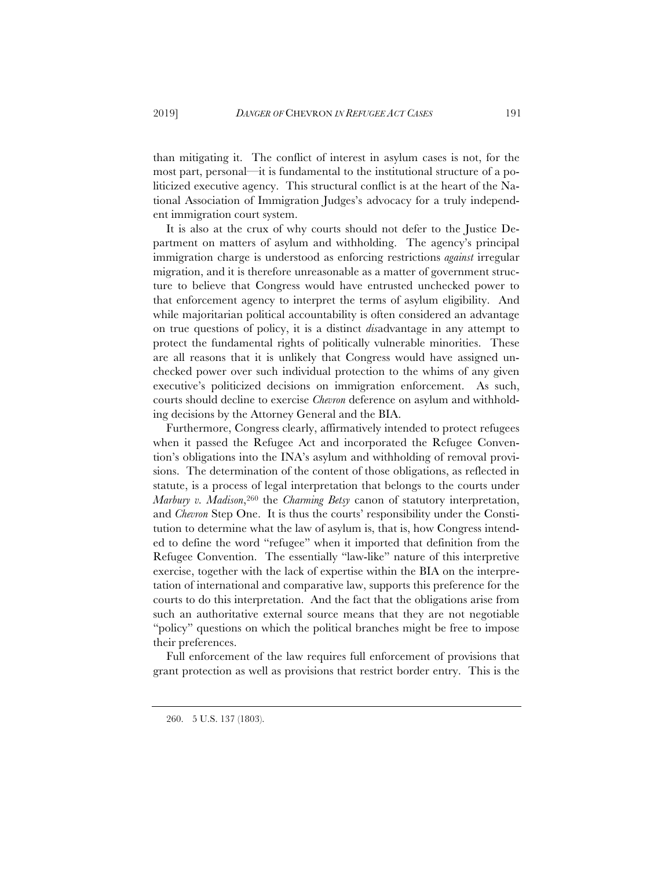than mitigating it. The conflict of interest in asylum cases is not, for the most part, personal—it is fundamental to the institutional structure of a politicized executive agency. This structural conflict is at the heart of the National Association of Immigration Judges's advocacy for a truly independent immigration court system.

It is also at the crux of why courts should not defer to the Justice Department on matters of asylum and withholding. The agency's principal immigration charge is understood as enforcing restrictions *against* irregular migration, and it is therefore unreasonable as a matter of government structure to believe that Congress would have entrusted unchecked power to that enforcement agency to interpret the terms of asylum eligibility. And while majoritarian political accountability is often considered an advantage on true questions of policy, it is a distinct *dis*advantage in any attempt to protect the fundamental rights of politically vulnerable minorities. These are all reasons that it is unlikely that Congress would have assigned unchecked power over such individual protection to the whims of any given executive's politicized decisions on immigration enforcement. As such, courts should decline to exercise *Chevron* deference on asylum and withholding decisions by the Attorney General and the BIA.

Furthermore, Congress clearly, affirmatively intended to protect refugees when it passed the Refugee Act and incorporated the Refugee Convention's obligations into the INA's asylum and withholding of removal provisions. The determination of the content of those obligations, as reflected in statute, is a process of legal interpretation that belongs to the courts under *Marbury v. Madison*,260 the *Charming Betsy* canon of statutory interpretation, and *Chevron* Step One. It is thus the courts' responsibility under the Constitution to determine what the law of asylum is, that is, how Congress intended to define the word "refugee" when it imported that definition from the Refugee Convention. The essentially "law-like" nature of this interpretive exercise, together with the lack of expertise within the BIA on the interpretation of international and comparative law, supports this preference for the courts to do this interpretation. And the fact that the obligations arise from such an authoritative external source means that they are not negotiable "policy" questions on which the political branches might be free to impose their preferences.

Full enforcement of the law requires full enforcement of provisions that grant protection as well as provisions that restrict border entry. This is the